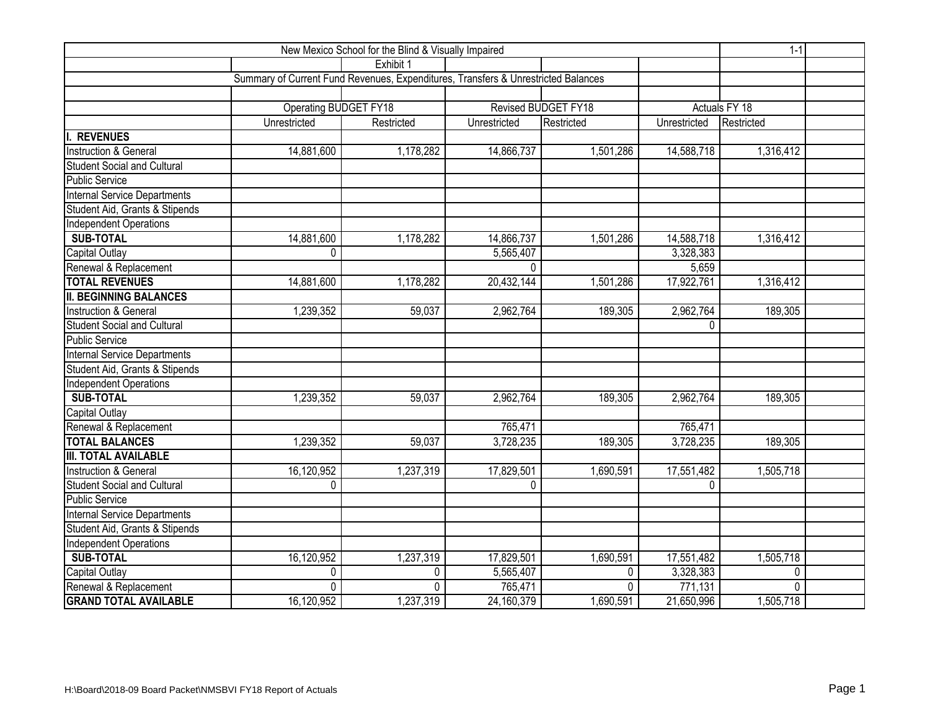|                                     |                                                                                   | New Mexico School for the Blind & Visually Impaired |              |                     |              | $1 - 1$       |  |
|-------------------------------------|-----------------------------------------------------------------------------------|-----------------------------------------------------|--------------|---------------------|--------------|---------------|--|
|                                     |                                                                                   | Exhibit 1                                           |              |                     |              |               |  |
|                                     | Summary of Current Fund Revenues, Expenditures, Transfers & Unrestricted Balances |                                                     |              |                     |              |               |  |
|                                     |                                                                                   |                                                     |              |                     |              |               |  |
|                                     | Operating BUDGET FY18                                                             |                                                     |              | Revised BUDGET FY18 |              | Actuals FY 18 |  |
|                                     | Unrestricted                                                                      | Restricted                                          | Unrestricted | Restricted          | Unrestricted | Restricted    |  |
| <b>REVENUES</b>                     |                                                                                   |                                                     |              |                     |              |               |  |
| <b>Instruction &amp; General</b>    | 14,881,600                                                                        | 1,178,282                                           | 14,866,737   | 1,501,286           | 14,588,718   | 1,316,412     |  |
| <b>Student Social and Cultural</b>  |                                                                                   |                                                     |              |                     |              |               |  |
| <b>Public Service</b>               |                                                                                   |                                                     |              |                     |              |               |  |
| <b>Internal Service Departments</b> |                                                                                   |                                                     |              |                     |              |               |  |
| Student Aid, Grants & Stipends      |                                                                                   |                                                     |              |                     |              |               |  |
| Independent Operations              |                                                                                   |                                                     |              |                     |              |               |  |
| <b>SUB-TOTAL</b>                    | 14,881,600                                                                        | 1,178,282                                           | 14,866,737   | 1,501,286           | 14,588,718   | 1,316,412     |  |
| Capital Outlay                      | 0                                                                                 |                                                     | 5,565,407    |                     | 3,328,383    |               |  |
| Renewal & Replacement               |                                                                                   |                                                     | $\Omega$     |                     | 5,659        |               |  |
| <b>TOTAL REVENUES</b>               | 14,881,600                                                                        | 1,178,282                                           | 20,432,144   | 1,501,286           | 17,922,761   | 1,316,412     |  |
| <b>II. BEGINNING BALANCES</b>       |                                                                                   |                                                     |              |                     |              |               |  |
| <b>Instruction &amp; General</b>    | 1,239,352                                                                         | 59,037                                              | 2,962,764    | 189,305             | 2,962,764    | 189,305       |  |
| <b>Student Social and Cultural</b>  |                                                                                   |                                                     |              |                     | 0            |               |  |
| <b>Public Service</b>               |                                                                                   |                                                     |              |                     |              |               |  |
| Internal Service Departments        |                                                                                   |                                                     |              |                     |              |               |  |
| Student Aid, Grants & Stipends      |                                                                                   |                                                     |              |                     |              |               |  |
| Independent Operations              |                                                                                   |                                                     |              |                     |              |               |  |
| <b>SUB-TOTAL</b>                    | 1,239,352                                                                         | 59,037                                              | 2,962,764    | 189,305             | 2,962,764    | 189,305       |  |
| Capital Outlay                      |                                                                                   |                                                     |              |                     |              |               |  |
| Renewal & Replacement               |                                                                                   |                                                     | 765,471      |                     | 765,471      |               |  |
| <b>TOTAL BALANCES</b>               | 1,239,352                                                                         | 59,037                                              | 3,728,235    | 189,305             | 3,728,235    | 189,305       |  |
| <b>III. TOTAL AVAILABLE</b>         |                                                                                   |                                                     |              |                     |              |               |  |
| <b>Instruction &amp; General</b>    | 16,120,952                                                                        | 1,237,319                                           | 17,829,501   | 1,690,591           | 17,551,482   | 1,505,718     |  |
| Student Social and Cultural         | 0                                                                                 |                                                     | $\Omega$     |                     | $\Omega$     |               |  |
| <b>Public Service</b>               |                                                                                   |                                                     |              |                     |              |               |  |
| <b>Internal Service Departments</b> |                                                                                   |                                                     |              |                     |              |               |  |
| Student Aid, Grants & Stipends      |                                                                                   |                                                     |              |                     |              |               |  |
| Independent Operations              |                                                                                   |                                                     |              |                     |              |               |  |
| <b>SUB-TOTAL</b>                    | 16,120,952                                                                        | 1,237,319                                           | 17,829,501   | 1,690,591           | 17,551,482   | 1,505,718     |  |
| Capital Outlay                      | 0                                                                                 | 0                                                   | 5,565,407    | 0                   | 3,328,383    | 0             |  |
| Renewal & Replacement               | $\Omega$                                                                          | 0                                                   | 765,471      | $\Omega$            | 771,131      | $\Omega$      |  |
| <b>GRAND TOTAL AVAILABLE</b>        | 16,120,952                                                                        | 1,237,319                                           | 24, 160, 379 | 1,690,591           | 21,650,996   | 1,505,718     |  |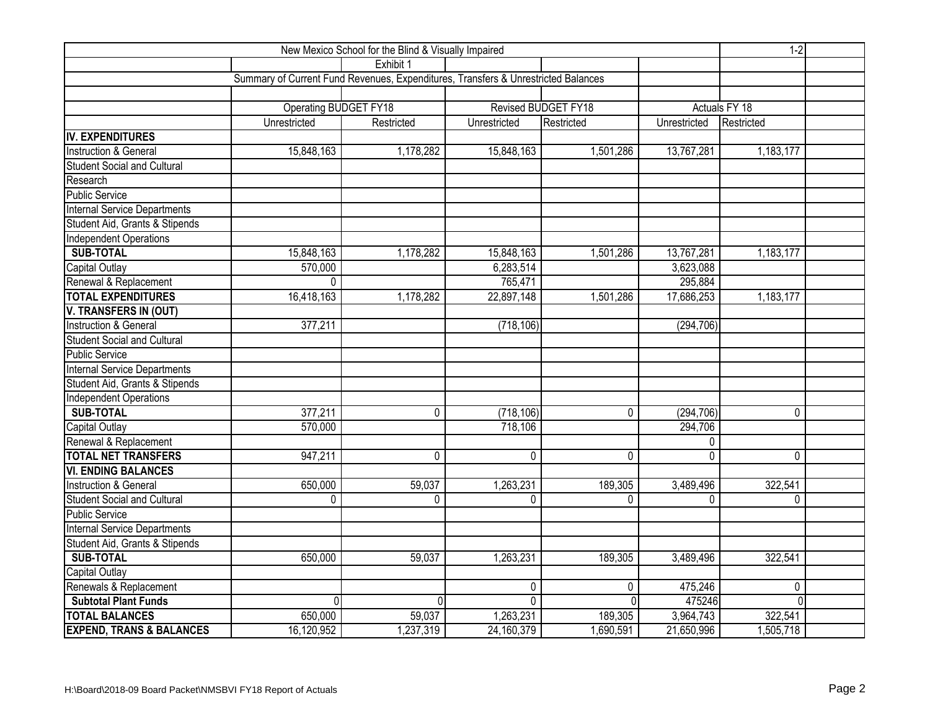|                                     | $1 - 2$                                                                           |              |              |                     |              |               |  |
|-------------------------------------|-----------------------------------------------------------------------------------|--------------|--------------|---------------------|--------------|---------------|--|
|                                     |                                                                                   | Exhibit 1    |              |                     |              |               |  |
|                                     | Summary of Current Fund Revenues, Expenditures, Transfers & Unrestricted Balances |              |              |                     |              |               |  |
|                                     |                                                                                   |              |              |                     |              |               |  |
|                                     | Operating BUDGET FY18                                                             |              |              | Revised BUDGET FY18 |              | Actuals FY 18 |  |
|                                     | Unrestricted                                                                      | Restricted   | Unrestricted | Restricted          | Unrestricted | Restricted    |  |
| <b>IV. EXPENDITURES</b>             |                                                                                   |              |              |                     |              |               |  |
| <b>Instruction &amp; General</b>    | 15,848,163                                                                        | 1,178,282    | 15,848,163   | 1,501,286           | 13,767,281   | 1,183,177     |  |
| <b>Student Social and Cultural</b>  |                                                                                   |              |              |                     |              |               |  |
| Research                            |                                                                                   |              |              |                     |              |               |  |
| <b>Public Service</b>               |                                                                                   |              |              |                     |              |               |  |
| Internal Service Departments        |                                                                                   |              |              |                     |              |               |  |
| Student Aid, Grants & Stipends      |                                                                                   |              |              |                     |              |               |  |
| <b>Independent Operations</b>       |                                                                                   |              |              |                     |              |               |  |
| <b>SUB-TOTAL</b>                    | 15,848,163                                                                        | 1,178,282    | 15,848,163   | 1,501,286           | 13,767,281   | 1,183,177     |  |
| <b>Capital Outlay</b>               | 570,000                                                                           |              | 6,283,514    |                     | 3,623,088    |               |  |
| Renewal & Replacement               | 0                                                                                 |              | 765,471      |                     | 295,884      |               |  |
| <b>TOTAL EXPENDITURES</b>           | 16,418,163                                                                        | 1,178,282    | 22,897,148   | 1,501,286           | 17,686,253   | 1,183,177     |  |
| V. TRANSFERS IN (OUT)               |                                                                                   |              |              |                     |              |               |  |
| Instruction & General               | 377,211                                                                           |              | (718, 106)   |                     | (294, 706)   |               |  |
| <b>Student Social and Cultural</b>  |                                                                                   |              |              |                     |              |               |  |
| <b>Public Service</b>               |                                                                                   |              |              |                     |              |               |  |
| <b>Internal Service Departments</b> |                                                                                   |              |              |                     |              |               |  |
| Student Aid, Grants & Stipends      |                                                                                   |              |              |                     |              |               |  |
| Independent Operations              |                                                                                   |              |              |                     |              |               |  |
| <b>SUB-TOTAL</b>                    | 377,211                                                                           | $\mathbf 0$  | (718, 106)   | $\mathbf 0$         | (294, 706)   | 0             |  |
| Capital Outlay                      | 570,000                                                                           |              | 718,106      |                     | 294,706      |               |  |
| Renewal & Replacement               |                                                                                   |              |              |                     | 0            |               |  |
| <b>TOTAL NET TRANSFERS</b>          | 947,211                                                                           | 0            | $\mathbf 0$  | 0                   | $\mathbf{0}$ | $\mathbf 0$   |  |
| <b>VI. ENDING BALANCES</b>          |                                                                                   |              |              |                     |              |               |  |
| Instruction & General               | 650,000                                                                           | 59,037       | 1,263,231    | 189,305             | 3,489,496    | 322,541       |  |
| <b>Student Social and Cultural</b>  | 0                                                                                 | $\mathbf{0}$ | $\mathbf{0}$ | $\mathbf{0}$        | 0            | $\mathbf{0}$  |  |
| Public Service                      |                                                                                   |              |              |                     |              |               |  |
| <b>Internal Service Departments</b> |                                                                                   |              |              |                     |              |               |  |
| Student Aid, Grants & Stipends      |                                                                                   |              |              |                     |              |               |  |
| <b>SUB-TOTAL</b>                    | 650,000                                                                           | 59,037       | 1,263,231    | 189,305             | 3,489,496    | 322,541       |  |
| <b>Capital Outlay</b>               |                                                                                   |              |              |                     |              |               |  |
| Renewals & Replacement              |                                                                                   |              | $\Omega$     | $\mathbf 0$         | 475,246      | $\mathbf 0$   |  |
| <b>Subtotal Plant Funds</b>         | $\Omega$                                                                          | $\Omega$     | $\Omega$     | $\Omega$            | 475246       | $\Omega$      |  |
| <b>TOTAL BALANCES</b>               | 650,000                                                                           | 59,037       | 1,263,231    | 189,305             | 3,964,743    | 322,541       |  |
| <b>EXPEND, TRANS &amp; BALANCES</b> | 16,120,952                                                                        | 1,237,319    | 24,160,379   | 1,690,591           | 21,650,996   | 1,505,718     |  |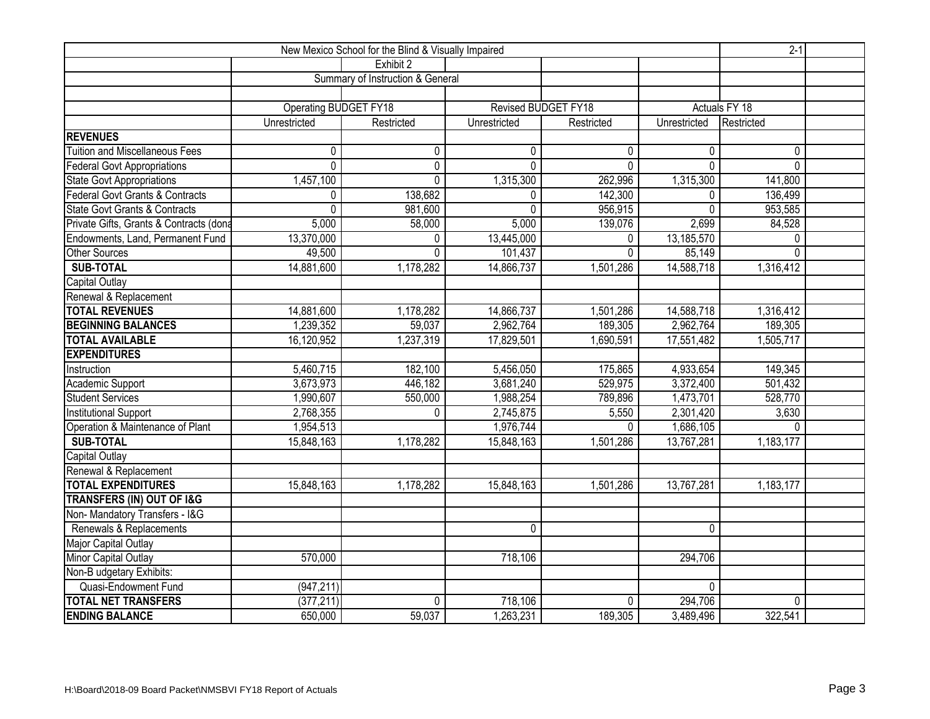|                                          |                              | New Mexico School for the Blind & Visually Impaired |                     |              |              | $2-1$          |  |
|------------------------------------------|------------------------------|-----------------------------------------------------|---------------------|--------------|--------------|----------------|--|
|                                          |                              | Exhibit 2                                           |                     |              |              |                |  |
|                                          |                              | Summary of Instruction & General                    |                     |              |              |                |  |
|                                          |                              |                                                     |                     |              |              |                |  |
|                                          | <b>Operating BUDGET FY18</b> |                                                     | Revised BUDGET FY18 |              |              | Actuals FY 18  |  |
|                                          | Unrestricted                 | Restricted                                          | Unrestricted        | Restricted   | Unrestricted | Restricted     |  |
| <b>REVENUES</b>                          |                              |                                                     |                     |              |              |                |  |
| <b>Tuition and Miscellaneous Fees</b>    | 0                            | $\mathbf{0}$                                        | $\mathbf{0}$        | $\mathbf{0}$ | 0            | 0              |  |
| Federal Govt Appropriations              | $\overline{0}$               | $\overline{0}$                                      | $\mathbf{0}$        | $\Omega$     | $\mathbf{0}$ | $\overline{0}$ |  |
| State Govt Appropriations                | 1,457,100                    | $\mathbf{0}$                                        | 1,315,300           | 262,996      | 1,315,300    | 141,800        |  |
| Federal Govt Grants & Contracts          | 0                            | 138,682                                             | $\mathbf 0$         | 142,300      | 0            | 136,499        |  |
| <b>State Govt Grants &amp; Contracts</b> | 0                            | 981,600                                             | $\Omega$            | 956,915      | $\Omega$     | 953,585        |  |
| Private Gifts, Grants & Contracts (dona  | 5,000                        | 58,000                                              | 5,000               | 139,076      | 2,699        | 84,528         |  |
| Endowments, Land, Permanent Fund         | 13,370,000                   | $\mathbf{0}$                                        | 13,445,000          | 0            | 13,185,570   | 0              |  |
| <b>Other Sources</b>                     | 49,500                       | $\Omega$                                            | 101,437             | $\Omega$     | 85,149       | $\mathbf{0}$   |  |
| <b>SUB-TOTAL</b>                         | 14,881,600                   | 1,178,282                                           | 14,866,737          | 1,501,286    | 14,588,718   | 1,316,412      |  |
| Capital Outlay                           |                              |                                                     |                     |              |              |                |  |
| Renewal & Replacement                    |                              |                                                     |                     |              |              |                |  |
| <b>TOTAL REVENUES</b>                    | 14,881,600                   | 1,178,282                                           | 14,866,737          | 1,501,286    | 14,588,718   | 1,316,412      |  |
| <b>BEGINNING BALANCES</b>                | 1,239,352                    | 59,037                                              | 2,962,764           | 189,305      | 2,962,764    | 189,305        |  |
| <b>TOTAL AVAILABLE</b>                   | 16,120,952                   | 1,237,319                                           | 17,829,501          | 1,690,591    | 17,551,482   | 1,505,717      |  |
| <b>EXPENDITURES</b>                      |                              |                                                     |                     |              |              |                |  |
| Instruction                              | 5,460,715                    | 182,100                                             | 5,456,050           | 175,865      | 4,933,654    | 149,345        |  |
| Academic Support                         | 3,673,973                    | 446,182                                             | 3,681,240           | 529,975      | 3,372,400    | 501,432        |  |
| Student Services                         | 1,990,607                    | 550,000                                             | 1,988,254           | 789,896      | 1,473,701    | 528,770        |  |
| <b>Institutional Support</b>             | 2,768,355                    | $\mathbf 0$                                         | 2,745,875           | 5,550        | 2,301,420    | 3,630          |  |
| Operation & Maintenance of Plant         | 1,954,513                    |                                                     | 1,976,744           | $\Omega$     | 1,686,105    | $\mathbf{0}$   |  |
| <b>SUB-TOTAL</b>                         | 15,848,163                   | 1,178,282                                           | 15,848,163          | 1,501,286    | 13,767,281   | 1,183,177      |  |
| <b>Capital Outlay</b>                    |                              |                                                     |                     |              |              |                |  |
| Renewal & Replacement                    |                              |                                                     |                     |              |              |                |  |
| <b>TOTAL EXPENDITURES</b>                | 15,848,163                   | 1,178,282                                           | 15,848,163          | 1,501,286    | 13,767,281   | 1,183,177      |  |
| <b>TRANSFERS (IN) OUT OF I&amp;G</b>     |                              |                                                     |                     |              |              |                |  |
| Non- Mandatory Transfers - I&G           |                              |                                                     |                     |              |              |                |  |
| Renewals & Replacements                  |                              |                                                     | $\mathbf 0$         |              | 0            |                |  |
| Major Capital Outlay                     |                              |                                                     |                     |              |              |                |  |
| Minor Capital Outlay                     | 570,000                      |                                                     | 718,106             |              | 294,706      |                |  |
| Non-B udgetary Exhibits:                 |                              |                                                     |                     |              |              |                |  |
| Quasi-Endowment Fund                     | (947, 211)                   |                                                     |                     |              | $\mathbf 0$  |                |  |
| <b>TOTAL NET TRANSFERS</b>               | (377, 211)                   | $\Omega$                                            | 718,106             | $\Omega$     | 294,706      | $\mathbf 0$    |  |
| <b>ENDING BALANCE</b>                    | 650,000                      | 59,037                                              | 1,263,231           | 189,305      | 3,489,496    | 322,541        |  |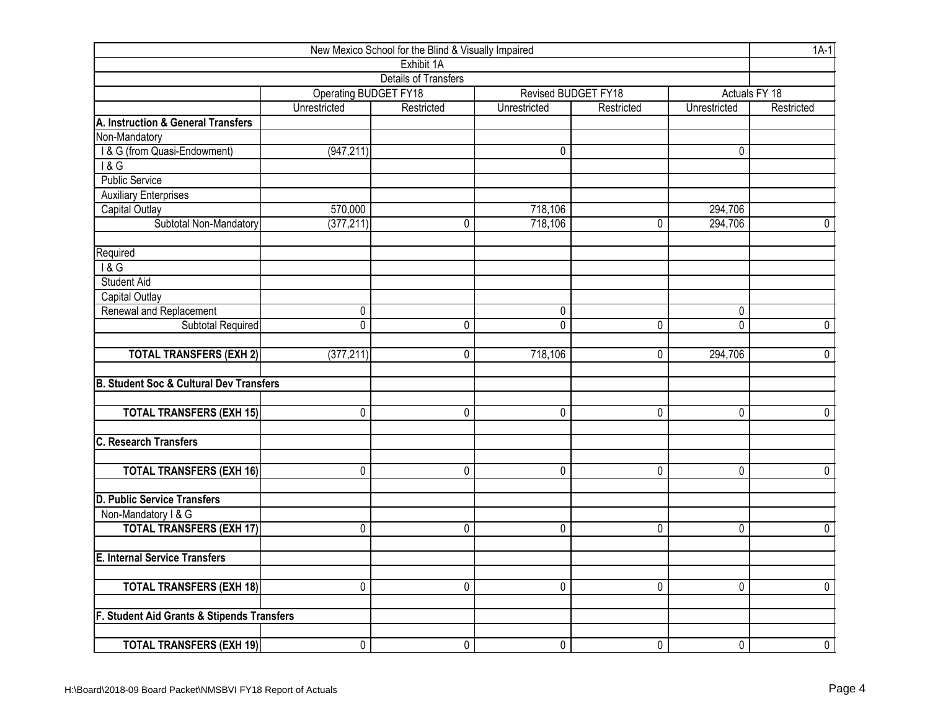| New Mexico School for the Blind & Visually Impaired |                              |                             |                |                     |                |                |  |  |  |  |  |
|-----------------------------------------------------|------------------------------|-----------------------------|----------------|---------------------|----------------|----------------|--|--|--|--|--|
|                                                     |                              | Exhibit 1A                  |                |                     |                |                |  |  |  |  |  |
|                                                     |                              | <b>Details of Transfers</b> |                |                     |                |                |  |  |  |  |  |
|                                                     | <b>Operating BUDGET FY18</b> |                             |                | Revised BUDGET FY18 |                | Actuals FY 18  |  |  |  |  |  |
|                                                     | Unrestricted                 | Restricted                  | Unrestricted   | Restricted          | Unrestricted   | Restricted     |  |  |  |  |  |
| A. Instruction & General Transfers                  |                              |                             |                |                     |                |                |  |  |  |  |  |
| Non-Mandatory                                       |                              |                             |                |                     |                |                |  |  |  |  |  |
| I & G (from Quasi-Endowment)                        | (947, 211)                   |                             | 0              |                     | 0              |                |  |  |  |  |  |
| 18G                                                 |                              |                             |                |                     |                |                |  |  |  |  |  |
| <b>Public Service</b>                               |                              |                             |                |                     |                |                |  |  |  |  |  |
| <b>Auxiliary Enterprises</b>                        |                              |                             |                |                     |                |                |  |  |  |  |  |
| Capital Outlay                                      | 570,000                      |                             | 718,106        |                     | 294,706        |                |  |  |  |  |  |
| Subtotal Non-Mandatory                              | (377, 211)                   | 0                           | 718,106        | 0                   | 294,706        | $\mathbf 0$    |  |  |  |  |  |
| Required                                            |                              |                             |                |                     |                |                |  |  |  |  |  |
| 18G                                                 |                              |                             |                |                     |                |                |  |  |  |  |  |
| <b>Student Aid</b>                                  |                              |                             |                |                     |                |                |  |  |  |  |  |
| Capital Outlay                                      |                              |                             |                |                     |                |                |  |  |  |  |  |
| Renewal and Replacement                             | $\mathbf 0$                  |                             | 0              |                     | 0              |                |  |  |  |  |  |
| Subtotal Required                                   | $\mathbf 0$                  | 0                           | 0              | 0                   | 0              | $\pmb{0}$      |  |  |  |  |  |
| <b>TOTAL TRANSFERS (EXH 2)</b>                      | (377, 211)                   | 0                           | 718,106        | 0                   | 294,706        | $\mathbf 0$    |  |  |  |  |  |
| <b>B. Student Soc &amp; Cultural Dev Transfers</b>  |                              |                             |                |                     |                |                |  |  |  |  |  |
|                                                     |                              |                             |                |                     |                |                |  |  |  |  |  |
| <b>TOTAL TRANSFERS (EXH 15)</b>                     | $\mathbf 0$                  | 0                           | 0              | 0                   | 0              | $\mathbf 0$    |  |  |  |  |  |
| <b>C. Research Transfers</b>                        |                              |                             |                |                     |                |                |  |  |  |  |  |
|                                                     | $\mathbf 0$                  | 0                           | 0              | 0                   | 0              | $\overline{0}$ |  |  |  |  |  |
| <b>TOTAL TRANSFERS (EXH 16)</b>                     |                              |                             |                |                     |                |                |  |  |  |  |  |
| <b>D. Public Service Transfers</b>                  |                              |                             |                |                     |                |                |  |  |  |  |  |
| Non-Mandatory I & G                                 |                              |                             |                |                     |                |                |  |  |  |  |  |
| <b>TOTAL TRANSFERS (EXH 17)</b>                     | $\mathbf 0$                  | $\pmb{0}$                   | 0              | 0                   | 0              | $\overline{0}$ |  |  |  |  |  |
| <b>E. Internal Service Transfers</b>                |                              |                             |                |                     |                |                |  |  |  |  |  |
| <b>TOTAL TRANSFERS (EXH 18)</b>                     | $\overline{0}$               | 0                           | $\overline{0}$ | 0                   | $\overline{0}$ | $\overline{0}$ |  |  |  |  |  |
|                                                     |                              |                             |                |                     |                |                |  |  |  |  |  |
| F. Student Aid Grants & Stipends Transfers          |                              |                             |                |                     |                |                |  |  |  |  |  |
| <b>TOTAL TRANSFERS (EXH 19)</b>                     | $\overline{0}$               | 0                           | 0              | $\overline{0}$      | $\overline{0}$ | $\overline{0}$ |  |  |  |  |  |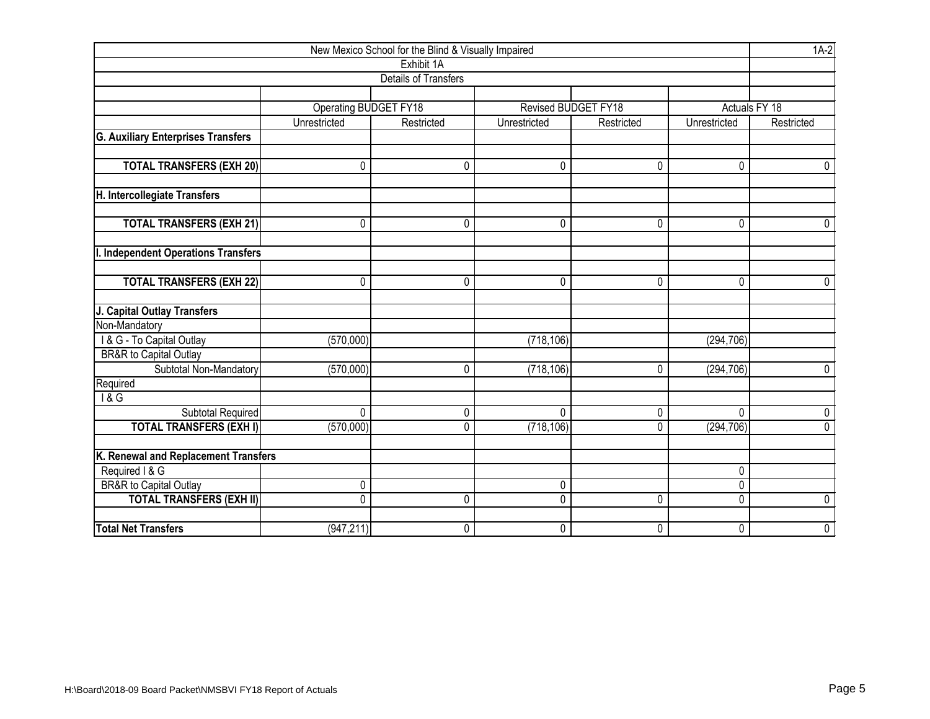|                                            |                       | New Mexico School for the Blind & Visually Impaired |              |                     |              | $1A-2$        |
|--------------------------------------------|-----------------------|-----------------------------------------------------|--------------|---------------------|--------------|---------------|
|                                            |                       | Exhibit 1A                                          |              |                     |              |               |
|                                            |                       | <b>Details of Transfers</b>                         |              |                     |              |               |
|                                            |                       |                                                     |              |                     |              |               |
|                                            | Operating BUDGET FY18 |                                                     |              | Revised BUDGET FY18 |              | Actuals FY 18 |
|                                            | Unrestricted          | Restricted                                          | Unrestricted | Restricted          | Unrestricted | Restricted    |
| <b>G. Auxiliary Enterprises Transfers</b>  |                       |                                                     |              |                     |              |               |
|                                            |                       |                                                     |              |                     |              |               |
| <b>TOTAL TRANSFERS (EXH 20)</b>            | 0                     | 0                                                   | 0            | 0                   | 0            | 0             |
|                                            |                       |                                                     |              |                     |              |               |
| H. Intercollegiate Transfers               |                       |                                                     |              |                     |              |               |
|                                            |                       |                                                     |              |                     |              |               |
| <b>TOTAL TRANSFERS (EXH 21)</b>            | 0                     | $\mathbf 0$                                         | 0            | 0                   | 0            | 0             |
|                                            |                       |                                                     |              |                     |              |               |
| <b>I. Independent Operations Transfers</b> |                       |                                                     |              |                     |              |               |
|                                            |                       |                                                     |              |                     |              |               |
| <b>TOTAL TRANSFERS (EXH 22)</b>            | $\mathbf{0}$          | 0                                                   | 0            | 0                   | 0            | $\mathbf{0}$  |
|                                            |                       |                                                     |              |                     |              |               |
| J. Capital Outlay Transfers                |                       |                                                     |              |                     |              |               |
| Non-Mandatory                              |                       |                                                     |              |                     |              |               |
| I & G - To Capital Outlay                  | (570,000)             |                                                     | (718, 106)   |                     | (294, 706)   |               |
| BR&R to Capital Outlay                     |                       |                                                     |              |                     |              |               |
| Subtotal Non-Mandatory                     | (570,000)             | 0                                                   | (718, 106)   | 0                   | (294, 706)   | $\mathbf 0$   |
| Required                                   |                       |                                                     |              |                     |              |               |
| 18G                                        |                       |                                                     |              |                     |              |               |
| <b>Subtotal Required</b>                   | 0                     | $\mathbf 0$                                         | 0            | 0                   | 0            | $\pmb{0}$     |
| <b>TOTAL TRANSFERS (EXH I)</b>             | (570,000)             | 0                                                   | (718, 106)   | 0                   | (294, 706)   | $\mathbf 0$   |
|                                            |                       |                                                     |              |                     |              |               |
| K. Renewal and Replacement Transfers       |                       |                                                     |              |                     |              |               |
| Required I & G                             |                       |                                                     |              |                     | 0            |               |
| <b>BR&amp;R</b> to Capital Outlay          | 0                     |                                                     | 0<br>0       |                     | 0            |               |
| <b>TOTAL TRANSFERS (EXH II)</b>            | 0                     | 0                                                   |              | 0                   | 0            | $\mathbf 0$   |
| <b>Total Net Transfers</b>                 |                       | $\mathbf 0$                                         | 0            | 0                   | 0            | 0             |
|                                            | (947, 211)            |                                                     |              |                     |              |               |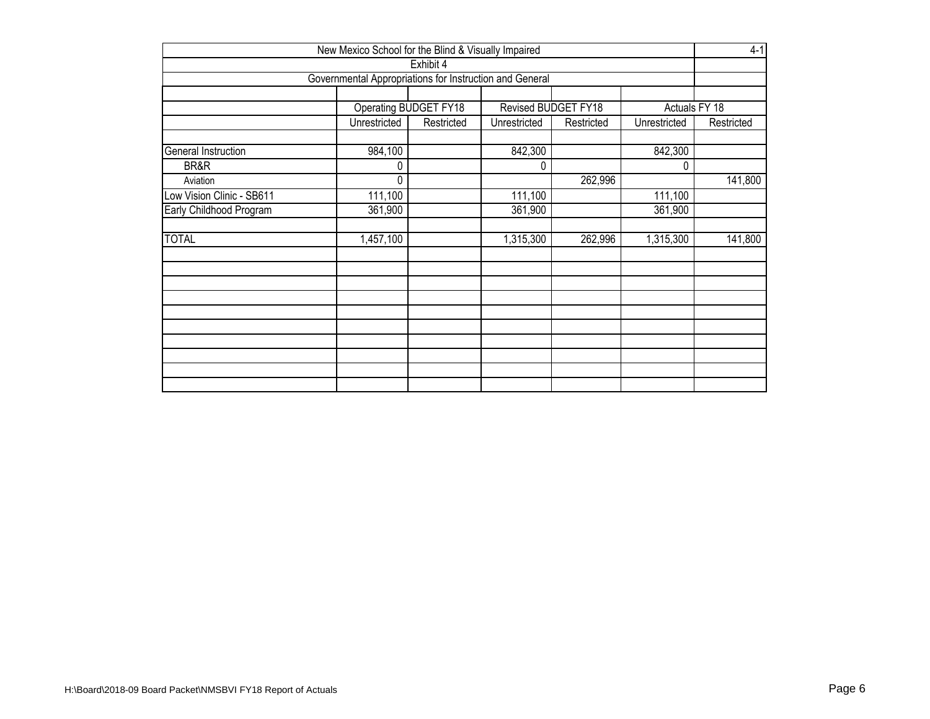| New Mexico School for the Blind & Visually Impaired |            |                                    |                                                         |                     |               |  |  |  |  |  |  |
|-----------------------------------------------------|------------|------------------------------------|---------------------------------------------------------|---------------------|---------------|--|--|--|--|--|--|
|                                                     |            |                                    |                                                         |                     |               |  |  |  |  |  |  |
|                                                     |            |                                    |                                                         |                     |               |  |  |  |  |  |  |
|                                                     |            |                                    |                                                         |                     |               |  |  |  |  |  |  |
| Unrestricted                                        | Restricted | Unrestricted                       | Restricted                                              | Unrestricted        | Restricted    |  |  |  |  |  |  |
| 984,100                                             |            | 842,300                            |                                                         | 842,300             |               |  |  |  |  |  |  |
| 0                                                   |            | 0                                  |                                                         | 0                   |               |  |  |  |  |  |  |
| 0                                                   |            |                                    | 262,996                                                 |                     | 141,800       |  |  |  |  |  |  |
| 111,100                                             |            | 111,100                            |                                                         | 111,100             |               |  |  |  |  |  |  |
| 361,900                                             |            | 361,900                            |                                                         | 361,900             |               |  |  |  |  |  |  |
| 1,457,100                                           |            | 1,315,300                          | 262,996                                                 | 1,315,300           | 141,800       |  |  |  |  |  |  |
|                                                     |            |                                    |                                                         |                     |               |  |  |  |  |  |  |
|                                                     |            |                                    |                                                         |                     |               |  |  |  |  |  |  |
|                                                     |            |                                    |                                                         |                     |               |  |  |  |  |  |  |
|                                                     |            |                                    |                                                         |                     |               |  |  |  |  |  |  |
|                                                     |            |                                    |                                                         |                     |               |  |  |  |  |  |  |
|                                                     |            | Exhibit 4<br>Operating BUDGET FY18 | Governmental Appropriations for Instruction and General | Revised BUDGET FY18 | Actuals FY 18 |  |  |  |  |  |  |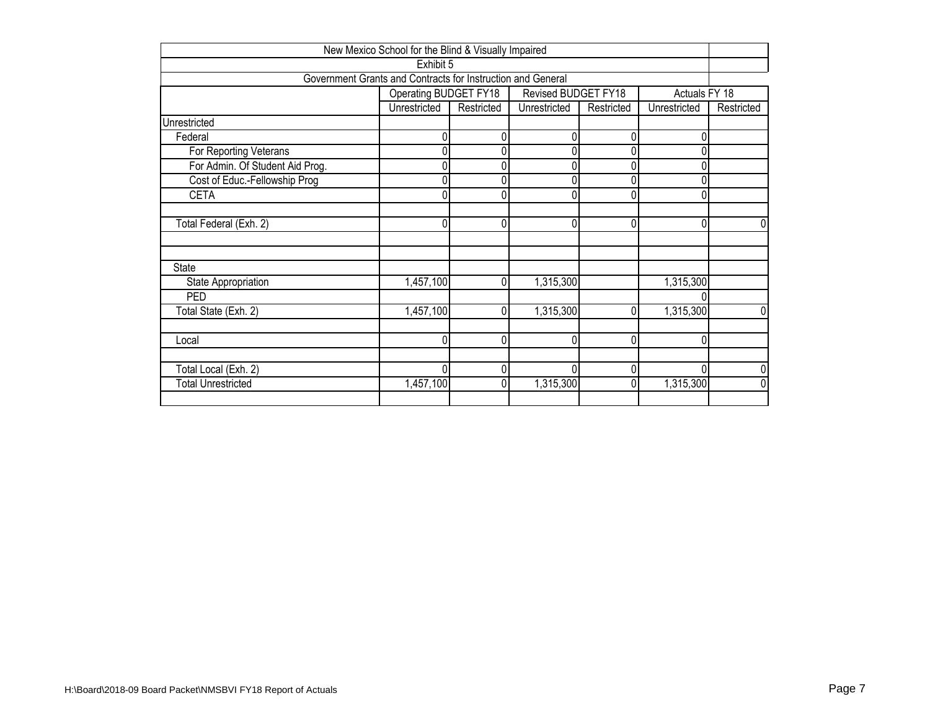|                                                             | New Mexico School for the Blind & Visually Impaired |            |                     |            |               |            |  |  |
|-------------------------------------------------------------|-----------------------------------------------------|------------|---------------------|------------|---------------|------------|--|--|
|                                                             | Exhibit 5                                           |            |                     |            |               |            |  |  |
| Government Grants and Contracts for Instruction and General |                                                     |            |                     |            |               |            |  |  |
|                                                             | <b>Operating BUDGET FY18</b>                        |            | Revised BUDGET FY18 |            | Actuals FY 18 |            |  |  |
|                                                             | Unrestricted                                        | Restricted | Unrestricted        | Restricted | Unrestricted  | Restricted |  |  |
| Unrestricted                                                |                                                     |            |                     |            |               |            |  |  |
| Federal                                                     |                                                     |            | 0                   |            | 0             |            |  |  |
| For Reporting Veterans                                      | 0                                                   |            | 0                   |            | 0             |            |  |  |
| For Admin. Of Student Aid Prog.                             | ſ                                                   | 0          | 0                   |            | 0             |            |  |  |
| Cost of Educ.-Fellowship Prog                               | ſ                                                   |            | 0                   |            | 0             |            |  |  |
| <b>CETA</b>                                                 | ſ                                                   | 0          | 0                   |            | 0             |            |  |  |
|                                                             |                                                     |            |                     |            |               |            |  |  |
| Total Federal (Exh. 2)                                      | ſ                                                   | 0          | 0                   | 0          | 0             |            |  |  |
|                                                             |                                                     |            |                     |            |               |            |  |  |
|                                                             |                                                     |            |                     |            |               |            |  |  |
| State                                                       |                                                     |            |                     |            |               |            |  |  |
| State Appropriation                                         | 1,457,100                                           | 0          | 1,315,300           |            | 1,315,300     |            |  |  |
| PED                                                         |                                                     |            |                     |            | 0             |            |  |  |
| Total State (Exh. 2)                                        | 1,457,100                                           | $\Omega$   | 1,315,300           |            | 1,315,300     |            |  |  |
|                                                             |                                                     |            |                     |            |               |            |  |  |
| Local                                                       | $\Omega$                                            | 0          | $\Omega$            | $\Omega$   | 0             |            |  |  |
|                                                             |                                                     |            |                     |            |               |            |  |  |
| Total Local (Exh. 2)                                        | $\mathbf{0}$<br>0<br>$\Omega$<br>0<br>0             |            |                     |            |               |            |  |  |
| <b>Total Unrestricted</b>                                   | 1,457,100                                           | 0          | 1,315,300           | 0          | 1,315,300     |            |  |  |
|                                                             |                                                     |            |                     |            |               |            |  |  |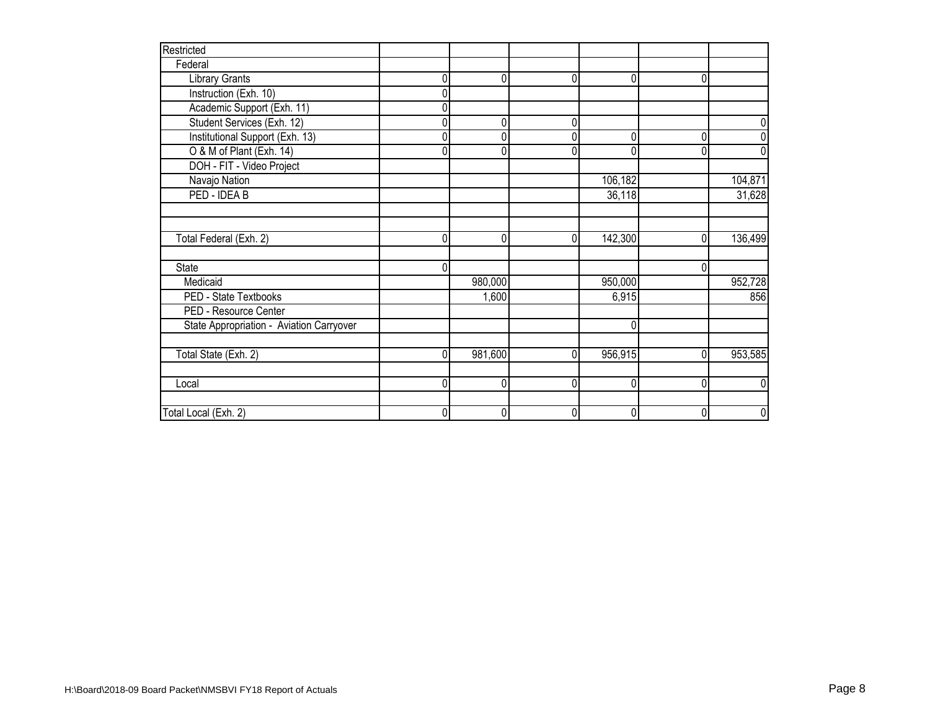| Restricted                               |          |             |          |         |              |         |
|------------------------------------------|----------|-------------|----------|---------|--------------|---------|
| Federal                                  |          |             |          |         |              |         |
| <b>Library Grants</b>                    | 0        | $\mathbf 0$ | 0        | 0       | $\mathbf{0}$ |         |
| Instruction (Exh. 10)                    | ſ        |             |          |         |              |         |
| Academic Support (Exh. 11)               |          |             |          |         |              |         |
| Student Services (Exh. 12)               | 0        | 0           | 0        |         |              |         |
| Institutional Support (Exh. 13)          | 0        | 0           | ſ        | 0       | 0            |         |
| O & M of Plant (Exh. 14)                 | 0        | 0           | 0        | 0       | $\mathbf{0}$ |         |
| DOH - FIT - Video Project                |          |             |          |         |              |         |
| Navajo Nation                            |          |             |          | 106,182 |              | 104,871 |
| PED - IDEA B                             |          |             |          | 36,118  |              | 31,628  |
|                                          |          |             |          |         |              |         |
|                                          |          |             |          |         |              |         |
| Total Federal (Exh. 2)                   | 0        | 0           | O        | 142,300 | $\Omega$     | 136,499 |
| <b>State</b>                             | 0        |             |          |         | $\Omega$     |         |
| Medicaid                                 |          | 980,000     |          | 950,000 |              | 952,728 |
| PED - State Textbooks                    |          | 1,600       |          | 6,915   |              | 856     |
| PED - Resource Center                    |          |             |          |         |              |         |
| State Appropriation - Aviation Carryover |          |             |          | 0       |              |         |
|                                          |          |             |          |         |              |         |
| Total State (Exh. 2)                     | 0        | 981,600     | $\Omega$ | 956,915 | $\Omega$     | 953,585 |
| Local                                    | $\Omega$ | $\mathbf 0$ | $\Omega$ | 0       | 0            | U       |
|                                          |          |             |          |         |              |         |
| Total Local (Exh. 2)                     | 0        | 0           | ſ        | 0       | $\Omega$     |         |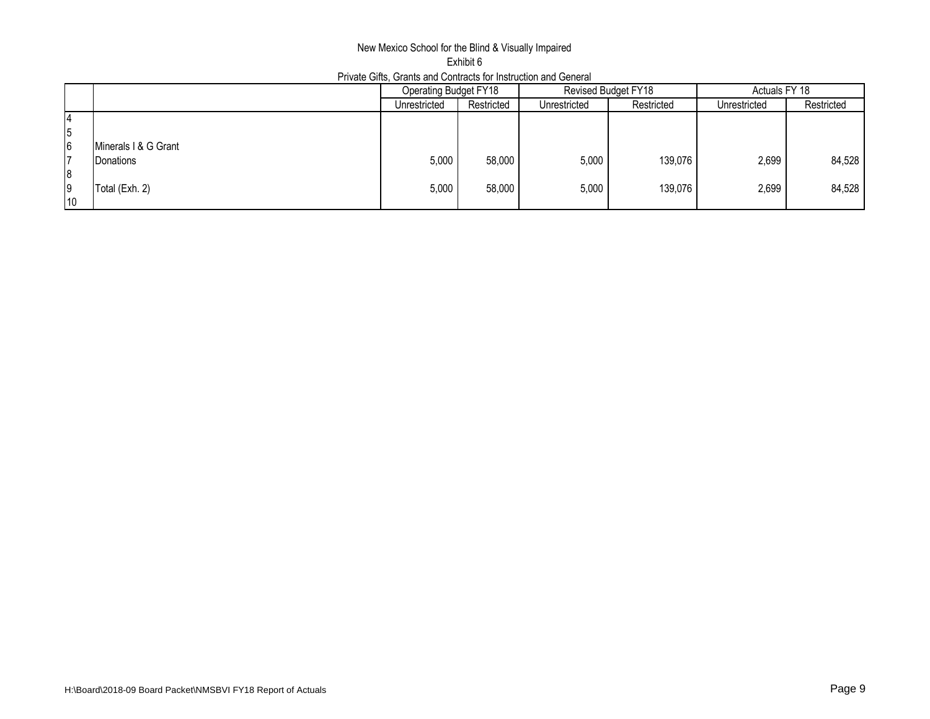## New Mexico School for the Blind & Visually Impaired Exhibit 6 Private Gifts, Grants and Contracts for Instruction and General

|    |                      | <b>Operating Budget FY18</b> |            |              | Revised Budget FY18 | Actuals FY 18 |            |
|----|----------------------|------------------------------|------------|--------------|---------------------|---------------|------------|
|    |                      | Unrestricted                 | Restricted | Unrestricted | Restricted          | Unrestricted  | Restricted |
| 14 |                      |                              |            |              |                     |               |            |
| 5  |                      |                              |            |              |                     |               |            |
| 6  | Minerals I & G Grant |                              |            |              |                     |               |            |
| 17 | Donations            | 5,000                        | 58,000     | 5,000        | 139,076             | 2,699         | 84,528     |
| 8  |                      |                              |            |              |                     |               |            |
| 9  | Total (Exh. 2)       | 5,000                        | 58,000     | 5,000        | 139,076             | 2,699         | 84,528     |
| 10 |                      |                              |            |              |                     |               |            |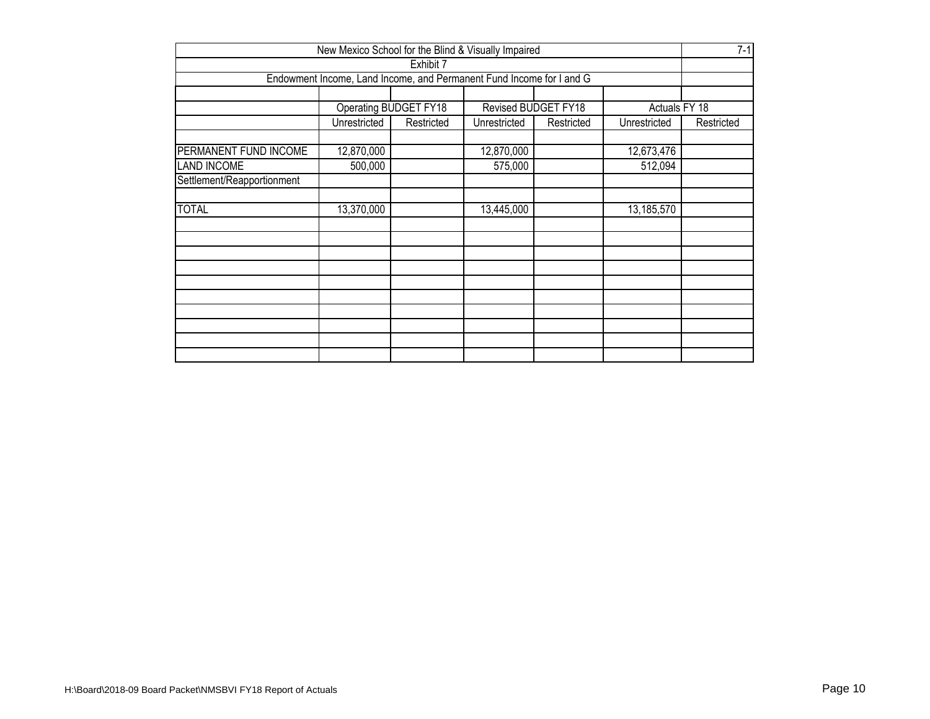|                            | New Mexico School for the Blind & Visually Impaired                  |                       |              |                     |               | $7 - 1$    |
|----------------------------|----------------------------------------------------------------------|-----------------------|--------------|---------------------|---------------|------------|
|                            |                                                                      | Exhibit 7             |              |                     |               |            |
|                            | Endowment Income, Land Income, and Permanent Fund Income for I and G |                       |              |                     |               |            |
|                            |                                                                      |                       |              |                     |               |            |
|                            |                                                                      | Operating BUDGET FY18 |              | Revised BUDGET FY18 | Actuals FY 18 |            |
|                            | Unrestricted                                                         | Restricted            | Unrestricted | Restricted          | Unrestricted  | Restricted |
|                            |                                                                      |                       |              |                     |               |            |
| PERMANENT FUND INCOME      | 12,870,000                                                           |                       | 12,870,000   |                     | 12,673,476    |            |
| <b>LAND INCOME</b>         | 500,000                                                              |                       | 575,000      |                     | 512,094       |            |
| Settlement/Reapportionment |                                                                      |                       |              |                     |               |            |
|                            |                                                                      |                       |              |                     |               |            |
| <b>TOTAL</b>               | 13,370,000                                                           |                       | 13,445,000   |                     | 13,185,570    |            |
|                            |                                                                      |                       |              |                     |               |            |
|                            |                                                                      |                       |              |                     |               |            |
|                            |                                                                      |                       |              |                     |               |            |
|                            |                                                                      |                       |              |                     |               |            |
|                            |                                                                      |                       |              |                     |               |            |
|                            |                                                                      |                       |              |                     |               |            |
|                            |                                                                      |                       |              |                     |               |            |
|                            |                                                                      |                       |              |                     |               |            |
|                            |                                                                      |                       |              |                     |               |            |
|                            |                                                                      |                       |              |                     |               |            |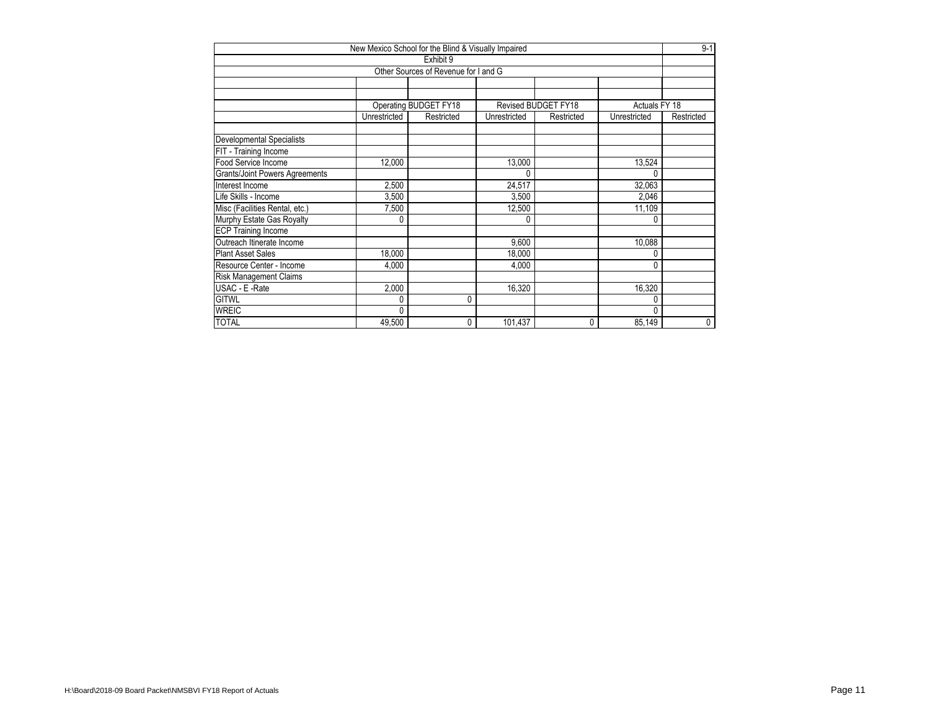|                                       | New Mexico School for the Blind & Visually Impaired |                                      |              |                            |               |             |  |  |  |  |  |  |
|---------------------------------------|-----------------------------------------------------|--------------------------------------|--------------|----------------------------|---------------|-------------|--|--|--|--|--|--|
|                                       |                                                     | Exhibit 9                            |              |                            |               |             |  |  |  |  |  |  |
|                                       |                                                     | Other Sources of Revenue for I and G |              |                            |               |             |  |  |  |  |  |  |
|                                       |                                                     |                                      |              |                            |               |             |  |  |  |  |  |  |
|                                       |                                                     |                                      |              |                            |               |             |  |  |  |  |  |  |
|                                       |                                                     | Operating BUDGET FY18                |              | <b>Revised BUDGET FY18</b> | Actuals FY 18 |             |  |  |  |  |  |  |
|                                       | Unrestricted                                        | Restricted                           | Unrestricted | Restricted                 | Unrestricted  | Restricted  |  |  |  |  |  |  |
| <b>Developmental Specialists</b>      |                                                     |                                      |              |                            |               |             |  |  |  |  |  |  |
| FIT - Training Income                 |                                                     |                                      |              |                            |               |             |  |  |  |  |  |  |
| Food Service Income                   | 12,000                                              |                                      | 13,000       |                            | 13,524        |             |  |  |  |  |  |  |
| <b>Grants/Joint Powers Agreements</b> |                                                     |                                      |              |                            | 0             |             |  |  |  |  |  |  |
| Interest Income                       | 2,500                                               |                                      | 24,517       |                            | 32,063        |             |  |  |  |  |  |  |
| Life Skills - Income                  | 3,500                                               |                                      | 3,500        |                            | 2,046         |             |  |  |  |  |  |  |
| Misc (Facilities Rental, etc.)        | 7,500                                               |                                      | 12,500       |                            | 11,109        |             |  |  |  |  |  |  |
| Murphy Estate Gas Royalty             | 0                                                   |                                      | 0            |                            | 0             |             |  |  |  |  |  |  |
| <b>ECP Training Income</b>            |                                                     |                                      |              |                            |               |             |  |  |  |  |  |  |
| Outreach Itinerate Income             |                                                     |                                      | 9,600        |                            | 10,088        |             |  |  |  |  |  |  |
| <b>Plant Asset Sales</b>              | 18,000                                              |                                      | 18,000       |                            | 0             |             |  |  |  |  |  |  |
| Resource Center - Income              | 4,000                                               |                                      | 4,000        |                            | 0             |             |  |  |  |  |  |  |
| <b>Risk Management Claims</b>         |                                                     |                                      |              |                            |               |             |  |  |  |  |  |  |
| USAC - E -Rate                        | 2,000                                               |                                      | 16,320       |                            | 16,320        |             |  |  |  |  |  |  |
| <b>GITWL</b>                          |                                                     | 0                                    |              |                            | 0             |             |  |  |  |  |  |  |
| <b>WREIC</b>                          |                                                     |                                      |              |                            | 0             |             |  |  |  |  |  |  |
| <b>TOTAL</b>                          | 49,500                                              | 0                                    | 101,437      | 0                          | 85,149        | $\mathbf 0$ |  |  |  |  |  |  |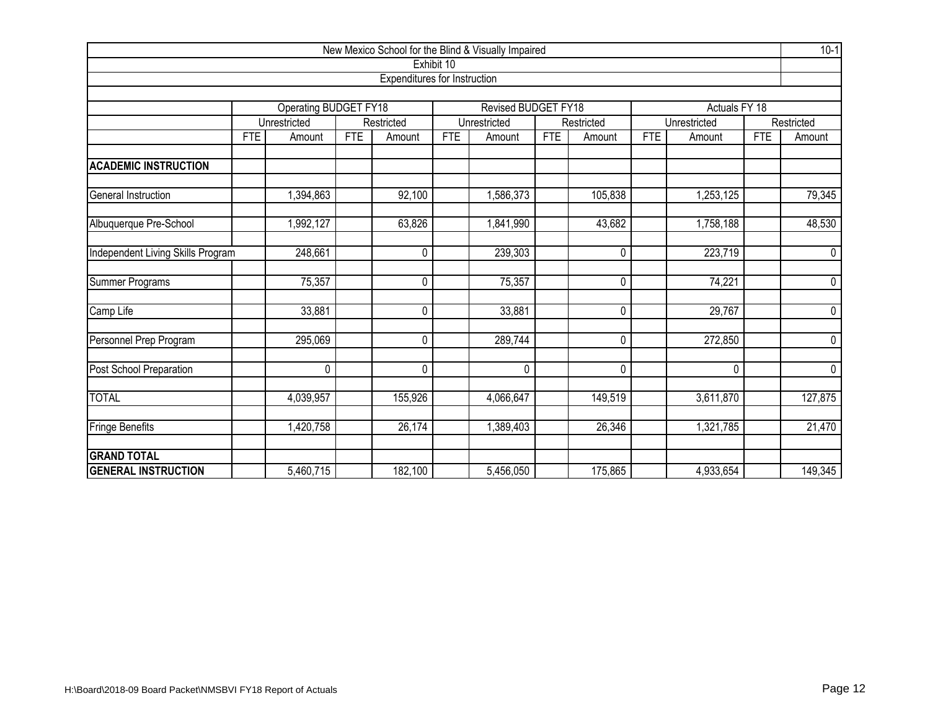| New Mexico School for the Blind & Visually Impaired |            |                       |            |                                     |            |                            |            |             |            |               |            | $10-1$   |
|-----------------------------------------------------|------------|-----------------------|------------|-------------------------------------|------------|----------------------------|------------|-------------|------------|---------------|------------|----------|
|                                                     |            |                       |            |                                     | Exhibit 10 |                            |            |             |            |               |            |          |
|                                                     |            |                       |            | <b>Expenditures for Instruction</b> |            |                            |            |             |            |               |            |          |
|                                                     |            | Operating BUDGET FY18 |            |                                     |            | <b>Revised BUDGET FY18</b> |            |             |            | Actuals FY 18 |            |          |
|                                                     |            | Unrestricted          | Restricted |                                     |            | Unrestricted               |            | Restricted  |            | Unrestricted  | Restricted |          |
|                                                     | <b>FTE</b> | Amount                | <b>FTE</b> | Amount                              | <b>FTE</b> | Amount                     | <b>FTE</b> | Amount      | <b>FTE</b> | Amount        | <b>FTE</b> | Amount   |
| <b>ACADEMIC INSTRUCTION</b>                         |            |                       |            |                                     |            |                            |            |             |            |               |            |          |
| General Instruction                                 |            | 1,394,863             |            | 92,100                              |            | 1,586,373                  |            | 105,838     |            | 1,253,125     |            | 79,345   |
| Albuquerque Pre-School                              |            | 1,992,127             |            | 63,826                              |            | 1,841,990                  |            | 43,682      |            | 1,758,188     |            | 48,530   |
| Independent Living Skills Program                   |            | 248,661               |            | 0                                   |            | 239,303                    |            | $\mathbf 0$ | 223,719    |               |            | 0        |
| Summer Programs                                     |            | 75,357                |            | $\Omega$                            |            | 75,357                     |            | 0           |            | 74,221        |            | $\Omega$ |
| Camp Life                                           |            | 33,881                |            | 0                                   |            | 33,881                     |            | 0           |            | 29,767        |            | 0        |
| Personnel Prep Program                              |            | 295,069               |            | 0                                   |            | 289,744                    |            | 0           |            | 272,850       |            | 0        |
| Post School Preparation                             |            | $\mathbf 0$           |            | 0                                   |            | $\mathbf{0}$               |            | 0           |            | $\mathbf{0}$  |            | 0        |
| <b>TOTAL</b>                                        |            | 4,039,957             |            | 155,926                             |            | 4,066,647                  |            | 149,519     |            | 3,611,870     |            | 127,875  |
| Fringe Benefits                                     |            | 1,420,758             |            | 26,174                              |            | 1,389,403                  |            | 26,346      |            | 1,321,785     |            | 21,470   |
| <b>GRAND TOTAL</b>                                  |            |                       |            |                                     |            |                            |            |             |            |               |            |          |
| <b>GENERAL INSTRUCTION</b>                          |            | 5,460,715             |            | 182,100                             |            | 5,456,050                  |            | 175,865     |            | 4,933,654     |            | 149,345  |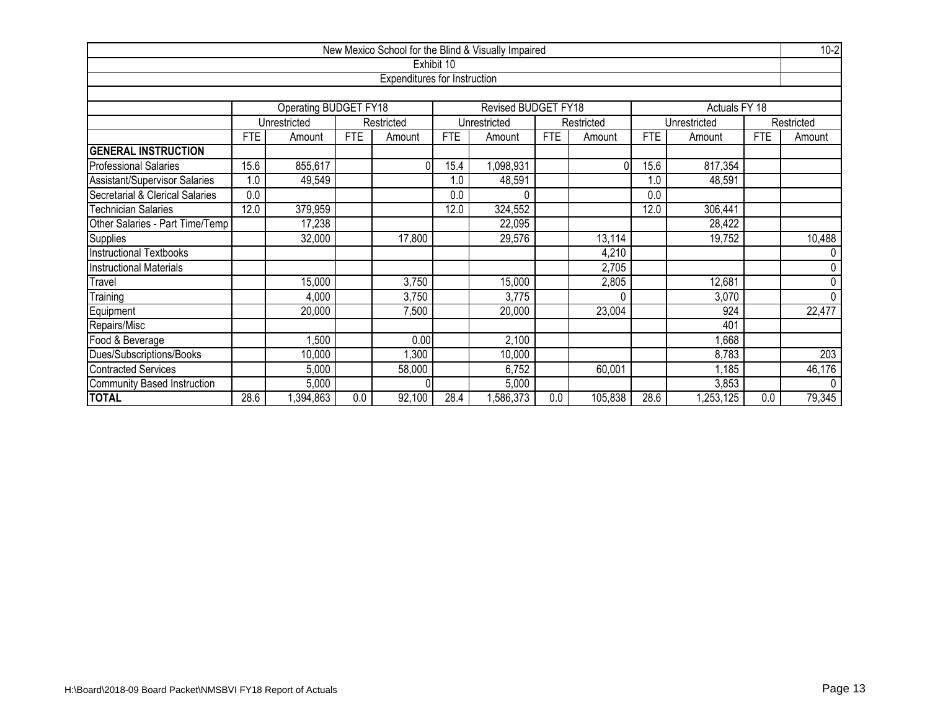|                                 |            |                       |            |                              |            | New Mexico School for the Blind & Visually Impaired |            |            |            |               |            | $10-2$           |
|---------------------------------|------------|-----------------------|------------|------------------------------|------------|-----------------------------------------------------|------------|------------|------------|---------------|------------|------------------|
|                                 |            |                       |            |                              | Exhibit 10 |                                                     |            |            |            |               |            |                  |
|                                 |            |                       |            | Expenditures for Instruction |            |                                                     |            |            |            |               |            |                  |
|                                 |            |                       |            |                              |            |                                                     |            |            |            |               |            |                  |
|                                 |            | Operating BUDGET FY18 |            |                              |            | Revised BUDGET FY18                                 |            |            |            | Actuals FY 18 |            |                  |
|                                 |            | Unrestricted          |            | Restricted                   |            | Unrestricted                                        |            | Restricted |            | Unrestricted  |            | Restricted       |
|                                 | <b>FTE</b> | Amount                | <b>FTE</b> | Amount                       | <b>FTE</b> | Amount                                              | <b>FTE</b> | Amount     | <b>FTE</b> | Amount        | <b>FTE</b> | Amount           |
| <b>GENERAL INSTRUCTION</b>      |            |                       |            |                              |            |                                                     |            |            |            |               |            |                  |
| <b>Professional Salaries</b>    | 15.6       | 855,617               |            |                              | 15.4       | $\sqrt{0.098}$ ,931                                 |            | O.         | 15.6       | 817,354       |            |                  |
| Assistant/Supervisor Salaries   | 1.0        | 49,549                |            |                              | 1.0        | 48,591                                              |            |            | 1.0        | 48,591        |            |                  |
| Secretarial & Clerical Salaries | 0.0        |                       |            |                              | 0.0        | 0                                                   |            |            | 0.0        |               |            |                  |
| <b>Technician Salaries</b>      | 12.0       | 379,959               |            |                              | 12.0       | 324,552                                             |            |            | 12.0       | 306,441       |            |                  |
| Other Salaries - Part Time/Temp |            | 17,238                |            |                              |            | 22,095                                              |            |            |            | 28,422        |            |                  |
| <b>Supplies</b>                 |            | 32,000                |            | 17,800                       |            | 29,576                                              |            | 13,114     |            | 19,752        |            | 10,488           |
| <b>Instructional Textbooks</b>  |            |                       |            |                              |            |                                                     |            | 4,210      |            |               |            |                  |
| <b>Instructional Materials</b>  |            |                       |            |                              |            |                                                     |            | 2,705      |            |               |            | $\Omega$         |
| Travel                          |            | 15,000                |            | 3,750                        |            | 15,000                                              |            | 2,805      |            | 12,681        |            | $\Omega$         |
| Training                        |            | 4,000                 |            | 3,750                        |            | 3,775                                               |            | 0          |            | 3,070         |            | $\mathbf 0$      |
| Equipment                       |            | 20,000                |            | 7,500                        |            | 20,000                                              |            | 23,004     |            | 924           |            | 22,477           |
| Repairs/Misc                    |            |                       |            |                              |            |                                                     |            |            |            | 401           |            |                  |
| Food & Beverage                 |            | 1,500                 |            | 0.00                         |            | 2,100                                               |            |            |            | .668          |            |                  |
| Dues/Subscriptions/Books        |            | 10,000                |            | 1,300                        |            | 10,000                                              |            |            |            | 8,783         |            | $\overline{203}$ |
| <b>Contracted Services</b>      |            | 5,000                 |            | 58,000                       |            | 6,752                                               |            | 60,001     |            | 1,185         |            | 46,176           |
| Community Based Instruction     |            | 5,000                 |            |                              |            | 5,000                                               |            |            |            | 3,853         |            | $\Omega$         |
| <b>TOTAL</b>                    | 28.6       | ,394,863              | 0.0        | 92,100                       | 28.4       | ,586,373                                            | 0.0        | 105,838    | 28.6       | 1,253,125     | 0.0        | 79,345           |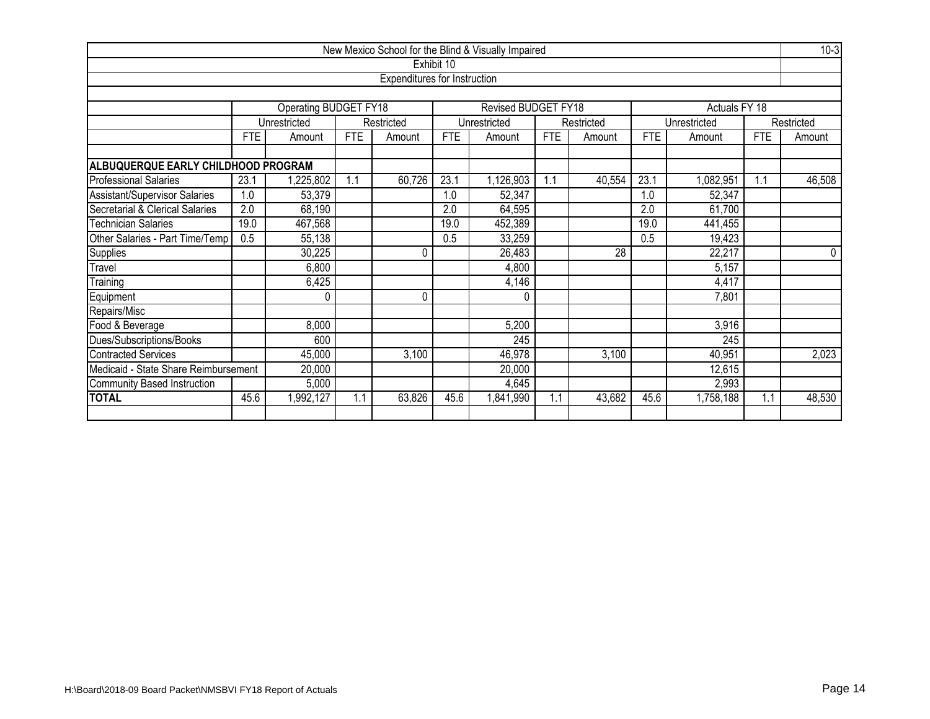|                                      |            |                              |            |                              |            | New Mexico School for the Blind & Visually Impaired |            |            |            |               |            | $10-3$     |
|--------------------------------------|------------|------------------------------|------------|------------------------------|------------|-----------------------------------------------------|------------|------------|------------|---------------|------------|------------|
|                                      |            |                              |            |                              | Exhibit 10 |                                                     |            |            |            |               |            |            |
|                                      |            |                              |            | Expenditures for Instruction |            |                                                     |            |            |            |               |            |            |
|                                      |            |                              |            |                              |            |                                                     |            |            |            |               |            |            |
|                                      |            | <b>Operating BUDGET FY18</b> |            |                              |            | Revised BUDGET FY18                                 |            |            |            | Actuals FY 18 |            |            |
|                                      |            | Unrestricted                 |            | Restricted                   |            | Unrestricted                                        |            | Restricted |            | Unrestricted  |            | Restricted |
|                                      | <b>FTE</b> | Amount                       | <b>FTE</b> | Amount                       | <b>FTE</b> | Amount                                              | <b>FTE</b> | Amount     | <b>FTE</b> | Amount        | <b>FTE</b> | Amount     |
| ALBUQUERQUE EARLY CHILDHOOD PROGRAM  |            |                              |            |                              |            |                                                     |            |            |            |               |            |            |
| <b>Professional Salaries</b>         | 23.1       | ,225,802                     | 1.1        | 60,726                       | 23.1       | 1,126,903                                           | 1.1        | 40,554     | 23.1       | 1,082,951     | 1.1        | 46,508     |
| <b>Assistant/Supervisor Salaries</b> | 1.0        | 53,379                       |            |                              | 1.0        | 52,347                                              |            |            | 1.0        | 52,347        |            |            |
| Secretarial & Clerical Salaries      | 2.0        | 68,190                       |            |                              | 2.0        | 64,595                                              |            |            | 2.0        | 61,700        |            |            |
| <b>Technician Salaries</b>           | 19.0       | 467,568                      |            |                              | 19.0       | 452,389                                             |            |            | 19.0       | 441,455       |            |            |
| Other Salaries - Part Time/Temp      | 0.5        | 55,138                       |            |                              | 0.5        | 33,259                                              |            |            | 0.5        | 19,423        |            |            |
| <b>Supplies</b>                      |            | 30,225                       |            | 0                            |            | 26,483                                              |            | 28         |            | 22,217        |            | 0          |
| Travel                               |            | 6,800                        |            |                              |            | 4,800                                               |            |            |            | 5,157         |            |            |
| Training                             |            | 6,425                        |            |                              |            | 4,146                                               |            |            |            | 4,417         |            |            |
| Equipment                            |            |                              |            | 0                            |            | $\Omega$                                            |            |            |            | 7,801         |            |            |
| Repairs/Misc                         |            |                              |            |                              |            |                                                     |            |            |            |               |            |            |
| Food & Beverage                      |            | 8,000                        |            |                              |            | 5,200                                               |            |            |            | 3,916         |            |            |
| Dues/Subscriptions/Books             |            | 600                          |            |                              |            | 245                                                 |            |            |            | 245           |            |            |
| <b>Contracted Services</b>           |            | 45,000                       |            | 3,100                        |            | 46,978                                              |            | 3,100      |            | 40,951        |            | 2,023      |
| Medicaid - State Share Reimbursement |            | 20,000                       |            |                              |            | 20,000                                              |            |            |            | 12,615        |            |            |
| Community Based Instruction          |            | 5,000                        |            |                              |            | 4,645                                               |            |            |            | 2,993         |            |            |
| <b>TOTAL</b>                         | 45.6       | 1,992,127                    | 1.1        | 63,826                       | 45.6       | 1,841,990                                           | 1.1        | 43,682     | 45.6       | 1,758,188     | 1.1        | 48,530     |
|                                      |            |                              |            |                              |            |                                                     |            |            |            |               |            |            |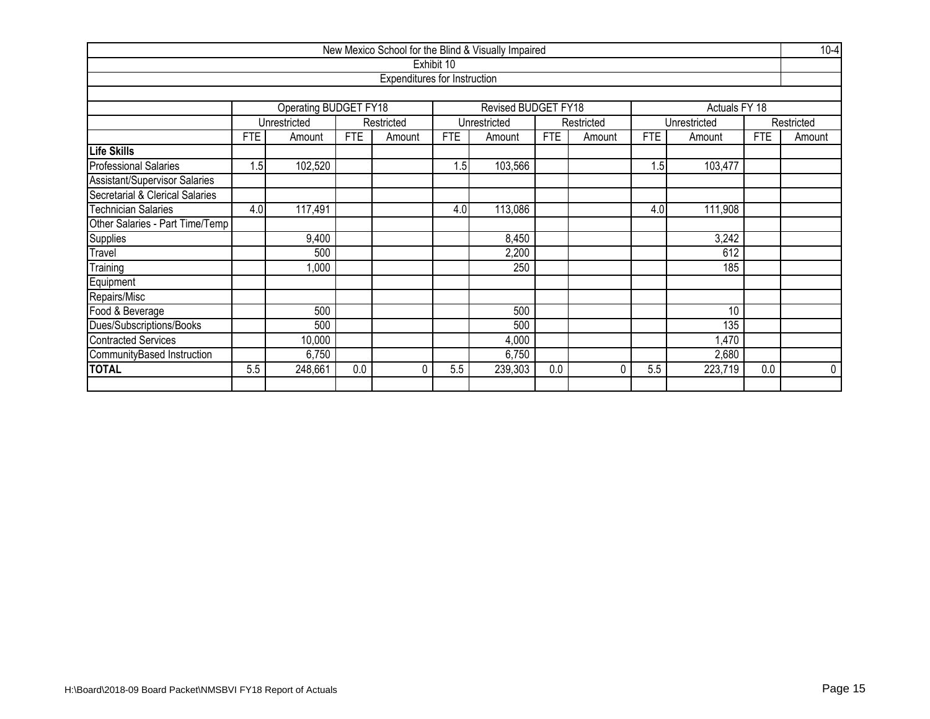|                                 |              |                       |            |                                     |            | New Mexico School for the Blind & Visually Impaired |            |            |            |               |            | $10-4$      |
|---------------------------------|--------------|-----------------------|------------|-------------------------------------|------------|-----------------------------------------------------|------------|------------|------------|---------------|------------|-------------|
|                                 |              |                       |            |                                     | Exhibit 10 |                                                     |            |            |            |               |            |             |
|                                 |              |                       |            | <b>Expenditures for Instruction</b> |            |                                                     |            |            |            |               |            |             |
|                                 |              |                       |            |                                     |            |                                                     |            |            |            |               |            |             |
|                                 |              | Operating BUDGET FY18 |            |                                     |            | Revised BUDGET FY18                                 |            |            |            | Actuals FY 18 |            |             |
|                                 |              | Unrestricted          |            | Restricted                          |            | Unrestricted                                        |            | Restricted |            | Unrestricted  |            | Restricted  |
|                                 | <b>FTE</b>   | Amount                | <b>FTE</b> | Amount                              | <b>FTE</b> | Amount                                              | <b>FTE</b> | Amount     | <b>FTE</b> | Amount        | <b>FTE</b> | Amount      |
| <b>Life Skills</b>              |              |                       |            |                                     |            |                                                     |            |            |            |               |            |             |
| <b>Professional Salaries</b>    | $.5 \square$ | 102,520               |            |                                     | 1.5        | 103,566                                             |            |            | 1.5        | 103,477       |            |             |
| Assistant/Supervisor Salaries   |              |                       |            |                                     |            |                                                     |            |            |            |               |            |             |
| Secretarial & Clerical Salaries |              |                       |            |                                     |            |                                                     |            |            |            |               |            |             |
| <b>Technician Salaries</b>      | 4.0          | 117,491               |            |                                     | 4.0        | 113,086                                             |            |            | 4.0        | 111,908       |            |             |
| Other Salaries - Part Time/Temp |              |                       |            |                                     |            |                                                     |            |            |            |               |            |             |
| <b>Supplies</b>                 |              | 9,400                 |            |                                     |            | 8,450                                               |            |            |            | 3,242         |            |             |
| Travel                          |              | 500                   |            |                                     |            | 2,200                                               |            |            |            | 612           |            |             |
| Training                        |              | 1,000                 |            |                                     |            | 250                                                 |            |            |            | 185           |            |             |
| Equipment                       |              |                       |            |                                     |            |                                                     |            |            |            |               |            |             |
| Repairs/Misc                    |              |                       |            |                                     |            |                                                     |            |            |            |               |            |             |
| Food & Beverage                 |              | 500                   |            |                                     |            | 500                                                 |            |            |            | 10            |            |             |
| Dues/Subscriptions/Books        |              | 500                   |            |                                     |            | 500                                                 |            |            |            | 135           |            |             |
| <b>Contracted Services</b>      |              | 10,000                |            |                                     |            | 4,000                                               |            |            |            | 1,470         |            |             |
| CommunityBased Instruction      |              | 6,750                 |            |                                     |            | 6,750                                               |            |            |            | 2,680         |            |             |
| <b>TOTAL</b>                    | 5.5          | 248,661               | 0.0        | 0                                   | 5.5        | 239,303                                             | 0.0        | 0          | 5.5        | 223,719       | 0.0        | $\mathbf 0$ |
|                                 |              |                       |            |                                     |            |                                                     |            |            |            |               |            |             |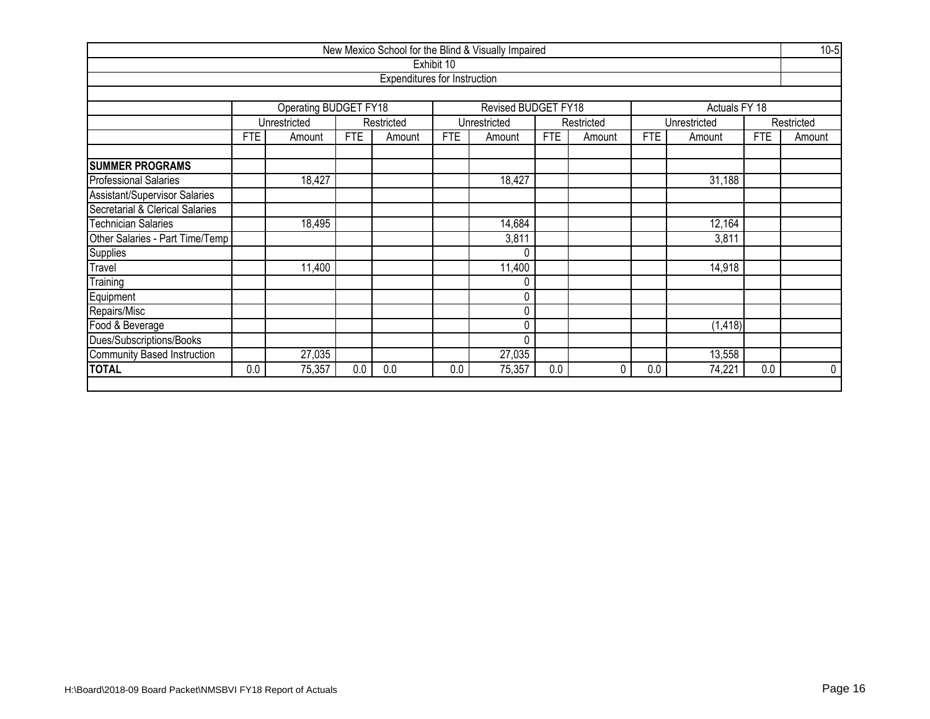|                                    |                             |                              |     |                                     |            | New Mexico School for the Blind & Visually Impaired |            |            |            |               |            | $10-5$      |
|------------------------------------|-----------------------------|------------------------------|-----|-------------------------------------|------------|-----------------------------------------------------|------------|------------|------------|---------------|------------|-------------|
|                                    |                             |                              |     |                                     | Exhibit 10 |                                                     |            |            |            |               |            |             |
|                                    |                             |                              |     | <b>Expenditures for Instruction</b> |            |                                                     |            |            |            |               |            |             |
|                                    |                             |                              |     |                                     |            |                                                     |            |            |            |               |            |             |
|                                    |                             | <b>Operating BUDGET FY18</b> |     |                                     |            | Revised BUDGET FY18                                 |            |            |            | Actuals FY 18 |            |             |
|                                    |                             | Unrestricted                 |     | Restricted                          |            | Unrestricted                                        |            | Restricted |            | Unrestricted  |            | Restricted  |
|                                    | <b>FTE</b><br>Amount<br>0.0 |                              |     | Amount                              | <b>FTE</b> | Amount                                              | <b>FTE</b> | Amount     | <b>FTE</b> | Amount        | <b>FTE</b> | Amount      |
|                                    |                             |                              |     |                                     |            |                                                     |            |            |            |               |            |             |
| <b>SUMMER PROGRAMS</b>             |                             |                              |     |                                     |            |                                                     |            |            |            |               |            |             |
| <b>Professional Salaries</b>       |                             | 18,427                       |     |                                     |            | 18,427                                              |            |            |            | 31,188        |            |             |
| Assistant/Supervisor Salaries      |                             |                              |     |                                     |            |                                                     |            |            |            |               |            |             |
| Secretarial & Clerical Salaries    |                             |                              |     |                                     |            |                                                     |            |            |            |               |            |             |
| Technician Salaries                |                             | 18,495                       |     |                                     |            | 14,684                                              |            |            |            | 12,164        |            |             |
| Other Salaries - Part Time/Temp    |                             |                              |     |                                     |            | 3,811                                               |            |            |            | 3,811         |            |             |
| Supplies                           |                             |                              |     |                                     |            | $\Omega$                                            |            |            |            |               |            |             |
| Travel                             |                             | 11,400                       |     |                                     |            | 11,400                                              |            |            |            | 14,918        |            |             |
| Training                           |                             |                              |     |                                     |            | 0                                                   |            |            |            |               |            |             |
| Equipment                          |                             |                              |     |                                     |            | 0                                                   |            |            |            |               |            |             |
| Repairs/Misc                       |                             |                              |     |                                     |            | 0                                                   |            |            |            |               |            |             |
| Food & Beverage                    |                             |                              |     |                                     |            | 0                                                   |            |            |            | (1, 418)      |            |             |
| Dues/Subscriptions/Books           |                             |                              |     |                                     |            | $\Omega$                                            |            |            |            |               |            |             |
| <b>Community Based Instruction</b> |                             | 27,035                       |     |                                     |            | 27,035                                              |            |            |            | 13,558        |            |             |
| <b>TOTAL</b>                       |                             | 75,357                       | 0.0 | 0.0                                 | 0.0        | 75,357                                              | 0.0        | 0          | 0.0        | 74,221        | 0.0        | $\mathbf 0$ |
|                                    |                             |                              |     |                                     |            |                                                     |            |            |            |               |            |             |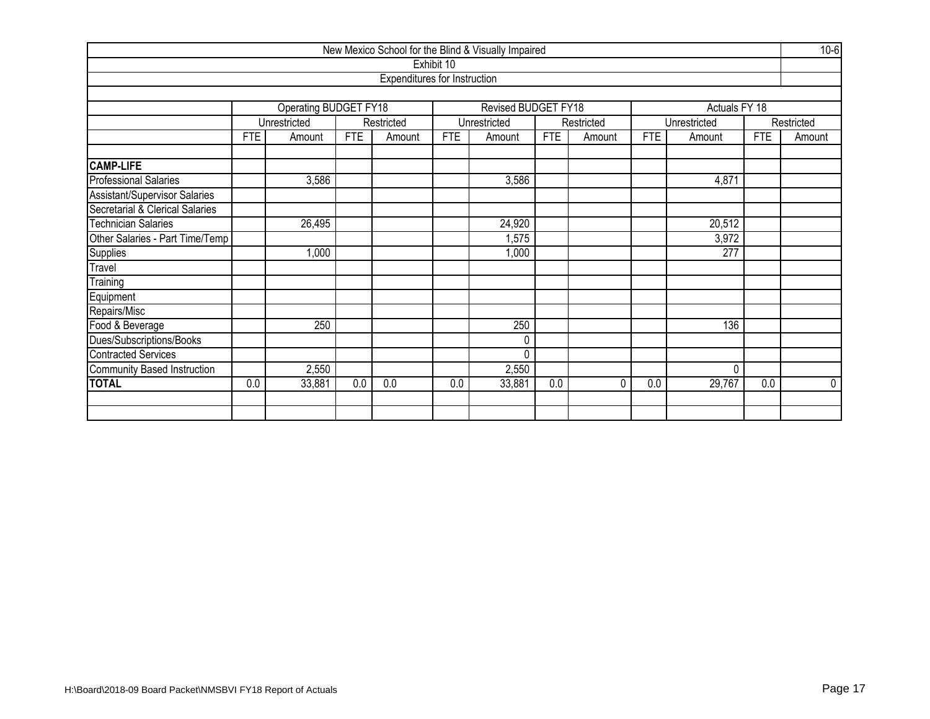|                                 |            |                       |            |                              |            | New Mexico School for the Blind & Visually Impaired |            |            |            |               |            | $10-6$      |
|---------------------------------|------------|-----------------------|------------|------------------------------|------------|-----------------------------------------------------|------------|------------|------------|---------------|------------|-------------|
|                                 |            |                       |            |                              | Exhibit 10 |                                                     |            |            |            |               |            |             |
|                                 |            |                       |            | Expenditures for Instruction |            |                                                     |            |            |            |               |            |             |
|                                 |            |                       |            |                              |            |                                                     |            |            |            |               |            |             |
|                                 |            | Operating BUDGET FY18 |            |                              |            | Revised BUDGET FY18                                 |            |            |            | Actuals FY 18 |            |             |
|                                 |            | Unrestricted          |            | Restricted                   |            | Unrestricted                                        |            | Restricted |            | Unrestricted  |            | Restricted  |
|                                 | <b>FTE</b> | Amount                | <b>FTE</b> | Amount                       | <b>FTE</b> | Amount                                              | <b>FTE</b> | Amount     | <b>FTE</b> | Amount        | <b>FTE</b> | Amount      |
| <b>CAMP-LIFE</b>                |            |                       |            |                              |            |                                                     |            |            |            |               |            |             |
| <b>Professional Salaries</b>    |            | 3,586                 |            |                              |            | 3,586                                               |            |            |            | 4,871         |            |             |
| Assistant/Supervisor Salaries   |            |                       |            |                              |            |                                                     |            |            |            |               |            |             |
| Secretarial & Clerical Salaries |            |                       |            |                              |            |                                                     |            |            |            |               |            |             |
| <b>Technician Salaries</b>      |            | 26,495                |            |                              |            | 24,920                                              |            |            |            | 20,512        |            |             |
| Other Salaries - Part Time/Temp |            |                       |            |                              |            | 1,575                                               |            |            |            | 3,972         |            |             |
| Supplies                        |            | 1,000                 |            |                              |            | 1,000                                               |            |            |            | 277           |            |             |
| Travel                          |            |                       |            |                              |            |                                                     |            |            |            |               |            |             |
| Training                        |            |                       |            |                              |            |                                                     |            |            |            |               |            |             |
| Equipment                       |            |                       |            |                              |            |                                                     |            |            |            |               |            |             |
| Repairs/Misc                    |            |                       |            |                              |            |                                                     |            |            |            |               |            |             |
| Food & Beverage                 |            | 250                   |            |                              |            | 250                                                 |            |            |            | 136           |            |             |
| Dues/Subscriptions/Books        |            |                       |            |                              |            | 0                                                   |            |            |            |               |            |             |
| <b>Contracted Services</b>      |            |                       |            |                              |            | 0                                                   |            |            |            |               |            |             |
| Community Based Instruction     |            | 2,550                 |            |                              |            | 2,550                                               |            |            |            | $\mathbf 0$   |            |             |
| <b>TOTAL</b>                    | 0.0        | 33,881                | 0.0        | 0.0                          | 0.0        | 33,881                                              | 0.0        | 0          | 0.0        | 29,767        | 0.0        | $\mathbf 0$ |
|                                 |            |                       |            |                              |            |                                                     |            |            |            |               |            |             |
|                                 |            |                       |            |                              |            |                                                     |            |            |            |               |            |             |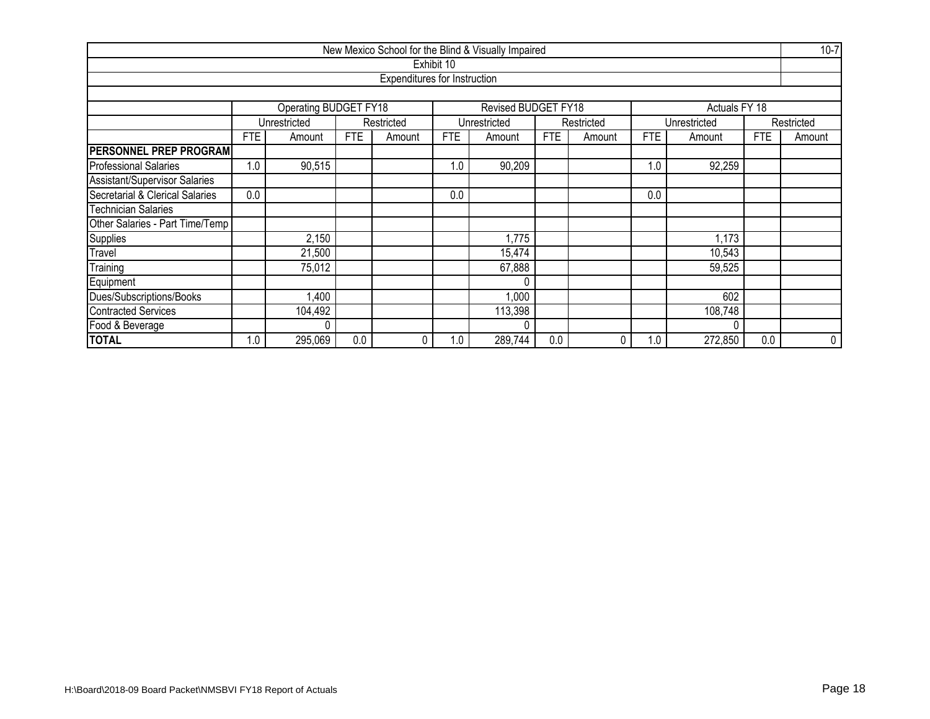|                                 |            |                              |            |                              |            | New Mexico School for the Blind & Visually Impaired |            |            |            |               |            | $10-7$     |
|---------------------------------|------------|------------------------------|------------|------------------------------|------------|-----------------------------------------------------|------------|------------|------------|---------------|------------|------------|
|                                 |            |                              |            |                              | Exhibit 10 |                                                     |            |            |            |               |            |            |
|                                 |            |                              |            | Expenditures for Instruction |            |                                                     |            |            |            |               |            |            |
|                                 |            |                              |            |                              |            |                                                     |            |            |            |               |            |            |
|                                 |            | <b>Operating BUDGET FY18</b> |            |                              |            | Revised BUDGET FY18                                 |            |            |            | Actuals FY 18 |            |            |
|                                 |            | Unrestricted                 |            | Restricted                   |            | Unrestricted                                        |            | Restricted |            | Unrestricted  |            | Restricted |
|                                 | <b>FTE</b> | Amount                       | <b>FTE</b> | Amount                       | <b>FTE</b> | Amount                                              | <b>FTE</b> | Amount     | <b>FTE</b> | Amount        | <b>FTE</b> | Amount     |
| <b>PERSONNEL PREP PROGRAM</b>   |            |                              |            |                              |            |                                                     |            |            |            |               |            |            |
| <b>Professional Salaries</b>    | 1.0        | 90,515                       |            |                              | 1.0        | 90,209                                              |            |            | 1.0        | 92,259        |            |            |
| Assistant/Supervisor Salaries   |            |                              |            |                              |            |                                                     |            |            |            |               |            |            |
| Secretarial & Clerical Salaries | 0.0        |                              |            |                              | 0.0        |                                                     |            |            | 0.0        |               |            |            |
| <b>Technician Salaries</b>      |            |                              |            |                              |            |                                                     |            |            |            |               |            |            |
| Other Salaries - Part Time/Temp |            |                              |            |                              |            |                                                     |            |            |            |               |            |            |
| Supplies                        |            | 2,150                        |            |                              |            | 1,775                                               |            |            |            | 1,173         |            |            |
| Travel                          |            | 21,500                       |            |                              |            | 15,474                                              |            |            |            | 10,543        |            |            |
| Training                        |            | 75,012                       |            |                              |            | 67,888                                              |            |            |            | 59,525        |            |            |
| Equipment                       |            |                              |            |                              |            |                                                     |            |            |            |               |            |            |
| Dues/Subscriptions/Books        |            | 1,400                        |            |                              |            | 1,000                                               |            |            |            | 602           |            |            |
| <b>Contracted Services</b>      |            | 104,492                      |            |                              |            | 113,398                                             |            |            |            | 108,748       |            |            |
| Food & Beverage                 |            |                              |            |                              |            |                                                     |            |            |            |               |            |            |
| <b>TOTAL</b>                    | 1.0        | 295,069                      | 0.0        | 0                            | 1.0        | 289,744                                             | 0.0        | 0          | 1.0        | 272,850       | 0.0        | 0          |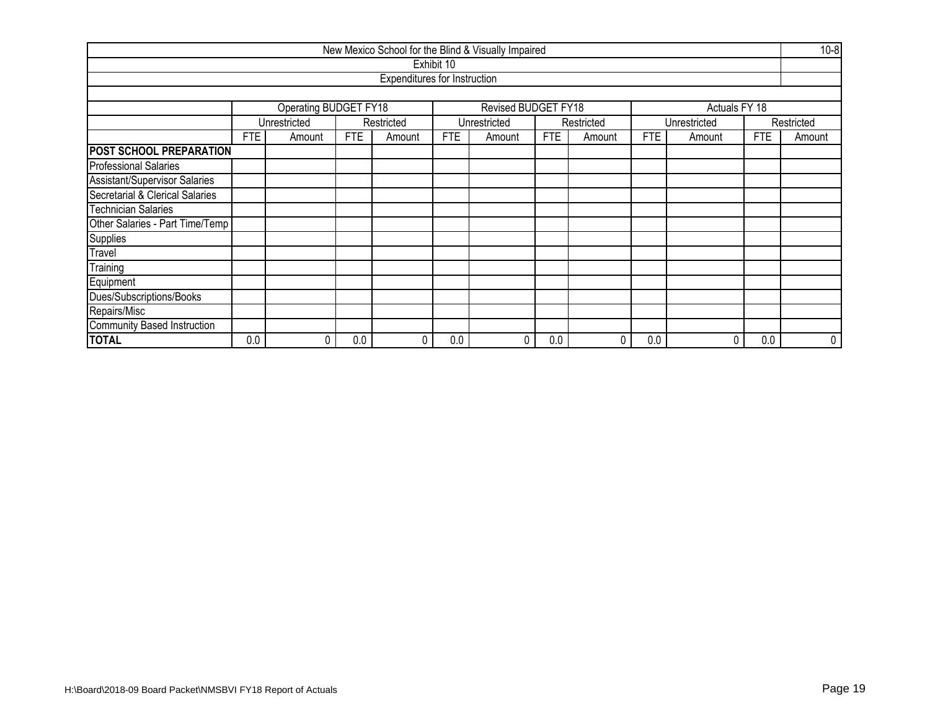|                                 |     |                              |     |                                     |            | New Mexico School for the Blind & Visually Impaired |            |            |            |               |            | $10 - 8$   |
|---------------------------------|-----|------------------------------|-----|-------------------------------------|------------|-----------------------------------------------------|------------|------------|------------|---------------|------------|------------|
|                                 |     |                              |     |                                     | Exhibit 10 |                                                     |            |            |            |               |            |            |
|                                 |     |                              |     | <b>Expenditures for Instruction</b> |            |                                                     |            |            |            |               |            |            |
|                                 |     |                              |     |                                     |            |                                                     |            |            |            |               |            |            |
|                                 |     | <b>Operating BUDGET FY18</b> |     |                                     |            | Revised BUDGET FY18                                 |            |            |            | Actuals FY 18 |            |            |
|                                 |     | Unrestricted                 |     | Restricted                          |            | Unrestricted                                        |            | Restricted |            | Unrestricted  |            | Restricted |
|                                 | FTE | Amount                       | FTE | Amount                              | <b>FTE</b> | Amount                                              | <b>FTE</b> | Amount     | <b>FTE</b> | Amount        | <b>FTE</b> | Amount     |
| <b>POST SCHOOL PREPARATION</b>  |     |                              |     |                                     |            |                                                     |            |            |            |               |            |            |
| <b>Professional Salaries</b>    |     |                              |     |                                     |            |                                                     |            |            |            |               |            |            |
| Assistant/Supervisor Salaries   |     |                              |     |                                     |            |                                                     |            |            |            |               |            |            |
| Secretarial & Clerical Salaries |     |                              |     |                                     |            |                                                     |            |            |            |               |            |            |
| <b>Technician Salaries</b>      |     |                              |     |                                     |            |                                                     |            |            |            |               |            |            |
| Other Salaries - Part Time/Temp |     |                              |     |                                     |            |                                                     |            |            |            |               |            |            |
| <b>Supplies</b>                 |     |                              |     |                                     |            |                                                     |            |            |            |               |            |            |
| Travel                          |     |                              |     |                                     |            |                                                     |            |            |            |               |            |            |
| Training                        |     |                              |     |                                     |            |                                                     |            |            |            |               |            |            |
| Equipment                       |     |                              |     |                                     |            |                                                     |            |            |            |               |            |            |
| Dues/Subscriptions/Books        |     |                              |     |                                     |            |                                                     |            |            |            |               |            |            |
| Repairs/Misc                    |     |                              |     |                                     |            |                                                     |            |            |            |               |            |            |
| Community Based Instruction     |     |                              |     |                                     |            |                                                     |            |            |            |               |            |            |
| <b>TOTAL</b>                    | 0.0 |                              | 0.0 | 0                                   | 0.0        | 0                                                   | 0.0        | 0          | 0.0        | 0             | 0.0        | 0          |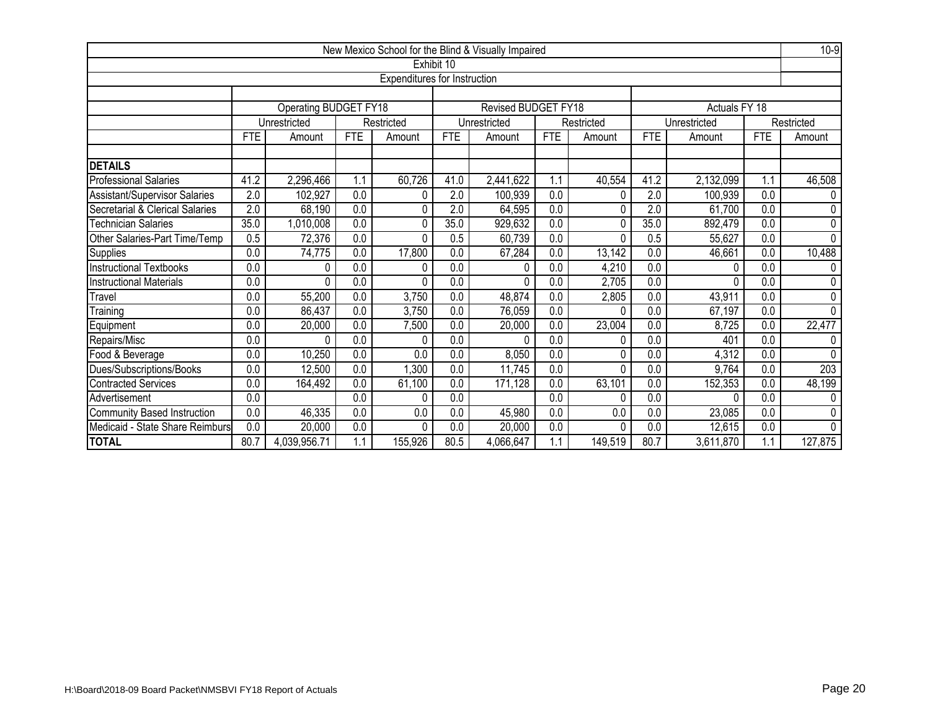|                                    |                  |                       |                  |                              |                  | New Mexico School for the Blind & Visually Impaired |                  |            |                  |               |                  | $10-9$           |
|------------------------------------|------------------|-----------------------|------------------|------------------------------|------------------|-----------------------------------------------------|------------------|------------|------------------|---------------|------------------|------------------|
|                                    |                  |                       |                  |                              | Exhibit 10       |                                                     |                  |            |                  |               |                  |                  |
|                                    |                  |                       |                  | Expenditures for Instruction |                  |                                                     |                  |            |                  |               |                  |                  |
|                                    |                  |                       |                  |                              |                  |                                                     |                  |            |                  |               |                  |                  |
|                                    |                  | Operating BUDGET FY18 |                  |                              |                  | <b>Revised BUDGET FY18</b>                          |                  |            |                  | Actuals FY 18 |                  |                  |
|                                    |                  | Unrestricted          |                  | Restricted                   |                  | Unrestricted                                        |                  | Restricted |                  | Unrestricted  |                  | Restricted       |
|                                    | <b>FTE</b>       | Amount                | <b>FTE</b>       | Amount                       | <b>FTE</b>       | Amount                                              | <b>FTE</b>       | Amount     | <b>FTE</b>       | Amount        | FTE              | Amount           |
|                                    |                  |                       |                  |                              |                  |                                                     |                  |            |                  |               |                  |                  |
| <b>DETAILS</b>                     |                  |                       |                  |                              |                  |                                                     |                  |            |                  |               |                  |                  |
| <b>Professional Salaries</b>       | 41.2             | 2,296,466             | 1.1              | 60,726                       | 41.0             | 2,441,622                                           | 1.1              | 40,554     | 41.2             | 2,132,099     | 1.1              | 46,508           |
| Assistant/Supervisor Salaries      | 2.0              | 102,927               | 0.0              | 0                            | 2.0              | 100,939                                             | 0.0              | 0          | 2.0              | 100,939       | 0.0              | 0                |
| Secretarial & Clerical Salaries    | $\overline{2.0}$ | 68,190                | 0.0              | $\Omega$                     | 2.0              | 64,595                                              | $\overline{0.0}$ | $\Omega$   | 2.0              | 61,700        | 0.0              | $\mathbf 0$      |
| <b>Technician Salaries</b>         | 35.0             | 1,010,008             | 0.0              | 0                            | 35.0             | 929,632                                             | $\overline{0.0}$ | 0          | 35.0             | 892,479       | 0.0              | 0                |
| Other Salaries-Part Time/Temp      | 0.5              | 72,376                | $\overline{0.0}$ | 0                            | 0.5              | 60,739                                              | $\overline{0.0}$ | $\Omega$   | 0.5              | 55,627        | 0.0              | $\mathbf 0$      |
| <b>Supplies</b>                    | 0.0              | 74,775                | 0.0              | 17,800                       | 0.0              | 67,284                                              | 0.0              | 13,142     | 0.0              | 46,661        | 0.0              | 10,488           |
| <b>Instructional Textbooks</b>     | 0.0              | n                     | 0.0              | 0                            | 0.0              | U                                                   | 0.0              | 4,210      | 0.0              | 0             | 0.0              | 0                |
| <b>Instructional Materials</b>     | 0.0              | 0                     | 0.0              | $\Omega$                     | $\overline{0.0}$ | $\Omega$                                            | $\overline{0.0}$ | 2,705      | $\overline{0.0}$ | $\Omega$      | $\overline{0.0}$ | 0                |
| Travel                             | 0.0              | 55,200                | 0.0              | 3,750                        | 0.0              | 48,874                                              | 0.0              | 2,805      | 0.0              | 43,911        | 0.0              | 0                |
| Training                           | 0.0              | 86,437                | 0.0              | 3,750                        | 0.0              | 76,059                                              | 0.0              | 0          | 0.0              | 67,197        | 0.0              | $\Omega$         |
| Equipment                          | 0.0              | 20,000                | 0.0              | 7,500                        | 0.0              | 20,000                                              | $\overline{0.0}$ | 23,004     | 0.0              | 8,725         | $\overline{0.0}$ | 22,477           |
| Repairs/Misc                       | 0.0              | 0                     | 0.0              | 0                            | 0.0              | 0                                                   | 0.0              | 0          | 0.0              | 401           | 0.0              | 0                |
| Food & Beverage                    | 0.0              | 10,250                | 0.0              | 0.0                          | 0.0              | 8,050                                               | $\overline{0.0}$ | 0          | 0.0              | 4,312         | 0.0              | $\mathbf{0}$     |
| Dues/Subscriptions/Books           | 0.0              | 12,500                | 0.0              | 1,300                        | 0.0              | 11.745                                              | $\overline{0.0}$ | $\Omega$   | 0.0              | 9.764         | $\overline{0.0}$ | $\overline{203}$ |
| Contracted Services                | 0.0              | 164,492               | 0.0              | 61,100                       | 0.0              | 171,128                                             | 0.0              | 63,101     | 0.0              | 152,353       | 0.0              | 48,199           |
| Advertisement                      | 0.0              |                       | 0.0              | 0                            | 0.0              |                                                     | 0.0              | 0          | 0.0              | 0             | 0.0              | 0                |
| <b>Community Based Instruction</b> | 0.0              | 46,335                | 0.0              | 0.0                          | 0.0              | 45,980                                              | 0.0              | 0.0        | 0.0              | 23,085        | 0.0              | 0                |
| Medicaid - State Share Reimburs    | 0.0              | 20,000                | 0.0              | 0                            | 0.0              | 20,000                                              | 0.0              | 0          | 0.0              | 12,615        | 0.0              | $\Omega$         |
| <b>TOTAL</b>                       | 80.7             | 4,039,956.71          | 1.1              | 155,926                      | 80.5             | 4,066,647                                           | 1.1              | 149,519    | 80.7             | 3,611,870     | 1.1              | 127,875          |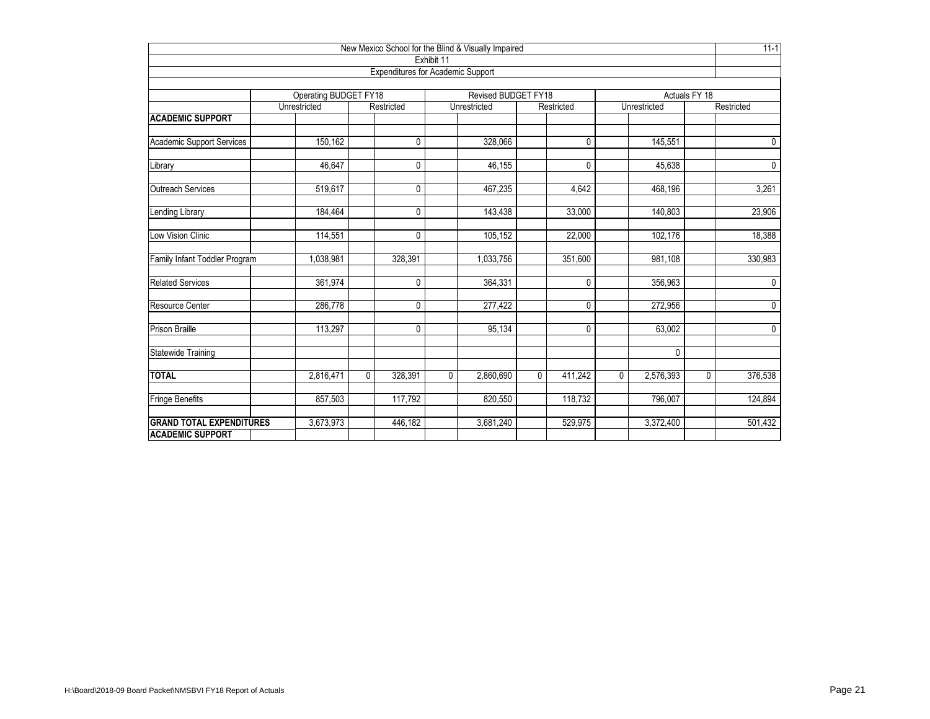|                                  |                       |              |                                          |              | New Mexico School for the Blind & Visually Impaired |              |                |              |              |               | $11 - 1$    |
|----------------------------------|-----------------------|--------------|------------------------------------------|--------------|-----------------------------------------------------|--------------|----------------|--------------|--------------|---------------|-------------|
|                                  |                       |              |                                          | Exhibit 11   |                                                     |              |                |              |              |               |             |
|                                  |                       |              | <b>Expenditures for Academic Support</b> |              |                                                     |              |                |              |              |               |             |
|                                  | Operating BUDGET FY18 |              |                                          |              | Revised BUDGET FY18                                 |              |                |              |              | Actuals FY 18 |             |
|                                  | Unrestricted          |              | Restricted                               |              | Unrestricted                                        |              | Restricted     |              | Unrestricted |               | Restricted  |
| <b>ACADEMIC SUPPORT</b>          |                       |              |                                          |              |                                                     |              |                |              |              |               |             |
| <b>Academic Support Services</b> | 150,162               |              | 0                                        |              | 328,066                                             |              | $\mathbf{0}$   |              | 145.551      |               | $\mathbf 0$ |
| Library                          | 46,647                |              | 0                                        |              | 46,155                                              |              | 0              |              | 45,638       |               | $\mathbf 0$ |
| <b>Outreach Services</b>         | 519,617               |              | 0                                        |              | 467,235                                             |              | 4.642          |              | 468,196      |               | 3,261       |
| Lending Library                  | 184,464               |              | 0                                        |              | 143,438                                             |              | 33,000         |              | 140,803      |               | 23,906      |
| Low Vision Clinic                | 114,551               |              | 0                                        |              | 105,152                                             |              | 22,000         |              | 102,176      |               | 18,388      |
| Family Infant Toddler Program    | 1,038,981             |              | 328,391                                  |              | 1,033,756                                           |              | 351,600        |              | 981,108      |               | 330,983     |
| <b>Related Services</b>          | 361,974               |              | 0                                        |              | 364,331                                             |              | 0              |              | 356,963      |               | $\mathbf 0$ |
| <b>Resource Center</b>           | 286,778               |              | 0                                        |              | 277,422                                             |              | 0              |              | 272,956      |               | $\mathbf 0$ |
| <b>Prison Braille</b>            | 113.297               |              | 0                                        |              | 95,134                                              |              | $\overline{0}$ |              | 63.002       |               | $\mathbf 0$ |
| <b>Statewide Training</b>        |                       |              |                                          |              |                                                     |              |                |              | 0            |               |             |
| <b>TOTAL</b>                     | 2,816,471             | $\mathbf{0}$ | 328,391                                  | $\mathbf{0}$ | 2,860,690                                           | $\mathbf{0}$ | 411,242        | $\mathbf{0}$ | 2,576,393    | $\mathbf{0}$  | 376,538     |
| <b>Fringe Benefits</b>           | 857,503               |              | 117,792                                  |              | 820,550                                             |              | 118,732        |              | 796,007      |               | 124,894     |
| <b>GRAND TOTAL EXPENDITURES</b>  | 3,673,973             |              | 446,182                                  |              | 3,681,240                                           |              | 529,975        |              | 3,372,400    |               | 501,432     |
| <b>ACADEMIC SUPPORT</b>          |                       |              |                                          |              |                                                     |              |                |              |              |               |             |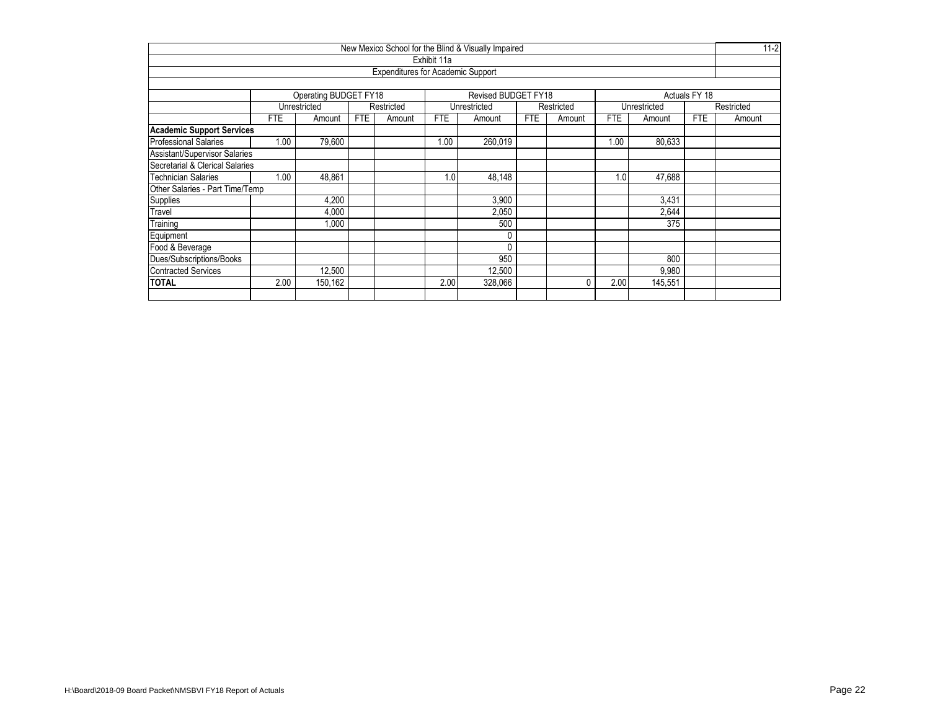|                                  |      |                       |            |                                          |             | New Mexico School for the Blind & Visually Impaired |            |            |            |              |               | $11-2$     |
|----------------------------------|------|-----------------------|------------|------------------------------------------|-------------|-----------------------------------------------------|------------|------------|------------|--------------|---------------|------------|
|                                  |      |                       |            |                                          | Exhibit 11a |                                                     |            |            |            |              |               |            |
|                                  |      |                       |            | <b>Expenditures for Academic Support</b> |             |                                                     |            |            |            |              |               |            |
|                                  |      |                       |            |                                          |             |                                                     |            |            |            |              |               |            |
|                                  |      | Operating BUDGET FY18 |            |                                          |             | Revised BUDGET FY18                                 |            |            |            |              | Actuals FY 18 |            |
|                                  |      | Unrestricted          |            | Restricted                               |             | Unrestricted                                        |            | Restricted |            | Unrestricted |               | Restricted |
|                                  | FTE  | Amount                | <b>FTE</b> | Amount                                   | <b>FTE</b>  | Amount                                              | <b>FTE</b> | Amount     | <b>FTE</b> | Amount       | <b>FTE</b>    | Amount     |
| <b>Academic Support Services</b> |      |                       |            |                                          |             |                                                     |            |            |            |              |               |            |
| <b>Professional Salaries</b>     | 1.00 | 79,600                |            |                                          | .00         | 260,019                                             |            |            | 1.00       | 80,633       |               |            |
| Assistant/Supervisor Salaries    |      |                       |            |                                          |             |                                                     |            |            |            |              |               |            |
| Secretarial & Clerical Salaries  |      |                       |            |                                          |             |                                                     |            |            |            |              |               |            |
| Technician Salaries              | 1.00 | 48,861                |            |                                          | 1.0         | 48,148                                              |            |            | 1.0        | 47,688       |               |            |
| Other Salaries - Part Time/Temp  |      |                       |            |                                          |             |                                                     |            |            |            |              |               |            |
| Supplies                         |      | 4,200                 |            |                                          |             | 3,900                                               |            |            |            | 3,431        |               |            |
| Travel                           |      | 4,000                 |            |                                          |             | 2,050                                               |            |            |            | 2,644        |               |            |
| Training                         |      | 1,000                 |            |                                          |             | 500                                                 |            |            |            | 375          |               |            |
| Equipment                        |      |                       |            |                                          |             | 0                                                   |            |            |            |              |               |            |
| Food & Beverage                  |      |                       |            |                                          |             | $\Omega$                                            |            |            |            |              |               |            |
| Dues/Subscriptions/Books         |      |                       |            |                                          |             | 950                                                 |            |            |            | 800          |               |            |
| <b>Contracted Services</b>       |      | 12,500                |            |                                          |             | 12,500                                              |            |            |            | 9,980        |               |            |
| <b>TOTAL</b>                     | 2.00 | 150,162               |            |                                          | 2.00        | 328,066                                             |            | 0          | 2.00       | 145,551      |               |            |
|                                  |      |                       |            |                                          |             |                                                     |            |            |            |              |               |            |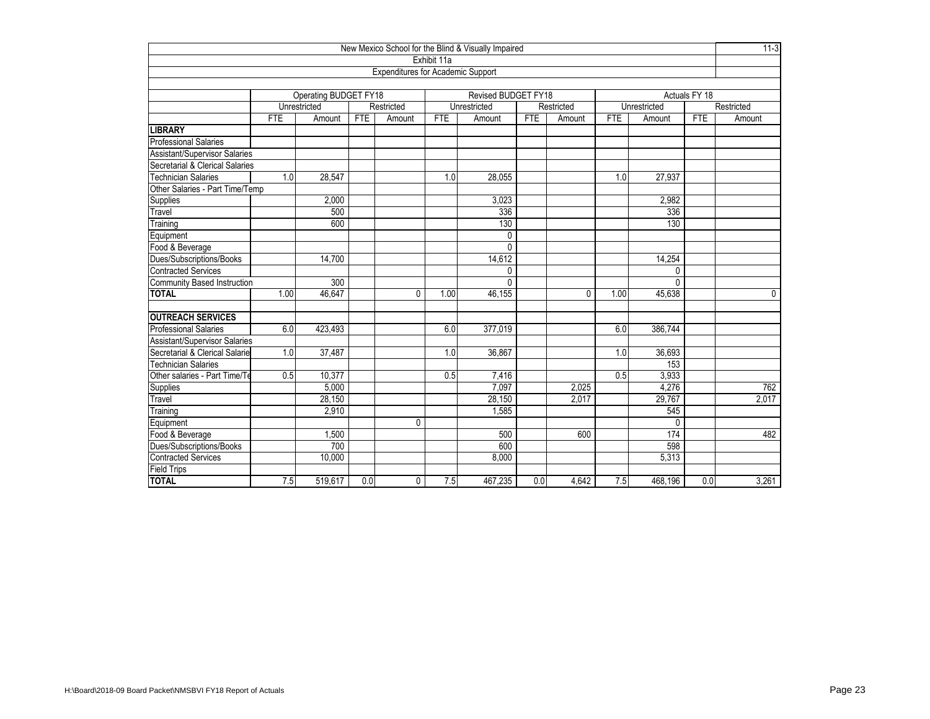|                                    |      |                       |            |                                          |             | New Mexico School for the Blind & Visually Impaired |            |              |            |              |               | $11-3$     |
|------------------------------------|------|-----------------------|------------|------------------------------------------|-------------|-----------------------------------------------------|------------|--------------|------------|--------------|---------------|------------|
|                                    |      |                       |            |                                          | Exhibit 11a |                                                     |            |              |            |              |               |            |
|                                    |      |                       |            | <b>Expenditures for Academic Support</b> |             |                                                     |            |              |            |              |               |            |
|                                    |      | Operating BUDGET FY18 |            |                                          |             | Revised BUDGET FY18                                 |            |              |            |              | Actuals FY 18 |            |
|                                    |      | Unrestricted          |            | Restricted                               |             | Unrestricted                                        |            | Restricted   |            | Unrestricted |               | Restricted |
|                                    | FTE  | Amount                | <b>FTE</b> | Amount                                   | <b>FTE</b>  | Amount                                              | <b>FTE</b> | Amount       | <b>FTE</b> | Amount       | <b>FTE</b>    | Amount     |
| <b>LIBRARY</b>                     |      |                       |            |                                          |             |                                                     |            |              |            |              |               |            |
| Professional Salaries              |      |                       |            |                                          |             |                                                     |            |              |            |              |               |            |
| Assistant/Supervisor Salaries      |      |                       |            |                                          |             |                                                     |            |              |            |              |               |            |
| Secretarial & Clerical Salaries    |      |                       |            |                                          |             |                                                     |            |              |            |              |               |            |
| Technician Salaries                | 1.0  | 28,547                |            |                                          | 1.0         | 28.055                                              |            |              | 1.0        | 27,937       |               |            |
| Other Salaries - Part Time/Temp    |      |                       |            |                                          |             |                                                     |            |              |            |              |               |            |
| Supplies                           |      | 2,000                 |            |                                          |             | 3,023                                               |            |              |            | 2,982        |               |            |
| Travel                             |      | 500                   |            |                                          |             | 336                                                 |            |              |            | 336          |               |            |
| Training                           |      | 600                   |            |                                          |             | 130                                                 |            |              |            | 130          |               |            |
| Equipment                          |      |                       |            |                                          |             | 0                                                   |            |              |            |              |               |            |
| Food & Beverage                    |      |                       |            |                                          |             | $\Omega$                                            |            |              |            |              |               |            |
| Dues/Subscriptions/Books           |      | 14.700                |            |                                          |             | 14,612                                              |            |              |            | 14,254       |               |            |
| <b>Contracted Services</b>         |      |                       |            |                                          |             | $\mathbf{0}$                                        |            |              |            | 0            |               |            |
| <b>Community Based Instruction</b> |      | 300                   |            |                                          |             | $\Omega$                                            |            |              |            | $\Omega$     |               |            |
| <b>TOTAL</b>                       | 1.00 | 46,647                |            | 0                                        | 1.00        | 46,155                                              |            | $\mathbf{0}$ | 1.00       | 45,638       |               | 0          |
| <b>OUTREACH SERVICES</b>           |      |                       |            |                                          |             |                                                     |            |              |            |              |               |            |
| <b>Professional Salaries</b>       | 6.0  | 423,493               |            |                                          | 6.0         | 377,019                                             |            |              | 6.0        | 386,744      |               |            |
| Assistant/Supervisor Salaries      |      |                       |            |                                          |             |                                                     |            |              |            |              |               |            |
| Secretarial & Clerical Salarie     | 1.0  | 37,487                |            |                                          | 1.0         | 36,867                                              |            |              | 1.0        | 36,693       |               |            |
| Technician Salaries                |      |                       |            |                                          |             |                                                     |            |              |            | 153          |               |            |
| Other salaries - Part Time/Te      | 0.5  | 10.377                |            |                                          | 0.5         | 7,416                                               |            |              | 0.5        | 3,933        |               |            |
| Supplies                           |      | 5,000                 |            |                                          |             | 7,097                                               |            | 2,025        |            | 4,276        |               | 762        |
| Travel                             |      | 28,150                |            |                                          |             | 28,150                                              |            | 2,017        |            | 29,767       |               | 2,017      |
| Training                           |      | 2.910                 |            |                                          |             | 1.585                                               |            |              |            | 545          |               |            |
| Equipment                          |      |                       |            | 0                                        |             |                                                     |            |              |            | $\mathbf{0}$ |               |            |
| Food & Beverage                    |      | 1,500                 |            |                                          |             | 500                                                 |            | 600          |            | 174          |               | 482        |
| Dues/Subscriptions/Books           |      | 700                   |            |                                          |             | 600                                                 |            |              |            | 598          |               |            |
| <b>Contracted Services</b>         |      | 10,000                |            |                                          |             | 8.000                                               |            |              |            | 5,313        |               |            |
| <b>Field Trips</b>                 |      |                       |            |                                          |             |                                                     |            |              |            |              |               |            |
| <b>TOTAL</b>                       | 7.5  | 519,617               | 0.0        | 0                                        | 7.5         | 467,235                                             | 0.0        | 4,642        | 7.5        | 468,196      | 0.0           | 3,261      |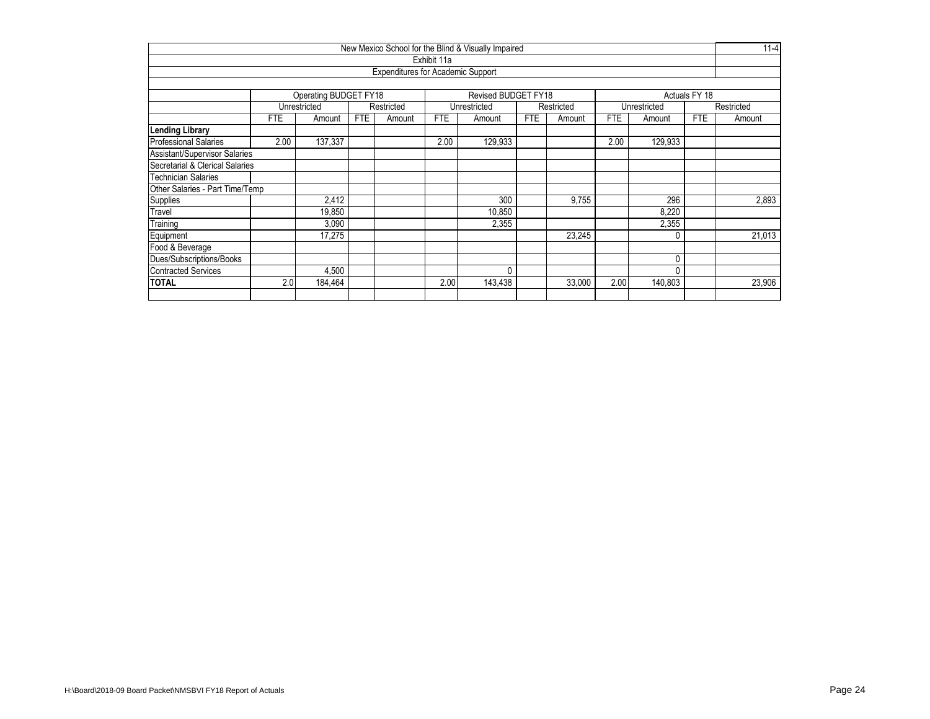|                                 |            |                       |            |                                          |             | New Mexico School for the Blind & Visually Impaired |            |            |      |              |               | $11 - 4$   |
|---------------------------------|------------|-----------------------|------------|------------------------------------------|-------------|-----------------------------------------------------|------------|------------|------|--------------|---------------|------------|
|                                 |            |                       |            |                                          | Exhibit 11a |                                                     |            |            |      |              |               |            |
|                                 |            |                       |            | <b>Expenditures for Academic Support</b> |             |                                                     |            |            |      |              |               |            |
|                                 |            |                       |            |                                          |             |                                                     |            |            |      |              |               |            |
|                                 |            | Operating BUDGET FY18 |            |                                          |             | Revised BUDGET FY18                                 |            |            |      |              | Actuals FY 18 |            |
|                                 |            | Unrestricted          |            | Restricted                               |             | Unrestricted                                        |            | Restricted |      | Unrestricted |               | Restricted |
|                                 | <b>FTE</b> | Amount                | <b>FTE</b> | Amount                                   | <b>FTE</b>  | Amount                                              | <b>FTE</b> | Amount     | FTE  | Amount       | <b>FTE</b>    | Amount     |
| <b>Lending Library</b>          |            |                       |            |                                          |             |                                                     |            |            |      |              |               |            |
| <b>Professional Salaries</b>    | 2.00       | 137,337               |            |                                          | 2.00        | 129,933                                             |            |            | 2.00 | 129,933      |               |            |
| Assistant/Supervisor Salaries   |            |                       |            |                                          |             |                                                     |            |            |      |              |               |            |
| Secretarial & Clerical Salaries |            |                       |            |                                          |             |                                                     |            |            |      |              |               |            |
| <b>Technician Salaries</b>      |            |                       |            |                                          |             |                                                     |            |            |      |              |               |            |
| Other Salaries - Part Time/Temp |            |                       |            |                                          |             |                                                     |            |            |      |              |               |            |
| Supplies                        |            | 2,412                 |            |                                          |             | 300                                                 |            | 9,755      |      | 296          |               | 2,893      |
| Travel                          |            | 19,850                |            |                                          |             | 10,850                                              |            |            |      | 8,220        |               |            |
| Training                        |            | 3,090                 |            |                                          |             | 2,355                                               |            |            |      | 2,355        |               |            |
| Equipment                       |            | 17,275                |            |                                          |             |                                                     |            | 23,245     |      |              |               | 21,013     |
| Food & Beverage                 |            |                       |            |                                          |             |                                                     |            |            |      |              |               |            |
| Dues/Subscriptions/Books        |            |                       |            |                                          |             |                                                     |            |            |      |              |               |            |
| <b>Contracted Services</b>      |            | 4,500                 |            |                                          |             |                                                     |            |            |      | $\Omega$     |               |            |
| <b>TOTAL</b>                    | 2.0        | 184,464               |            |                                          | 2.00        | 143,438                                             |            | 33.000     | 2.00 | 140,803      |               | 23,906     |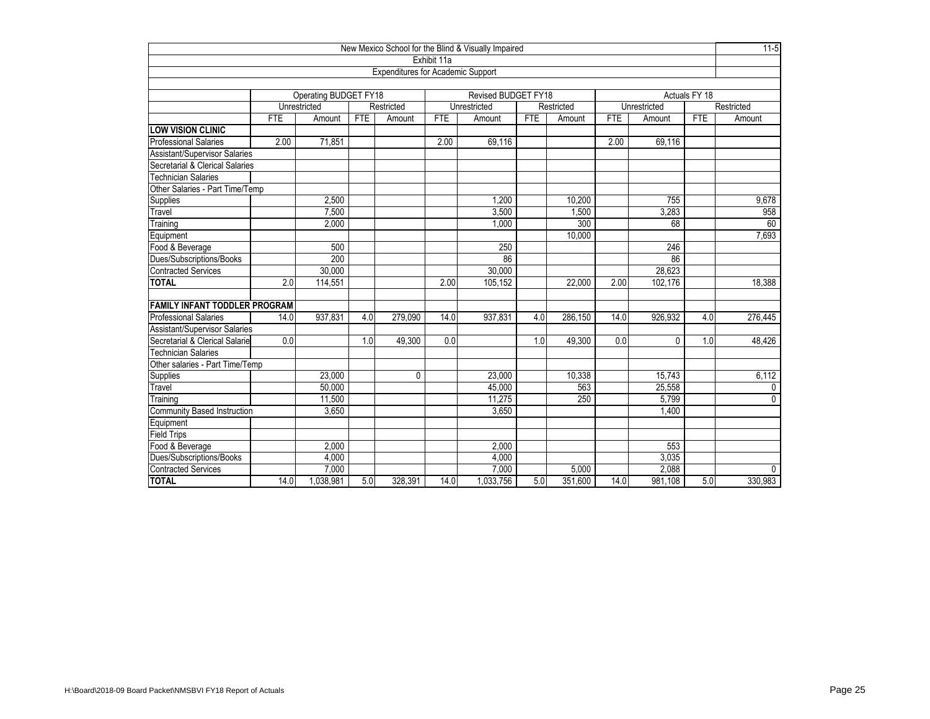| New Mexico School for the Blind & Visually Impaired |      |                       |            |                                   |             |                     |            |            |            |              |               |              |  |
|-----------------------------------------------------|------|-----------------------|------------|-----------------------------------|-------------|---------------------|------------|------------|------------|--------------|---------------|--------------|--|
|                                                     |      |                       |            |                                   | Exhibit 11a |                     |            |            |            |              |               |              |  |
|                                                     |      |                       |            | Expenditures for Academic Support |             |                     |            |            |            |              |               |              |  |
|                                                     |      |                       |            |                                   |             |                     |            |            |            |              |               |              |  |
|                                                     |      | Operating BUDGET FY18 |            |                                   |             | Revised BUDGET FY18 |            |            |            |              | Actuals FY 18 |              |  |
|                                                     |      | Unrestricted          |            | Restricted                        |             | Unrestricted        |            | Restricted |            | Unrestricted |               | Restricted   |  |
|                                                     | FTE  | Amount                | <b>FTE</b> | Amount                            | <b>FTE</b>  | Amount              | <b>FTE</b> | Amount     | <b>FTE</b> | Amount       | <b>FTE</b>    | Amount       |  |
| <b>LOW VISION CLINIC</b>                            |      |                       |            |                                   |             |                     |            |            |            |              |               |              |  |
| <b>Professional Salaries</b>                        | 2.00 | 71,851                |            |                                   | 2.00        | 69,116              |            |            | 2.00       | 69,116       |               |              |  |
| Assistant/Supervisor Salaries                       |      |                       |            |                                   |             |                     |            |            |            |              |               |              |  |
| Secretarial & Clerical Salaries                     |      |                       |            |                                   |             |                     |            |            |            |              |               |              |  |
| Technician Salaries                                 |      |                       |            |                                   |             |                     |            |            |            |              |               |              |  |
| Other Salaries - Part Time/Temp                     |      |                       |            |                                   |             |                     |            |            |            |              |               |              |  |
| Supplies                                            |      | 2,500                 |            |                                   |             | 1.200               |            | 10,200     |            | 755          |               | 9,678        |  |
| Travel                                              |      | 7,500                 |            |                                   |             | 3,500               |            | 1,500      |            | 3,283        |               | 958          |  |
| Training                                            |      | 2.000                 |            |                                   |             | 1.000               |            | 300        |            | 68           |               | 60           |  |
| Equipment                                           |      |                       |            |                                   |             |                     |            | 10,000     |            |              |               | 7,693        |  |
| Food & Beverage                                     |      | 500                   |            |                                   |             | 250                 |            |            |            | 246          |               |              |  |
| Dues/Subscriptions/Books                            |      | 200                   |            |                                   |             | 86                  |            |            |            | 86           |               |              |  |
| <b>Contracted Services</b>                          |      | 30.000                |            |                                   |             | 30.000              |            |            |            | 28.623       |               |              |  |
| <b>TOTAL</b>                                        | 2.0  | 114,551               |            |                                   | 2.00        | 105,152             |            | 22,000     | 2.00       | 102,176      |               | 18,388       |  |
|                                                     |      |                       |            |                                   |             |                     |            |            |            |              |               |              |  |
| <b>FAMILY INFANT TODDLER PROGRAM</b>                |      |                       |            |                                   |             |                     |            |            |            |              |               |              |  |
| <b>Professional Salaries</b>                        | 14.0 | 937,831               | 4.0        | 279,090                           | 14.0        | 937,831             | 4.0        | 286,150    | 14.0       | 926,932      | 4.0           | 276,445      |  |
| <b>Assistant/Supervisor Salaries</b>                |      |                       |            |                                   |             |                     |            |            |            |              |               |              |  |
| Secretarial & Clerical Salarie                      | 0.0  |                       | 1.0        | 49,300                            | 0.0         |                     | 1.0        | 49,300     | 0.0        | 0            | 1.0           | 48,426       |  |
| Technician Salaries                                 |      |                       |            |                                   |             |                     |            |            |            |              |               |              |  |
| Other salaries - Part Time/Temp                     |      |                       |            |                                   |             |                     |            |            |            |              |               |              |  |
| Supplies                                            |      | 23.000                |            | 0                                 |             | 23.000              |            | 10.338     |            | 15.743       |               | 6,112        |  |
| Travel                                              |      | 50,000                |            |                                   |             | 45,000              |            | 563        |            | 25,558       |               | $\mathbf 0$  |  |
| Training                                            |      | 11,500                |            |                                   |             | 11,275              |            | 250        |            | 5.799        |               | $\Omega$     |  |
| <b>Community Based Instruction</b>                  |      | 3.650                 |            |                                   |             | 3.650               |            |            |            | 1.400        |               |              |  |
| Equipment                                           |      |                       |            |                                   |             |                     |            |            |            |              |               |              |  |
| <b>Field Trips</b>                                  |      |                       |            |                                   |             |                     |            |            |            |              |               |              |  |
| Food & Beverage                                     |      | 2,000                 |            |                                   |             | 2,000               |            |            |            | 553          |               |              |  |
| Dues/Subscriptions/Books                            |      | 4,000                 |            |                                   |             | 4,000               |            |            |            | 3,035        |               |              |  |
| <b>Contracted Services</b>                          |      | 7,000                 |            |                                   |             | 7,000               |            | 5,000      |            | 2,088        |               | $\mathbf{0}$ |  |
| <b>TOTAL</b>                                        | 14.0 | 1,038,981             | 5.0        | 328,391                           | 14.0        | 1,033,756           | 5.0        | 351,600    | 14.0       | 981,108      | 5.0           | 330,983      |  |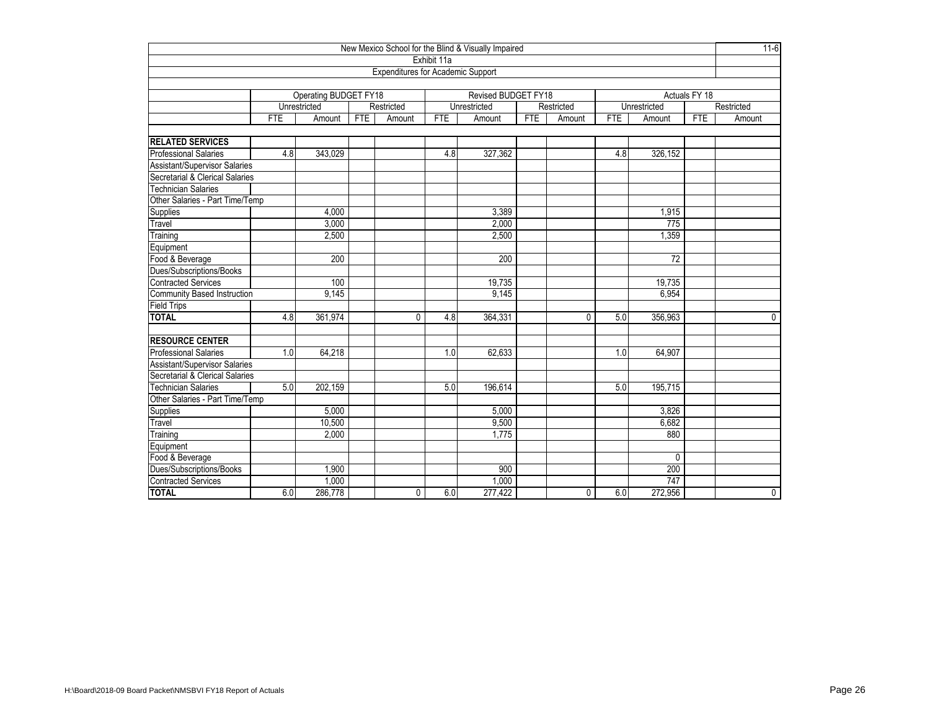| New Mexico School for the Blind & Visually Impaired |                         |                       |            |                                          |             |                     |            |              |            |                  |               |              |
|-----------------------------------------------------|-------------------------|-----------------------|------------|------------------------------------------|-------------|---------------------|------------|--------------|------------|------------------|---------------|--------------|
|                                                     |                         |                       |            |                                          | Exhibit 11a |                     |            |              |            |                  |               |              |
|                                                     |                         |                       |            | <b>Expenditures for Academic Support</b> |             |                     |            |              |            |                  |               |              |
|                                                     |                         |                       |            |                                          |             |                     |            |              |            |                  |               |              |
|                                                     |                         | Operating BUDGET FY18 |            |                                          |             | Revised BUDGET FY18 |            |              |            |                  | Actuals FY 18 |              |
|                                                     |                         | Unrestricted          |            | Restricted                               |             | Unrestricted        |            | Restricted   |            | Unrestricted     |               | Restricted   |
|                                                     | <b>FTE</b>              | Amount                | <b>FTE</b> | Amount                                   | <b>FTE</b>  | Amount              | <b>FTE</b> | Amount       | <b>FTE</b> | Amount           | <b>FTE</b>    | Amount       |
| <b>RELATED SERVICES</b>                             |                         |                       |            |                                          |             |                     |            |              |            |                  |               |              |
| <b>Professional Salaries</b>                        | 4.8                     | 343,029               |            |                                          | 4.8         | 327,362             |            |              | 4.8        | 326,152          |               |              |
| Assistant/Supervisor Salaries                       |                         |                       |            |                                          |             |                     |            |              |            |                  |               |              |
| Secretarial & Clerical Salaries                     |                         |                       |            |                                          |             |                     |            |              |            |                  |               |              |
| <b>Technician Salaries</b>                          |                         |                       |            |                                          |             |                     |            |              |            |                  |               |              |
| Other Salaries - Part Time/Temp                     |                         |                       |            |                                          |             |                     |            |              |            |                  |               |              |
| Supplies                                            |                         | 4,000                 |            |                                          |             | 3,389               |            |              |            | 1,915            |               |              |
| Travel                                              |                         | 3,000                 |            |                                          |             | 2,000               |            |              |            | $\overline{775}$ |               |              |
| Training                                            | 2,500<br>2,500<br>1,359 |                       |            |                                          |             |                     |            |              |            |                  |               |              |
| Equipment                                           |                         |                       |            |                                          |             |                     |            |              |            |                  |               |              |
| Food & Beverage                                     |                         | 200                   |            |                                          |             | 200                 |            |              |            | $\overline{72}$  |               |              |
| Dues/Subscriptions/Books                            |                         |                       |            |                                          |             |                     |            |              |            |                  |               |              |
| <b>Contracted Services</b>                          |                         | 100                   |            |                                          |             | 19,735              |            |              |            | 19,735           |               |              |
| <b>Community Based Instruction</b>                  |                         | 9,145                 |            |                                          |             | 9,145               |            |              |            | 6,954            |               |              |
| <b>Field Trips</b>                                  |                         |                       |            |                                          |             |                     |            |              |            |                  |               |              |
| <b>TOTAL</b>                                        | 4.8                     | 361,974               |            | 0                                        | 4.8         | 364,331             |            | $\mathbf{0}$ | 5.0        | 356,963          |               | $\mathbf{0}$ |
|                                                     |                         |                       |            |                                          |             |                     |            |              |            |                  |               |              |
| <b>RESOURCE CENTER</b>                              |                         |                       |            |                                          |             |                     |            |              |            |                  |               |              |
| <b>Professional Salaries</b>                        | 1.0                     | 64,218                |            |                                          | 1.0         | 62,633              |            |              | 1.0        | 64.907           |               |              |
| Assistant/Supervisor Salaries                       |                         |                       |            |                                          |             |                     |            |              |            |                  |               |              |
| Secretarial & Clerical Salaries                     |                         |                       |            |                                          |             |                     |            |              |            |                  |               |              |
| <b>Technician Salaries</b>                          | 5.0                     | 202.159               |            |                                          | 5.0         | 196.614             |            |              | 5.0        | 195,715          |               |              |
| Other Salaries - Part Time/Temp                     |                         |                       |            |                                          |             |                     |            |              |            |                  |               |              |
| Supplies                                            |                         | 5.000                 |            |                                          |             | 5.000               |            |              |            | 3.826            |               |              |
| Travel                                              |                         | 10,500                |            |                                          |             | 9,500               |            |              |            | 6,682            |               |              |
| Training                                            |                         | 2,000                 |            |                                          |             | 1,775               |            |              |            | 880              |               |              |
| Equipment                                           |                         |                       |            |                                          |             |                     |            |              |            |                  |               |              |
| Food & Beverage                                     |                         |                       |            |                                          |             |                     |            |              |            | 0                |               |              |
| Dues/Subscriptions/Books                            |                         | 1,900                 |            |                                          |             | 900                 |            |              |            | 200              |               |              |
| <b>Contracted Services</b>                          |                         | 1,000                 |            |                                          |             | 1,000               |            |              |            | 747              |               |              |
| <b>TOTAL</b>                                        | 6.0                     | 286,778               |            | 0                                        | 6.0         | 277,422             |            | 0            | 6.0        | 272,956          |               | $\mathbf 0$  |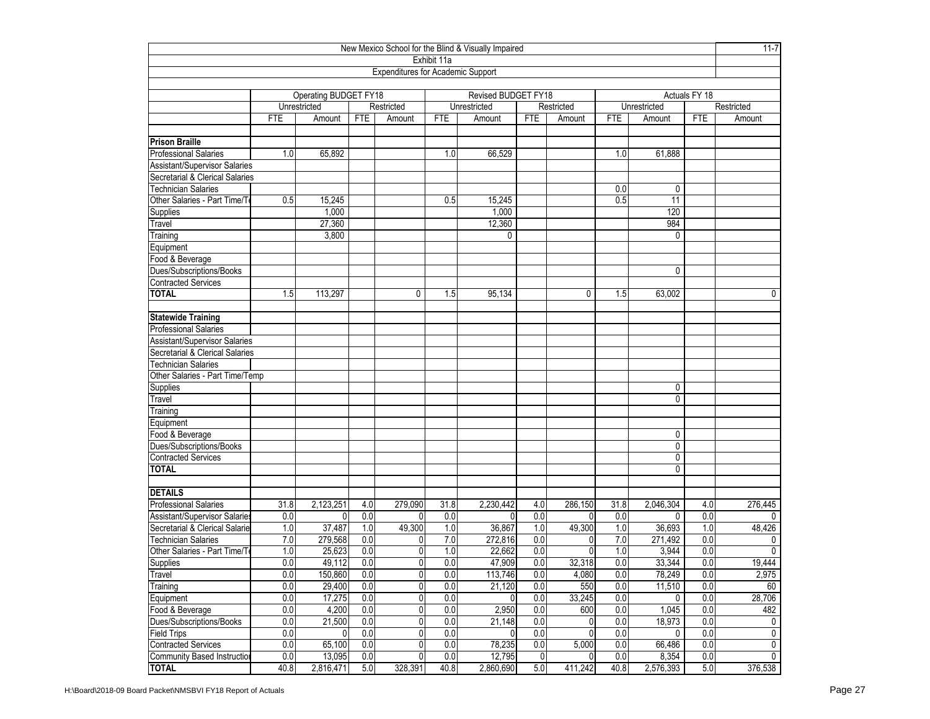| Exhibit 11a<br><b>Expenditures for Academic Support</b><br>Operating BUDGET FY18<br>Revised BUDGET FY18<br>Actuals FY 18<br>Restricted<br>Restricted<br>Restricted<br>Unrestricted<br>Unrestricted<br>Unrestricted<br><b>FTE</b><br>Amount<br><b>FTE</b><br>Amount<br><b>FTE</b><br>Amount<br><b>FTE</b><br><b>FTE</b><br>Amount<br>FTE<br>Amount<br>Amount<br><b>Prison Braille</b><br><b>Professional Salaries</b><br>65,892<br>66,529<br>61.888<br>1.0<br>1.0<br>1.0<br>Assistant/Supervisor Salaries<br>Secretarial & Clerical Salaries<br><b>Technician Salaries</b><br>0.0<br>0<br>15,245<br>15,245<br>0.5<br>$\overline{11}$<br>Other Salaries - Part Time/T<br>0.5<br>0.5<br>1,000<br>120<br>1,000<br>Supplies<br>27,360<br>12,360<br>984<br>Travel<br>3,800<br>0<br>0<br>Training<br>Equipment<br>Food & Beverage<br>0<br>Dues/Subscriptions/Books<br><b>Contracted Services</b><br><b>TOTAL</b><br>0<br>1.5<br>113,297<br>95,134<br>63.002<br>0<br>1.5<br>0<br>1.5<br><b>Statewide Training</b><br>Professional Salaries<br>Assistant/Supervisor Salaries<br>Secretarial & Clerical Salaries<br><b>Technician Salaries</b><br>Other Salaries - Part Time/Temp<br>0<br>Supplies<br>$\mathbf{0}$<br>Travel<br>Training<br>Equipment<br>Food & Beverage<br>0<br>$\overline{0}$<br>Dues/Subscriptions/Books<br><b>Contracted Services</b><br>0<br><b>TOTAL</b><br>$\mathbf{0}$<br><b>DETAILS</b><br>Professional Salaries<br>2,123,251<br>279,090<br>2,230,442<br>286,150<br>2,046,304<br>31.8<br>4.0<br>31.8<br>4.0<br>31.8<br>4.0<br>276,445<br>0.0<br>0.0<br>0.0<br>Assistant/Supervisor Salaries<br>0.0<br>0.0<br>0.0<br>0<br>$\Omega$<br>0<br>0<br>0<br>37,487<br>49,300<br>36,867<br>49,300<br>48,426<br>Secretarial & Clerical Salarie<br>1.0<br>1.0<br>1.0<br>1.0<br>1.0<br>36,693<br>1.0<br><b>Technician Salaries</b><br>7.0<br>279,568<br>0.0<br>7.0<br>0.0<br>271,492<br>0.0<br>$\overline{0}$<br>272,816<br>7.0<br>0<br>25,623<br>0.0<br>1.0<br>22,662<br>0.0<br>3,944<br>0.0<br>0<br>Other Salaries - Part Time/T<br>1.0<br>0<br>1.0<br>0<br>47,909<br>0.0<br>49,112<br>0.0<br>$\overline{0}$<br>0.0<br>0.0<br>32,318<br>0.0<br>33,344<br>0.0<br>19,444<br>Supplies<br>$\overline{0}$<br>0.0<br>150,860<br>0.0<br>0.0<br>113,746<br>0.0<br>4,080<br>0.0<br>78,249<br>0.0<br>2,975<br>Travel<br>0.0<br>0.0<br>$\overline{0}$<br>0.0<br>550<br>0.0<br>29.400<br>0.0<br>21,120<br>11,510<br>0.0<br>60<br>Training<br>0.0<br>17,275<br>0.0<br>0.0<br>0.0<br>33,245<br>$\overline{0}$<br>28,706<br>$\overline{0}$<br>$0.0\,$<br>$\overline{0}$<br>0<br>Equipment<br>0.0<br>0.0<br>$\mathbf 0$<br>0.0<br>2,950<br>0.0<br>1,045<br>0.0<br>Food & Beverage<br>4,200<br>600<br>0.0<br>482<br>0.0<br>$\overline{0}$<br>$\overline{0.0}$<br>18,973<br>Dues/Subscriptions/Books<br>21,500<br>0.0<br>0.0<br>21,148<br>0.0<br>0.0<br>0<br>0<br>0.0<br>0.0<br>0.0<br>$\overline{0}$<br>0<br>0.0<br>$\overline{0}$<br>$\boldsymbol{0}$<br>$0.0\,$<br><b>Field Trips</b><br>$\overline{0}$<br>$\overline{0}$<br>0<br>0<br>0.0<br>65,100<br>0.0<br>$\mathbf 0$<br>0.0<br>78,235<br>0.0<br>5,000<br>66,486<br>0.0<br><b>Contracted Services</b><br>0.0<br>0.0<br>13,095<br>0.0<br>$\overline{0}$<br>0.0<br>12,795<br>$\overline{0}$<br>0.0<br>8,354<br>0.0<br>$\overline{0}$<br><b>Community Based Instruction</b><br>0<br>5.0<br>328,391<br>40.8<br>2,860,690<br>5.0<br>411,242<br>40.8<br><b>TOTAL</b><br>40.8<br>2,816,471<br>5.0 | New Mexico School for the Blind & Visually Impaired |  |  |  |  |  |  |  |  |  |           |  |         |
|---------------------------------------------------------------------------------------------------------------------------------------------------------------------------------------------------------------------------------------------------------------------------------------------------------------------------------------------------------------------------------------------------------------------------------------------------------------------------------------------------------------------------------------------------------------------------------------------------------------------------------------------------------------------------------------------------------------------------------------------------------------------------------------------------------------------------------------------------------------------------------------------------------------------------------------------------------------------------------------------------------------------------------------------------------------------------------------------------------------------------------------------------------------------------------------------------------------------------------------------------------------------------------------------------------------------------------------------------------------------------------------------------------------------------------------------------------------------------------------------------------------------------------------------------------------------------------------------------------------------------------------------------------------------------------------------------------------------------------------------------------------------------------------------------------------------------------------------------------------------------------------------------------------------------------------------------------------------------------------------------------------------------------------------------------------------------------------------------------------------------------------------------------------------------------------------------------------------------------------------------------------------------------------------------------------------------------------------------------------------------------------------------------------------------------------------------------------------------------------------------------------------------------------------------------------------------------------------------------------------------------------------------------------------------------------------------------------------------------------------------------------------------------------------------------------------------------------------------------------------------------------------------------------------------------------------------------------------------------------------------------------------------------------------------------------------------------------------------------------------------------------------------------------------------------------------------------------------------------------------------------------------------------------------------------------------------------------------------------------------------------------------------------------------------------------|-----------------------------------------------------|--|--|--|--|--|--|--|--|--|-----------|--|---------|
|                                                                                                                                                                                                                                                                                                                                                                                                                                                                                                                                                                                                                                                                                                                                                                                                                                                                                                                                                                                                                                                                                                                                                                                                                                                                                                                                                                                                                                                                                                                                                                                                                                                                                                                                                                                                                                                                                                                                                                                                                                                                                                                                                                                                                                                                                                                                                                                                                                                                                                                                                                                                                                                                                                                                                                                                                                                                                                                                                                                                                                                                                                                                                                                                                                                                                                                                                                                                                                       |                                                     |  |  |  |  |  |  |  |  |  |           |  |         |
|                                                                                                                                                                                                                                                                                                                                                                                                                                                                                                                                                                                                                                                                                                                                                                                                                                                                                                                                                                                                                                                                                                                                                                                                                                                                                                                                                                                                                                                                                                                                                                                                                                                                                                                                                                                                                                                                                                                                                                                                                                                                                                                                                                                                                                                                                                                                                                                                                                                                                                                                                                                                                                                                                                                                                                                                                                                                                                                                                                                                                                                                                                                                                                                                                                                                                                                                                                                                                                       |                                                     |  |  |  |  |  |  |  |  |  |           |  |         |
|                                                                                                                                                                                                                                                                                                                                                                                                                                                                                                                                                                                                                                                                                                                                                                                                                                                                                                                                                                                                                                                                                                                                                                                                                                                                                                                                                                                                                                                                                                                                                                                                                                                                                                                                                                                                                                                                                                                                                                                                                                                                                                                                                                                                                                                                                                                                                                                                                                                                                                                                                                                                                                                                                                                                                                                                                                                                                                                                                                                                                                                                                                                                                                                                                                                                                                                                                                                                                                       |                                                     |  |  |  |  |  |  |  |  |  |           |  |         |
|                                                                                                                                                                                                                                                                                                                                                                                                                                                                                                                                                                                                                                                                                                                                                                                                                                                                                                                                                                                                                                                                                                                                                                                                                                                                                                                                                                                                                                                                                                                                                                                                                                                                                                                                                                                                                                                                                                                                                                                                                                                                                                                                                                                                                                                                                                                                                                                                                                                                                                                                                                                                                                                                                                                                                                                                                                                                                                                                                                                                                                                                                                                                                                                                                                                                                                                                                                                                                                       |                                                     |  |  |  |  |  |  |  |  |  |           |  |         |
|                                                                                                                                                                                                                                                                                                                                                                                                                                                                                                                                                                                                                                                                                                                                                                                                                                                                                                                                                                                                                                                                                                                                                                                                                                                                                                                                                                                                                                                                                                                                                                                                                                                                                                                                                                                                                                                                                                                                                                                                                                                                                                                                                                                                                                                                                                                                                                                                                                                                                                                                                                                                                                                                                                                                                                                                                                                                                                                                                                                                                                                                                                                                                                                                                                                                                                                                                                                                                                       |                                                     |  |  |  |  |  |  |  |  |  |           |  |         |
|                                                                                                                                                                                                                                                                                                                                                                                                                                                                                                                                                                                                                                                                                                                                                                                                                                                                                                                                                                                                                                                                                                                                                                                                                                                                                                                                                                                                                                                                                                                                                                                                                                                                                                                                                                                                                                                                                                                                                                                                                                                                                                                                                                                                                                                                                                                                                                                                                                                                                                                                                                                                                                                                                                                                                                                                                                                                                                                                                                                                                                                                                                                                                                                                                                                                                                                                                                                                                                       |                                                     |  |  |  |  |  |  |  |  |  |           |  |         |
|                                                                                                                                                                                                                                                                                                                                                                                                                                                                                                                                                                                                                                                                                                                                                                                                                                                                                                                                                                                                                                                                                                                                                                                                                                                                                                                                                                                                                                                                                                                                                                                                                                                                                                                                                                                                                                                                                                                                                                                                                                                                                                                                                                                                                                                                                                                                                                                                                                                                                                                                                                                                                                                                                                                                                                                                                                                                                                                                                                                                                                                                                                                                                                                                                                                                                                                                                                                                                                       |                                                     |  |  |  |  |  |  |  |  |  |           |  |         |
|                                                                                                                                                                                                                                                                                                                                                                                                                                                                                                                                                                                                                                                                                                                                                                                                                                                                                                                                                                                                                                                                                                                                                                                                                                                                                                                                                                                                                                                                                                                                                                                                                                                                                                                                                                                                                                                                                                                                                                                                                                                                                                                                                                                                                                                                                                                                                                                                                                                                                                                                                                                                                                                                                                                                                                                                                                                                                                                                                                                                                                                                                                                                                                                                                                                                                                                                                                                                                                       |                                                     |  |  |  |  |  |  |  |  |  |           |  |         |
|                                                                                                                                                                                                                                                                                                                                                                                                                                                                                                                                                                                                                                                                                                                                                                                                                                                                                                                                                                                                                                                                                                                                                                                                                                                                                                                                                                                                                                                                                                                                                                                                                                                                                                                                                                                                                                                                                                                                                                                                                                                                                                                                                                                                                                                                                                                                                                                                                                                                                                                                                                                                                                                                                                                                                                                                                                                                                                                                                                                                                                                                                                                                                                                                                                                                                                                                                                                                                                       |                                                     |  |  |  |  |  |  |  |  |  |           |  |         |
|                                                                                                                                                                                                                                                                                                                                                                                                                                                                                                                                                                                                                                                                                                                                                                                                                                                                                                                                                                                                                                                                                                                                                                                                                                                                                                                                                                                                                                                                                                                                                                                                                                                                                                                                                                                                                                                                                                                                                                                                                                                                                                                                                                                                                                                                                                                                                                                                                                                                                                                                                                                                                                                                                                                                                                                                                                                                                                                                                                                                                                                                                                                                                                                                                                                                                                                                                                                                                                       |                                                     |  |  |  |  |  |  |  |  |  |           |  |         |
|                                                                                                                                                                                                                                                                                                                                                                                                                                                                                                                                                                                                                                                                                                                                                                                                                                                                                                                                                                                                                                                                                                                                                                                                                                                                                                                                                                                                                                                                                                                                                                                                                                                                                                                                                                                                                                                                                                                                                                                                                                                                                                                                                                                                                                                                                                                                                                                                                                                                                                                                                                                                                                                                                                                                                                                                                                                                                                                                                                                                                                                                                                                                                                                                                                                                                                                                                                                                                                       |                                                     |  |  |  |  |  |  |  |  |  |           |  |         |
|                                                                                                                                                                                                                                                                                                                                                                                                                                                                                                                                                                                                                                                                                                                                                                                                                                                                                                                                                                                                                                                                                                                                                                                                                                                                                                                                                                                                                                                                                                                                                                                                                                                                                                                                                                                                                                                                                                                                                                                                                                                                                                                                                                                                                                                                                                                                                                                                                                                                                                                                                                                                                                                                                                                                                                                                                                                                                                                                                                                                                                                                                                                                                                                                                                                                                                                                                                                                                                       |                                                     |  |  |  |  |  |  |  |  |  |           |  |         |
|                                                                                                                                                                                                                                                                                                                                                                                                                                                                                                                                                                                                                                                                                                                                                                                                                                                                                                                                                                                                                                                                                                                                                                                                                                                                                                                                                                                                                                                                                                                                                                                                                                                                                                                                                                                                                                                                                                                                                                                                                                                                                                                                                                                                                                                                                                                                                                                                                                                                                                                                                                                                                                                                                                                                                                                                                                                                                                                                                                                                                                                                                                                                                                                                                                                                                                                                                                                                                                       |                                                     |  |  |  |  |  |  |  |  |  |           |  |         |
|                                                                                                                                                                                                                                                                                                                                                                                                                                                                                                                                                                                                                                                                                                                                                                                                                                                                                                                                                                                                                                                                                                                                                                                                                                                                                                                                                                                                                                                                                                                                                                                                                                                                                                                                                                                                                                                                                                                                                                                                                                                                                                                                                                                                                                                                                                                                                                                                                                                                                                                                                                                                                                                                                                                                                                                                                                                                                                                                                                                                                                                                                                                                                                                                                                                                                                                                                                                                                                       |                                                     |  |  |  |  |  |  |  |  |  |           |  |         |
|                                                                                                                                                                                                                                                                                                                                                                                                                                                                                                                                                                                                                                                                                                                                                                                                                                                                                                                                                                                                                                                                                                                                                                                                                                                                                                                                                                                                                                                                                                                                                                                                                                                                                                                                                                                                                                                                                                                                                                                                                                                                                                                                                                                                                                                                                                                                                                                                                                                                                                                                                                                                                                                                                                                                                                                                                                                                                                                                                                                                                                                                                                                                                                                                                                                                                                                                                                                                                                       |                                                     |  |  |  |  |  |  |  |  |  |           |  |         |
|                                                                                                                                                                                                                                                                                                                                                                                                                                                                                                                                                                                                                                                                                                                                                                                                                                                                                                                                                                                                                                                                                                                                                                                                                                                                                                                                                                                                                                                                                                                                                                                                                                                                                                                                                                                                                                                                                                                                                                                                                                                                                                                                                                                                                                                                                                                                                                                                                                                                                                                                                                                                                                                                                                                                                                                                                                                                                                                                                                                                                                                                                                                                                                                                                                                                                                                                                                                                                                       |                                                     |  |  |  |  |  |  |  |  |  |           |  |         |
|                                                                                                                                                                                                                                                                                                                                                                                                                                                                                                                                                                                                                                                                                                                                                                                                                                                                                                                                                                                                                                                                                                                                                                                                                                                                                                                                                                                                                                                                                                                                                                                                                                                                                                                                                                                                                                                                                                                                                                                                                                                                                                                                                                                                                                                                                                                                                                                                                                                                                                                                                                                                                                                                                                                                                                                                                                                                                                                                                                                                                                                                                                                                                                                                                                                                                                                                                                                                                                       |                                                     |  |  |  |  |  |  |  |  |  |           |  |         |
|                                                                                                                                                                                                                                                                                                                                                                                                                                                                                                                                                                                                                                                                                                                                                                                                                                                                                                                                                                                                                                                                                                                                                                                                                                                                                                                                                                                                                                                                                                                                                                                                                                                                                                                                                                                                                                                                                                                                                                                                                                                                                                                                                                                                                                                                                                                                                                                                                                                                                                                                                                                                                                                                                                                                                                                                                                                                                                                                                                                                                                                                                                                                                                                                                                                                                                                                                                                                                                       |                                                     |  |  |  |  |  |  |  |  |  |           |  |         |
|                                                                                                                                                                                                                                                                                                                                                                                                                                                                                                                                                                                                                                                                                                                                                                                                                                                                                                                                                                                                                                                                                                                                                                                                                                                                                                                                                                                                                                                                                                                                                                                                                                                                                                                                                                                                                                                                                                                                                                                                                                                                                                                                                                                                                                                                                                                                                                                                                                                                                                                                                                                                                                                                                                                                                                                                                                                                                                                                                                                                                                                                                                                                                                                                                                                                                                                                                                                                                                       |                                                     |  |  |  |  |  |  |  |  |  |           |  |         |
|                                                                                                                                                                                                                                                                                                                                                                                                                                                                                                                                                                                                                                                                                                                                                                                                                                                                                                                                                                                                                                                                                                                                                                                                                                                                                                                                                                                                                                                                                                                                                                                                                                                                                                                                                                                                                                                                                                                                                                                                                                                                                                                                                                                                                                                                                                                                                                                                                                                                                                                                                                                                                                                                                                                                                                                                                                                                                                                                                                                                                                                                                                                                                                                                                                                                                                                                                                                                                                       |                                                     |  |  |  |  |  |  |  |  |  |           |  |         |
|                                                                                                                                                                                                                                                                                                                                                                                                                                                                                                                                                                                                                                                                                                                                                                                                                                                                                                                                                                                                                                                                                                                                                                                                                                                                                                                                                                                                                                                                                                                                                                                                                                                                                                                                                                                                                                                                                                                                                                                                                                                                                                                                                                                                                                                                                                                                                                                                                                                                                                                                                                                                                                                                                                                                                                                                                                                                                                                                                                                                                                                                                                                                                                                                                                                                                                                                                                                                                                       |                                                     |  |  |  |  |  |  |  |  |  |           |  |         |
|                                                                                                                                                                                                                                                                                                                                                                                                                                                                                                                                                                                                                                                                                                                                                                                                                                                                                                                                                                                                                                                                                                                                                                                                                                                                                                                                                                                                                                                                                                                                                                                                                                                                                                                                                                                                                                                                                                                                                                                                                                                                                                                                                                                                                                                                                                                                                                                                                                                                                                                                                                                                                                                                                                                                                                                                                                                                                                                                                                                                                                                                                                                                                                                                                                                                                                                                                                                                                                       |                                                     |  |  |  |  |  |  |  |  |  |           |  |         |
|                                                                                                                                                                                                                                                                                                                                                                                                                                                                                                                                                                                                                                                                                                                                                                                                                                                                                                                                                                                                                                                                                                                                                                                                                                                                                                                                                                                                                                                                                                                                                                                                                                                                                                                                                                                                                                                                                                                                                                                                                                                                                                                                                                                                                                                                                                                                                                                                                                                                                                                                                                                                                                                                                                                                                                                                                                                                                                                                                                                                                                                                                                                                                                                                                                                                                                                                                                                                                                       |                                                     |  |  |  |  |  |  |  |  |  |           |  |         |
|                                                                                                                                                                                                                                                                                                                                                                                                                                                                                                                                                                                                                                                                                                                                                                                                                                                                                                                                                                                                                                                                                                                                                                                                                                                                                                                                                                                                                                                                                                                                                                                                                                                                                                                                                                                                                                                                                                                                                                                                                                                                                                                                                                                                                                                                                                                                                                                                                                                                                                                                                                                                                                                                                                                                                                                                                                                                                                                                                                                                                                                                                                                                                                                                                                                                                                                                                                                                                                       |                                                     |  |  |  |  |  |  |  |  |  |           |  |         |
|                                                                                                                                                                                                                                                                                                                                                                                                                                                                                                                                                                                                                                                                                                                                                                                                                                                                                                                                                                                                                                                                                                                                                                                                                                                                                                                                                                                                                                                                                                                                                                                                                                                                                                                                                                                                                                                                                                                                                                                                                                                                                                                                                                                                                                                                                                                                                                                                                                                                                                                                                                                                                                                                                                                                                                                                                                                                                                                                                                                                                                                                                                                                                                                                                                                                                                                                                                                                                                       |                                                     |  |  |  |  |  |  |  |  |  |           |  |         |
|                                                                                                                                                                                                                                                                                                                                                                                                                                                                                                                                                                                                                                                                                                                                                                                                                                                                                                                                                                                                                                                                                                                                                                                                                                                                                                                                                                                                                                                                                                                                                                                                                                                                                                                                                                                                                                                                                                                                                                                                                                                                                                                                                                                                                                                                                                                                                                                                                                                                                                                                                                                                                                                                                                                                                                                                                                                                                                                                                                                                                                                                                                                                                                                                                                                                                                                                                                                                                                       |                                                     |  |  |  |  |  |  |  |  |  |           |  |         |
|                                                                                                                                                                                                                                                                                                                                                                                                                                                                                                                                                                                                                                                                                                                                                                                                                                                                                                                                                                                                                                                                                                                                                                                                                                                                                                                                                                                                                                                                                                                                                                                                                                                                                                                                                                                                                                                                                                                                                                                                                                                                                                                                                                                                                                                                                                                                                                                                                                                                                                                                                                                                                                                                                                                                                                                                                                                                                                                                                                                                                                                                                                                                                                                                                                                                                                                                                                                                                                       |                                                     |  |  |  |  |  |  |  |  |  |           |  |         |
|                                                                                                                                                                                                                                                                                                                                                                                                                                                                                                                                                                                                                                                                                                                                                                                                                                                                                                                                                                                                                                                                                                                                                                                                                                                                                                                                                                                                                                                                                                                                                                                                                                                                                                                                                                                                                                                                                                                                                                                                                                                                                                                                                                                                                                                                                                                                                                                                                                                                                                                                                                                                                                                                                                                                                                                                                                                                                                                                                                                                                                                                                                                                                                                                                                                                                                                                                                                                                                       |                                                     |  |  |  |  |  |  |  |  |  |           |  |         |
|                                                                                                                                                                                                                                                                                                                                                                                                                                                                                                                                                                                                                                                                                                                                                                                                                                                                                                                                                                                                                                                                                                                                                                                                                                                                                                                                                                                                                                                                                                                                                                                                                                                                                                                                                                                                                                                                                                                                                                                                                                                                                                                                                                                                                                                                                                                                                                                                                                                                                                                                                                                                                                                                                                                                                                                                                                                                                                                                                                                                                                                                                                                                                                                                                                                                                                                                                                                                                                       |                                                     |  |  |  |  |  |  |  |  |  |           |  |         |
|                                                                                                                                                                                                                                                                                                                                                                                                                                                                                                                                                                                                                                                                                                                                                                                                                                                                                                                                                                                                                                                                                                                                                                                                                                                                                                                                                                                                                                                                                                                                                                                                                                                                                                                                                                                                                                                                                                                                                                                                                                                                                                                                                                                                                                                                                                                                                                                                                                                                                                                                                                                                                                                                                                                                                                                                                                                                                                                                                                                                                                                                                                                                                                                                                                                                                                                                                                                                                                       |                                                     |  |  |  |  |  |  |  |  |  |           |  |         |
|                                                                                                                                                                                                                                                                                                                                                                                                                                                                                                                                                                                                                                                                                                                                                                                                                                                                                                                                                                                                                                                                                                                                                                                                                                                                                                                                                                                                                                                                                                                                                                                                                                                                                                                                                                                                                                                                                                                                                                                                                                                                                                                                                                                                                                                                                                                                                                                                                                                                                                                                                                                                                                                                                                                                                                                                                                                                                                                                                                                                                                                                                                                                                                                                                                                                                                                                                                                                                                       |                                                     |  |  |  |  |  |  |  |  |  |           |  |         |
|                                                                                                                                                                                                                                                                                                                                                                                                                                                                                                                                                                                                                                                                                                                                                                                                                                                                                                                                                                                                                                                                                                                                                                                                                                                                                                                                                                                                                                                                                                                                                                                                                                                                                                                                                                                                                                                                                                                                                                                                                                                                                                                                                                                                                                                                                                                                                                                                                                                                                                                                                                                                                                                                                                                                                                                                                                                                                                                                                                                                                                                                                                                                                                                                                                                                                                                                                                                                                                       |                                                     |  |  |  |  |  |  |  |  |  |           |  |         |
|                                                                                                                                                                                                                                                                                                                                                                                                                                                                                                                                                                                                                                                                                                                                                                                                                                                                                                                                                                                                                                                                                                                                                                                                                                                                                                                                                                                                                                                                                                                                                                                                                                                                                                                                                                                                                                                                                                                                                                                                                                                                                                                                                                                                                                                                                                                                                                                                                                                                                                                                                                                                                                                                                                                                                                                                                                                                                                                                                                                                                                                                                                                                                                                                                                                                                                                                                                                                                                       |                                                     |  |  |  |  |  |  |  |  |  |           |  |         |
|                                                                                                                                                                                                                                                                                                                                                                                                                                                                                                                                                                                                                                                                                                                                                                                                                                                                                                                                                                                                                                                                                                                                                                                                                                                                                                                                                                                                                                                                                                                                                                                                                                                                                                                                                                                                                                                                                                                                                                                                                                                                                                                                                                                                                                                                                                                                                                                                                                                                                                                                                                                                                                                                                                                                                                                                                                                                                                                                                                                                                                                                                                                                                                                                                                                                                                                                                                                                                                       |                                                     |  |  |  |  |  |  |  |  |  |           |  |         |
|                                                                                                                                                                                                                                                                                                                                                                                                                                                                                                                                                                                                                                                                                                                                                                                                                                                                                                                                                                                                                                                                                                                                                                                                                                                                                                                                                                                                                                                                                                                                                                                                                                                                                                                                                                                                                                                                                                                                                                                                                                                                                                                                                                                                                                                                                                                                                                                                                                                                                                                                                                                                                                                                                                                                                                                                                                                                                                                                                                                                                                                                                                                                                                                                                                                                                                                                                                                                                                       |                                                     |  |  |  |  |  |  |  |  |  |           |  |         |
|                                                                                                                                                                                                                                                                                                                                                                                                                                                                                                                                                                                                                                                                                                                                                                                                                                                                                                                                                                                                                                                                                                                                                                                                                                                                                                                                                                                                                                                                                                                                                                                                                                                                                                                                                                                                                                                                                                                                                                                                                                                                                                                                                                                                                                                                                                                                                                                                                                                                                                                                                                                                                                                                                                                                                                                                                                                                                                                                                                                                                                                                                                                                                                                                                                                                                                                                                                                                                                       |                                                     |  |  |  |  |  |  |  |  |  |           |  |         |
|                                                                                                                                                                                                                                                                                                                                                                                                                                                                                                                                                                                                                                                                                                                                                                                                                                                                                                                                                                                                                                                                                                                                                                                                                                                                                                                                                                                                                                                                                                                                                                                                                                                                                                                                                                                                                                                                                                                                                                                                                                                                                                                                                                                                                                                                                                                                                                                                                                                                                                                                                                                                                                                                                                                                                                                                                                                                                                                                                                                                                                                                                                                                                                                                                                                                                                                                                                                                                                       |                                                     |  |  |  |  |  |  |  |  |  |           |  |         |
|                                                                                                                                                                                                                                                                                                                                                                                                                                                                                                                                                                                                                                                                                                                                                                                                                                                                                                                                                                                                                                                                                                                                                                                                                                                                                                                                                                                                                                                                                                                                                                                                                                                                                                                                                                                                                                                                                                                                                                                                                                                                                                                                                                                                                                                                                                                                                                                                                                                                                                                                                                                                                                                                                                                                                                                                                                                                                                                                                                                                                                                                                                                                                                                                                                                                                                                                                                                                                                       |                                                     |  |  |  |  |  |  |  |  |  |           |  |         |
|                                                                                                                                                                                                                                                                                                                                                                                                                                                                                                                                                                                                                                                                                                                                                                                                                                                                                                                                                                                                                                                                                                                                                                                                                                                                                                                                                                                                                                                                                                                                                                                                                                                                                                                                                                                                                                                                                                                                                                                                                                                                                                                                                                                                                                                                                                                                                                                                                                                                                                                                                                                                                                                                                                                                                                                                                                                                                                                                                                                                                                                                                                                                                                                                                                                                                                                                                                                                                                       |                                                     |  |  |  |  |  |  |  |  |  |           |  |         |
|                                                                                                                                                                                                                                                                                                                                                                                                                                                                                                                                                                                                                                                                                                                                                                                                                                                                                                                                                                                                                                                                                                                                                                                                                                                                                                                                                                                                                                                                                                                                                                                                                                                                                                                                                                                                                                                                                                                                                                                                                                                                                                                                                                                                                                                                                                                                                                                                                                                                                                                                                                                                                                                                                                                                                                                                                                                                                                                                                                                                                                                                                                                                                                                                                                                                                                                                                                                                                                       |                                                     |  |  |  |  |  |  |  |  |  |           |  |         |
|                                                                                                                                                                                                                                                                                                                                                                                                                                                                                                                                                                                                                                                                                                                                                                                                                                                                                                                                                                                                                                                                                                                                                                                                                                                                                                                                                                                                                                                                                                                                                                                                                                                                                                                                                                                                                                                                                                                                                                                                                                                                                                                                                                                                                                                                                                                                                                                                                                                                                                                                                                                                                                                                                                                                                                                                                                                                                                                                                                                                                                                                                                                                                                                                                                                                                                                                                                                                                                       |                                                     |  |  |  |  |  |  |  |  |  |           |  |         |
|                                                                                                                                                                                                                                                                                                                                                                                                                                                                                                                                                                                                                                                                                                                                                                                                                                                                                                                                                                                                                                                                                                                                                                                                                                                                                                                                                                                                                                                                                                                                                                                                                                                                                                                                                                                                                                                                                                                                                                                                                                                                                                                                                                                                                                                                                                                                                                                                                                                                                                                                                                                                                                                                                                                                                                                                                                                                                                                                                                                                                                                                                                                                                                                                                                                                                                                                                                                                                                       |                                                     |  |  |  |  |  |  |  |  |  |           |  |         |
|                                                                                                                                                                                                                                                                                                                                                                                                                                                                                                                                                                                                                                                                                                                                                                                                                                                                                                                                                                                                                                                                                                                                                                                                                                                                                                                                                                                                                                                                                                                                                                                                                                                                                                                                                                                                                                                                                                                                                                                                                                                                                                                                                                                                                                                                                                                                                                                                                                                                                                                                                                                                                                                                                                                                                                                                                                                                                                                                                                                                                                                                                                                                                                                                                                                                                                                                                                                                                                       |                                                     |  |  |  |  |  |  |  |  |  |           |  |         |
|                                                                                                                                                                                                                                                                                                                                                                                                                                                                                                                                                                                                                                                                                                                                                                                                                                                                                                                                                                                                                                                                                                                                                                                                                                                                                                                                                                                                                                                                                                                                                                                                                                                                                                                                                                                                                                                                                                                                                                                                                                                                                                                                                                                                                                                                                                                                                                                                                                                                                                                                                                                                                                                                                                                                                                                                                                                                                                                                                                                                                                                                                                                                                                                                                                                                                                                                                                                                                                       |                                                     |  |  |  |  |  |  |  |  |  |           |  |         |
|                                                                                                                                                                                                                                                                                                                                                                                                                                                                                                                                                                                                                                                                                                                                                                                                                                                                                                                                                                                                                                                                                                                                                                                                                                                                                                                                                                                                                                                                                                                                                                                                                                                                                                                                                                                                                                                                                                                                                                                                                                                                                                                                                                                                                                                                                                                                                                                                                                                                                                                                                                                                                                                                                                                                                                                                                                                                                                                                                                                                                                                                                                                                                                                                                                                                                                                                                                                                                                       |                                                     |  |  |  |  |  |  |  |  |  |           |  |         |
|                                                                                                                                                                                                                                                                                                                                                                                                                                                                                                                                                                                                                                                                                                                                                                                                                                                                                                                                                                                                                                                                                                                                                                                                                                                                                                                                                                                                                                                                                                                                                                                                                                                                                                                                                                                                                                                                                                                                                                                                                                                                                                                                                                                                                                                                                                                                                                                                                                                                                                                                                                                                                                                                                                                                                                                                                                                                                                                                                                                                                                                                                                                                                                                                                                                                                                                                                                                                                                       |                                                     |  |  |  |  |  |  |  |  |  |           |  |         |
|                                                                                                                                                                                                                                                                                                                                                                                                                                                                                                                                                                                                                                                                                                                                                                                                                                                                                                                                                                                                                                                                                                                                                                                                                                                                                                                                                                                                                                                                                                                                                                                                                                                                                                                                                                                                                                                                                                                                                                                                                                                                                                                                                                                                                                                                                                                                                                                                                                                                                                                                                                                                                                                                                                                                                                                                                                                                                                                                                                                                                                                                                                                                                                                                                                                                                                                                                                                                                                       |                                                     |  |  |  |  |  |  |  |  |  |           |  |         |
|                                                                                                                                                                                                                                                                                                                                                                                                                                                                                                                                                                                                                                                                                                                                                                                                                                                                                                                                                                                                                                                                                                                                                                                                                                                                                                                                                                                                                                                                                                                                                                                                                                                                                                                                                                                                                                                                                                                                                                                                                                                                                                                                                                                                                                                                                                                                                                                                                                                                                                                                                                                                                                                                                                                                                                                                                                                                                                                                                                                                                                                                                                                                                                                                                                                                                                                                                                                                                                       |                                                     |  |  |  |  |  |  |  |  |  |           |  |         |
|                                                                                                                                                                                                                                                                                                                                                                                                                                                                                                                                                                                                                                                                                                                                                                                                                                                                                                                                                                                                                                                                                                                                                                                                                                                                                                                                                                                                                                                                                                                                                                                                                                                                                                                                                                                                                                                                                                                                                                                                                                                                                                                                                                                                                                                                                                                                                                                                                                                                                                                                                                                                                                                                                                                                                                                                                                                                                                                                                                                                                                                                                                                                                                                                                                                                                                                                                                                                                                       |                                                     |  |  |  |  |  |  |  |  |  |           |  |         |
|                                                                                                                                                                                                                                                                                                                                                                                                                                                                                                                                                                                                                                                                                                                                                                                                                                                                                                                                                                                                                                                                                                                                                                                                                                                                                                                                                                                                                                                                                                                                                                                                                                                                                                                                                                                                                                                                                                                                                                                                                                                                                                                                                                                                                                                                                                                                                                                                                                                                                                                                                                                                                                                                                                                                                                                                                                                                                                                                                                                                                                                                                                                                                                                                                                                                                                                                                                                                                                       |                                                     |  |  |  |  |  |  |  |  |  |           |  |         |
|                                                                                                                                                                                                                                                                                                                                                                                                                                                                                                                                                                                                                                                                                                                                                                                                                                                                                                                                                                                                                                                                                                                                                                                                                                                                                                                                                                                                                                                                                                                                                                                                                                                                                                                                                                                                                                                                                                                                                                                                                                                                                                                                                                                                                                                                                                                                                                                                                                                                                                                                                                                                                                                                                                                                                                                                                                                                                                                                                                                                                                                                                                                                                                                                                                                                                                                                                                                                                                       |                                                     |  |  |  |  |  |  |  |  |  |           |  |         |
|                                                                                                                                                                                                                                                                                                                                                                                                                                                                                                                                                                                                                                                                                                                                                                                                                                                                                                                                                                                                                                                                                                                                                                                                                                                                                                                                                                                                                                                                                                                                                                                                                                                                                                                                                                                                                                                                                                                                                                                                                                                                                                                                                                                                                                                                                                                                                                                                                                                                                                                                                                                                                                                                                                                                                                                                                                                                                                                                                                                                                                                                                                                                                                                                                                                                                                                                                                                                                                       |                                                     |  |  |  |  |  |  |  |  |  | 2,576,393 |  | 376,538 |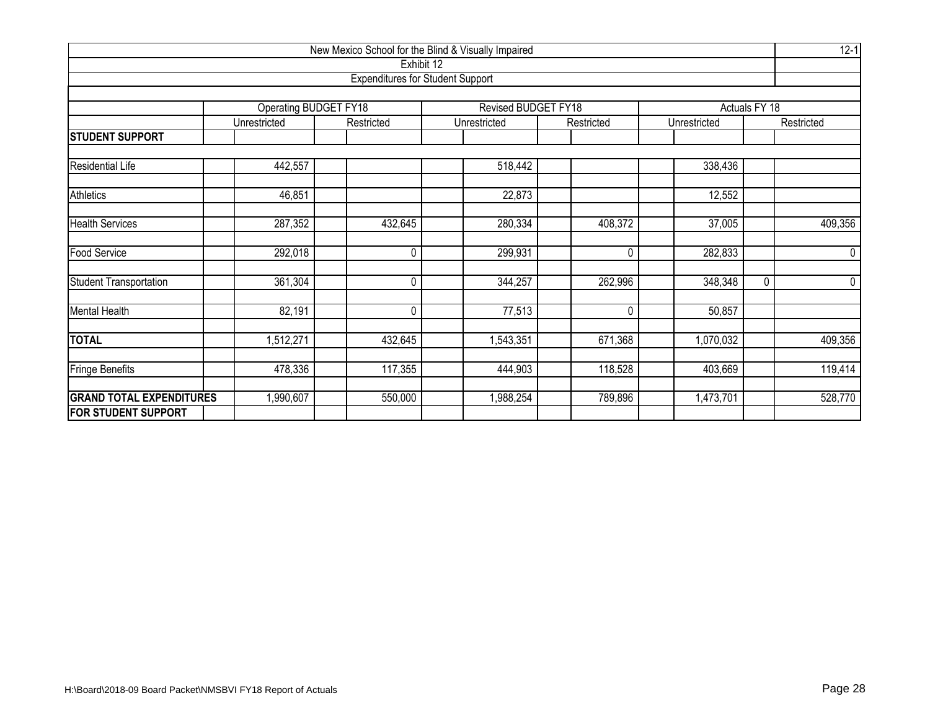| New Mexico School for the Blind & Visually Impaired<br>Exhibit 12 |                       |             |                                         |            |              |               |             |  |  |  |  |  |  |
|-------------------------------------------------------------------|-----------------------|-------------|-----------------------------------------|------------|--------------|---------------|-------------|--|--|--|--|--|--|
|                                                                   |                       |             | <b>Expenditures for Student Support</b> |            |              |               |             |  |  |  |  |  |  |
|                                                                   |                       |             |                                         |            |              |               |             |  |  |  |  |  |  |
|                                                                   | Operating BUDGET FY18 |             | Revised BUDGET FY18                     |            |              | Actuals FY 18 |             |  |  |  |  |  |  |
|                                                                   | Unrestricted          | Restricted  | Unrestricted                            | Restricted | Unrestricted |               | Restricted  |  |  |  |  |  |  |
| <b>STUDENT SUPPORT</b>                                            |                       |             |                                         |            |              |               |             |  |  |  |  |  |  |
| <b>Residential Life</b>                                           | 442,557               |             | 518,442                                 |            | 338,436      |               |             |  |  |  |  |  |  |
|                                                                   |                       |             |                                         |            |              |               |             |  |  |  |  |  |  |
| Athletics                                                         | 46,851                |             | 22,873                                  |            | 12,552       |               |             |  |  |  |  |  |  |
| <b>Health Services</b>                                            | 287,352               | 432,645     | 280,334                                 | 408,372    | 37,005       |               | 409,356     |  |  |  |  |  |  |
| Food Service                                                      | 292,018               | $\pmb{0}$   | 299,931                                 | 0          | 282,833      |               | $\mathbf 0$ |  |  |  |  |  |  |
| <b>Student Transportation</b>                                     | 361,304               | 0           | 344,257                                 | 262,996    | 348,348      | 0             | $\mathbf 0$ |  |  |  |  |  |  |
| <b>Mental Health</b>                                              | 82,191                | $\mathbf 0$ | 77,513                                  | 0          | 50,857       |               |             |  |  |  |  |  |  |
| <b>TOTAL</b>                                                      | 1,512,271             | 432,645     | 1,543,351                               | 671,368    | 1,070,032    |               | 409,356     |  |  |  |  |  |  |
| Fringe Benefits                                                   | 478,336               | 117,355     | 444,903                                 | 118,528    | 403,669      |               | 119,414     |  |  |  |  |  |  |
| <b>GRAND TOTAL EXPENDITURES</b>                                   | ,990,607              | 550,000     | ,988,254                                | 789,896    | 1,473,701    |               | 528,770     |  |  |  |  |  |  |
| <b>FOR STUDENT SUPPORT</b>                                        |                       |             |                                         |            |              |               |             |  |  |  |  |  |  |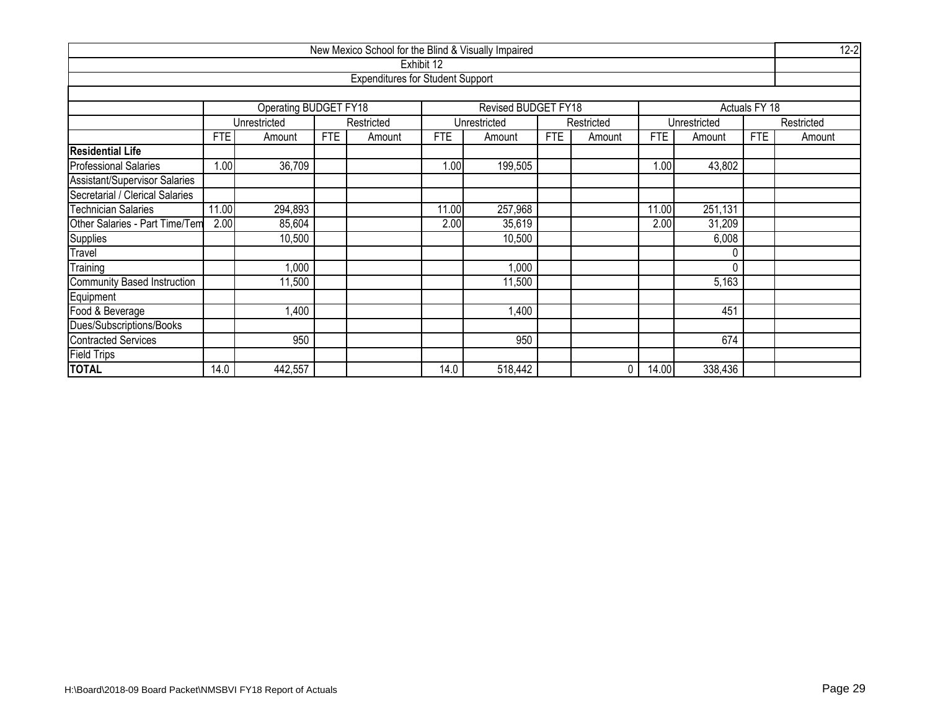| New Mexico School for the Blind & Visually Impaired |            |                                                 |            |                                         |            |                     |            |             |       |              |               |            |  |
|-----------------------------------------------------|------------|-------------------------------------------------|------------|-----------------------------------------|------------|---------------------|------------|-------------|-------|--------------|---------------|------------|--|
|                                                     |            |                                                 |            |                                         | Exhibit 12 |                     |            |             |       |              |               |            |  |
|                                                     |            |                                                 |            | <b>Expenditures for Student Support</b> |            |                     |            |             |       |              |               |            |  |
|                                                     |            |                                                 |            |                                         |            |                     |            |             |       |              |               |            |  |
|                                                     |            | Operating BUDGET FY18                           |            |                                         |            | Revised BUDGET FY18 |            |             |       |              | Actuals FY 18 |            |  |
|                                                     |            | Unrestricted                                    |            | Restricted                              |            | Unrestricted        |            | Restricted  |       | Unrestricted |               | Restricted |  |
|                                                     | <b>FTE</b> | Amount                                          | <b>FTE</b> | Amount                                  | <b>FTE</b> | Amount              | <b>FTE</b> | Amount      | FTE   | Amount       | <b>FTE</b>    | Amount     |  |
| <b>Residential Life</b>                             |            |                                                 |            |                                         |            |                     |            |             |       |              |               |            |  |
| <b>Professional Salaries</b>                        | 1.00       | 36,709                                          |            |                                         | .00        | 199,505             |            |             | 1.00  | 43,802       |               |            |  |
| Assistant/Supervisor Salaries                       |            |                                                 |            |                                         |            |                     |            |             |       |              |               |            |  |
| Secretarial / Clerical Salaries                     |            |                                                 |            |                                         |            |                     |            |             |       |              |               |            |  |
| Technician Salaries                                 | 11.00      | 294,893<br>11.00<br>257,968<br>11.00<br>251,131 |            |                                         |            |                     |            |             |       |              |               |            |  |
| Other Salaries - Part Time/Tem                      | 2.00       | 85,604                                          |            |                                         | 2.00       | 35,619              |            |             | 2.00  | 31,209       |               |            |  |
| <b>Supplies</b>                                     |            | 10,500                                          |            |                                         |            | 10,500              |            |             |       | 6,008        |               |            |  |
| Travel                                              |            |                                                 |            |                                         |            |                     |            |             |       | 0            |               |            |  |
| Training                                            |            | 1,000                                           |            |                                         |            | 1,000               |            |             |       | 0            |               |            |  |
| <b>Community Based Instruction</b>                  |            | 11,500                                          |            |                                         |            | 11,500              |            |             |       | 5,163        |               |            |  |
| Equipment                                           |            |                                                 |            |                                         |            |                     |            |             |       |              |               |            |  |
| Food & Beverage                                     |            | 1,400                                           |            |                                         |            | 1,400               |            |             |       | 451          |               |            |  |
| Dues/Subscriptions/Books                            |            |                                                 |            |                                         |            |                     |            |             |       |              |               |            |  |
| <b>Contracted Services</b>                          |            | 950                                             |            |                                         |            | 950                 |            |             |       | 674          |               |            |  |
| <b>Field Trips</b>                                  |            |                                                 |            |                                         |            |                     |            |             |       |              |               |            |  |
| <b>TOTAL</b>                                        | 14.0       | 442,557                                         |            |                                         | 14.0       | 518,442             |            | $\mathbf 0$ | 14.00 | 338,436      |               |            |  |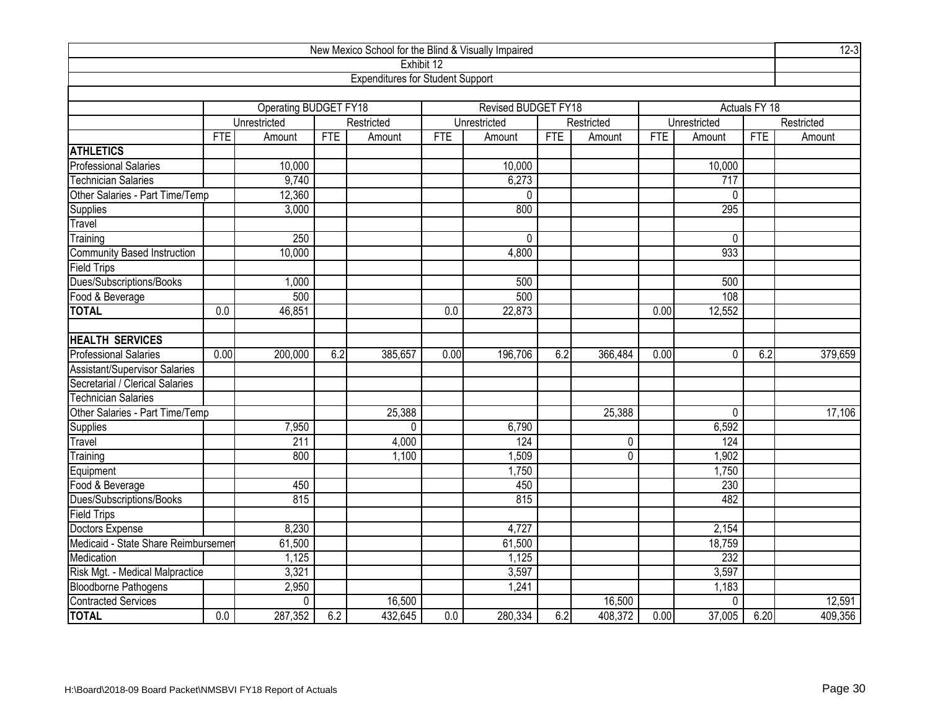| New Mexico School for the Blind & Visually Impaired |                  |                       |            |                                         |                  |                            |            |            |            |              |               |            |
|-----------------------------------------------------|------------------|-----------------------|------------|-----------------------------------------|------------------|----------------------------|------------|------------|------------|--------------|---------------|------------|
|                                                     |                  |                       |            | Exhibit 12                              |                  |                            |            |            |            |              |               |            |
|                                                     |                  |                       |            | <b>Expenditures for Student Support</b> |                  |                            |            |            |            |              |               |            |
|                                                     |                  |                       |            |                                         |                  |                            |            |            |            |              |               |            |
|                                                     |                  | Operating BUDGET FY18 |            |                                         |                  | <b>Revised BUDGET FY18</b> |            |            |            |              | Actuals FY 18 |            |
|                                                     |                  | Unrestricted          |            | Restricted                              |                  | Unrestricted               |            | Restricted |            | Unrestricted |               | Restricted |
|                                                     | <b>FTE</b>       | Amount                | <b>FTE</b> | Amount                                  | <b>FTE</b>       | Amount                     | <b>FTE</b> | Amount     | <b>FTE</b> | Amount       | <b>FTE</b>    | Amount     |
| <b>ATHLETICS</b>                                    |                  |                       |            |                                         |                  |                            |            |            |            |              |               |            |
| <b>Professional Salaries</b>                        |                  | 10,000                |            |                                         |                  | 10,000                     |            |            |            | 10,000       |               |            |
| <b>Technician Salaries</b>                          |                  | 9,740                 |            |                                         |                  | 6,273                      |            |            |            | 717          |               |            |
| Other Salaries - Part Time/Temp                     |                  | 12,360                |            |                                         |                  | $\mathbf{0}$               |            |            |            | $\mathbf{0}$ |               |            |
| Supplies                                            |                  | 3,000                 |            |                                         |                  | 800                        |            |            |            | 295          |               |            |
| Travel                                              |                  |                       |            |                                         |                  |                            |            |            |            |              |               |            |
| Training                                            |                  | 250                   |            |                                         |                  | 0                          |            |            |            | $\mathbf{0}$ |               |            |
| <b>Community Based Instruction</b>                  |                  | 10,000                |            |                                         |                  | 4,800                      |            |            |            | 933          |               |            |
| Field Trips                                         |                  |                       |            |                                         |                  |                            |            |            |            |              |               |            |
| Dues/Subscriptions/Books                            |                  | 1,000                 |            |                                         |                  | 500                        |            |            |            | 500          |               |            |
| Food & Beverage                                     |                  | 500                   |            |                                         |                  | 500                        |            |            |            | 108          |               |            |
| <b>TOTAL</b>                                        | 0.0              | 46,851                |            |                                         | $\overline{0.0}$ | 22,873                     |            |            | 0.00       | 12,552       |               |            |
|                                                     |                  |                       |            |                                         |                  |                            |            |            |            |              |               |            |
| <b>HEALTH SERVICES</b>                              |                  |                       |            |                                         |                  |                            |            |            |            |              |               |            |
| <b>Professional Salaries</b>                        | 0.00             | 200,000               | 6.2        | 385,657                                 | 0.00             | 196,706                    | 6.2        | 366,484    | 0.00       | $\mathbf 0$  | 6.2           | 379,659    |
| Assistant/Supervisor Salaries                       |                  |                       |            |                                         |                  |                            |            |            |            |              |               |            |
| Secretarial / Clerical Salaries                     |                  |                       |            |                                         |                  |                            |            |            |            |              |               |            |
| <b>Technician Salaries</b>                          |                  |                       |            |                                         |                  |                            |            |            |            |              |               |            |
| Other Salaries - Part Time/Temp                     |                  |                       |            | 25,388                                  |                  |                            |            | 25,388     |            | $\Omega$     |               | 17,106     |
| Supplies                                            |                  | 7,950                 |            | $\Omega$                                |                  | 6,790                      |            |            |            | 6,592        |               |            |
| Travel                                              |                  | 211                   |            | 4,000                                   |                  | 124                        |            | 0          |            | 124          |               |            |
| Training                                            |                  | 800                   |            | 1,100                                   |                  | 1,509                      |            | 0          |            | 1,902        |               |            |
| Equipment                                           |                  |                       |            |                                         |                  | 1,750                      |            |            |            | 1,750        |               |            |
| Food & Beverage                                     |                  | 450                   |            |                                         |                  | 450                        |            |            |            | 230          |               |            |
| Dues/Subscriptions/Books                            |                  | 815                   |            |                                         |                  | 815                        |            |            |            | 482          |               |            |
| <b>Field Trips</b>                                  |                  |                       |            |                                         |                  |                            |            |            |            |              |               |            |
| Doctors Expense                                     |                  | 8,230                 |            |                                         |                  | 4,727                      |            |            |            | 2,154        |               |            |
| Medicaid - State Share Reimbursemer                 |                  | 61,500                |            |                                         |                  | 61,500                     |            |            |            | 18,759       |               |            |
| Medication                                          |                  | 1,125                 |            |                                         |                  | 1,125                      |            |            |            | 232          |               |            |
| Risk Mgt. - Medical Malpractice                     |                  | 3,321                 |            |                                         |                  | 3,597                      |            |            |            | 3,597        |               |            |
|                                                     |                  | 2,950                 |            |                                         |                  | 1,241                      |            |            |            | 1,183        |               |            |
| Bloodborne Pathogens<br>Contracted Services         |                  | $\overline{0}$        |            | 16,500                                  |                  |                            |            | 16,500     |            | $\mathbf{0}$ |               | 12,591     |
| <b>TOTAL</b>                                        | $\overline{0.0}$ | 287,352               | 6.2        | 432,645                                 | 0.0              | 280,334                    | 6.2        | 408,372    | 0.00       | 37,005       | 6.20          | 409,356    |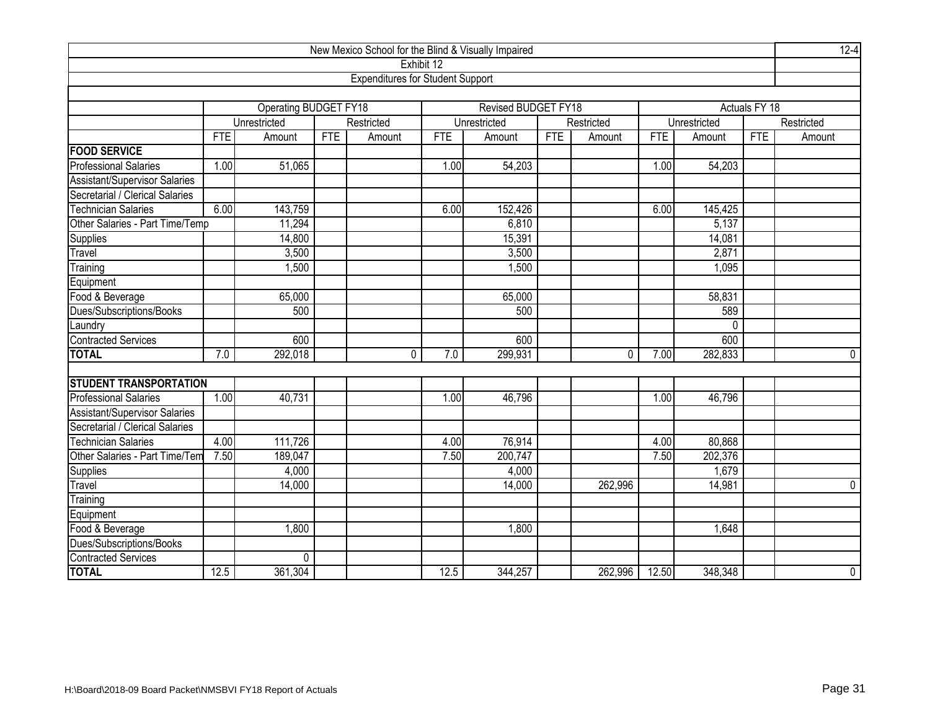| New Mexico School for the Blind & Visually Impaired |            |                              |            |                                         |            |                            |            |            |            |              |               |             |
|-----------------------------------------------------|------------|------------------------------|------------|-----------------------------------------|------------|----------------------------|------------|------------|------------|--------------|---------------|-------------|
|                                                     |            |                              |            | Exhibit 12                              |            |                            |            |            |            |              |               |             |
|                                                     |            |                              |            | <b>Expenditures for Student Support</b> |            |                            |            |            |            |              |               |             |
|                                                     |            |                              |            |                                         |            |                            |            |            |            |              |               |             |
|                                                     |            | <b>Operating BUDGET FY18</b> |            |                                         |            | <b>Revised BUDGET FY18</b> |            |            |            |              | Actuals FY 18 |             |
|                                                     |            | Unrestricted                 |            | Restricted                              |            | Unrestricted               |            | Restricted |            | Unrestricted |               | Restricted  |
|                                                     | <b>FTE</b> | Amount                       | <b>FTE</b> | Amount                                  | <b>FTE</b> | Amount                     | <b>FTE</b> | Amount     | <b>FTE</b> | Amount       | <b>FTE</b>    | Amount      |
| <b>FOOD SERVICE</b>                                 |            |                              |            |                                         |            |                            |            |            |            |              |               |             |
| <b>Professional Salaries</b>                        | 1.00       | 51,065                       |            |                                         | 1.00       | 54,203                     |            |            | 1.00       | 54,203       |               |             |
| Assistant/Supervisor Salaries                       |            |                              |            |                                         |            |                            |            |            |            |              |               |             |
| Secretarial / Clerical Salaries                     |            |                              |            |                                         |            |                            |            |            |            |              |               |             |
| <b>Technician Salaries</b>                          | 6.00       | 143,759                      |            |                                         | 6.00       | 152,426                    |            |            | 6.00       | 145,425      |               |             |
| Other Salaries - Part Time/Temp                     |            | 11,294                       |            |                                         |            | 6,810                      |            |            |            | 5,137        |               |             |
| Supplies                                            |            | 14,800                       |            |                                         |            | 15,391                     |            |            |            | 14,081       |               |             |
| Travel                                              |            | 3,500                        |            |                                         |            | 3,500                      |            |            |            | 2,871        |               |             |
| Training                                            |            | 1,500                        |            |                                         |            | 1,500                      |            |            |            | 1,095        |               |             |
| Equipment                                           |            |                              |            |                                         |            |                            |            |            |            |              |               |             |
| Food & Beverage                                     |            | 65,000                       |            |                                         |            | 65,000                     |            |            |            | 58,831       |               |             |
| Dues/Subscriptions/Books                            |            | 500                          |            |                                         |            | 500                        |            |            |            | 589          |               |             |
| Laundry                                             |            |                              |            |                                         |            |                            |            |            |            | $\Omega$     |               |             |
| <b>Contracted Services</b>                          |            | 600                          |            |                                         |            | 600                        |            |            |            | 600          |               |             |
| <b>TOTAL</b>                                        | 7.0        | 292,018                      |            | 0                                       | 7.0        | 299,931                    |            | 0          | 7.00       | 282,833      |               | $\pmb{0}$   |
|                                                     |            |                              |            |                                         |            |                            |            |            |            |              |               |             |
| <b>STUDENT TRANSPORTATION</b>                       |            |                              |            |                                         |            |                            |            |            |            |              |               |             |
| <b>Professional Salaries</b>                        | 1.00       | 40,731                       |            |                                         | 1.00       | 46,796                     |            |            | 1.00       | 46,796       |               |             |
| Assistant/Supervisor Salaries                       |            |                              |            |                                         |            |                            |            |            |            |              |               |             |
| Secretarial / Clerical Salaries                     |            |                              |            |                                         |            |                            |            |            |            |              |               |             |
| <b>Technician Salaries</b>                          | 4.00       | 111,726                      |            |                                         | 4.00       | 76,914                     |            |            | 4.00       | 80,868       |               |             |
| Other Salaries - Part Time/Tem                      | 7.50       | 189,047                      |            |                                         | 7.50       | 200,747                    |            |            | 7.50       | 202,376      |               |             |
| Supplies                                            |            | 4,000                        |            |                                         |            | 4,000                      |            |            |            | 1,679        |               |             |
| Travel                                              |            | 14,000                       |            |                                         |            | 14,000                     |            | 262,996    |            | 14,981       |               | 0           |
| Training                                            |            |                              |            |                                         |            |                            |            |            |            |              |               |             |
| Equipment                                           |            |                              |            |                                         |            |                            |            |            |            |              |               |             |
| Food & Beverage                                     |            | 1,800                        |            |                                         |            | 1,800                      |            |            |            | 1,648        |               |             |
| Dues/Subscriptions/Books                            |            |                              |            |                                         |            |                            |            |            |            |              |               |             |
| <b>Contracted Services</b>                          |            | $\mathbf 0$                  |            |                                         |            |                            |            |            |            |              |               |             |
| <b>TOTAL</b>                                        | 12.5       | 361,304                      |            |                                         | 12.5       | 344,257                    |            | 262,996    | 12.50      | 348,348      |               | $\mathbf 0$ |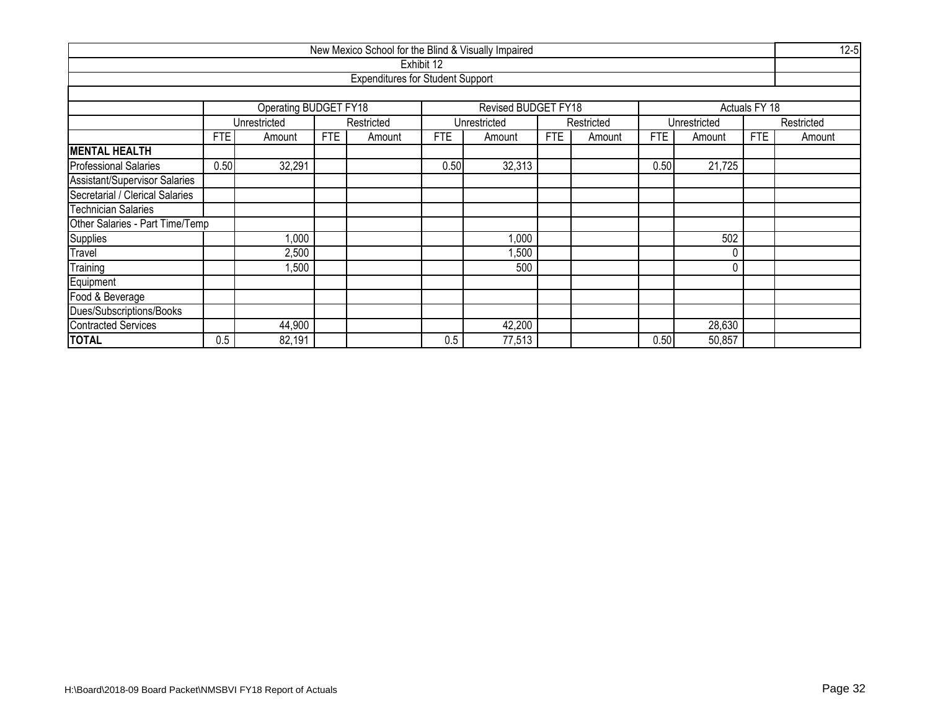|                                 |            |                              |            | New Mexico School for the Blind & Visually Impaired |            |                     |     |            |      |              |               | $12 - 5$   |  |
|---------------------------------|------------|------------------------------|------------|-----------------------------------------------------|------------|---------------------|-----|------------|------|--------------|---------------|------------|--|
|                                 |            |                              |            |                                                     | Exhibit 12 |                     |     |            |      |              |               |            |  |
|                                 |            |                              |            | <b>Expenditures for Student Support</b>             |            |                     |     |            |      |              |               |            |  |
|                                 |            |                              |            |                                                     |            |                     |     |            |      |              |               |            |  |
|                                 |            | <b>Operating BUDGET FY18</b> |            |                                                     |            | Revised BUDGET FY18 |     |            |      |              | Actuals FY 18 |            |  |
|                                 |            | Unrestricted                 |            | Restricted                                          |            | Unrestricted        |     | Restricted |      | Unrestricted |               | Restricted |  |
|                                 | <b>FTE</b> | Amount                       | <b>FTE</b> | Amount                                              | FTE.       | Amount              | FTE | Amount     | FTE. | Amount       | FTE           | Amount     |  |
| <b>MENTAL HEALTH</b>            |            |                              |            |                                                     |            |                     |     |            |      |              |               |            |  |
| <b>Professional Salaries</b>    | 0.50       | 32,291                       |            |                                                     | 0.50       | 32,313              |     |            | 0.50 | 21,725       |               |            |  |
| Assistant/Supervisor Salaries   |            |                              |            |                                                     |            |                     |     |            |      |              |               |            |  |
| Secretarial / Clerical Salaries |            |                              |            |                                                     |            |                     |     |            |      |              |               |            |  |
| <b>Technician Salaries</b>      |            |                              |            |                                                     |            |                     |     |            |      |              |               |            |  |
| Other Salaries - Part Time/Temp |            |                              |            |                                                     |            |                     |     |            |      |              |               |            |  |
| Supplies                        |            | 1,000                        |            |                                                     |            | 1,000               |     |            |      | 502          |               |            |  |
| Travel                          |            | 2,500                        |            |                                                     |            | 1,500               |     |            |      |              |               |            |  |
| Training                        |            | 1,500                        |            |                                                     |            | 500                 |     |            |      |              |               |            |  |
| Equipment                       |            |                              |            |                                                     |            |                     |     |            |      |              |               |            |  |
| Food & Beverage                 |            |                              |            |                                                     |            |                     |     |            |      |              |               |            |  |
| Dues/Subscriptions/Books        |            |                              |            |                                                     |            |                     |     |            |      |              |               |            |  |
| <b>Contracted Services</b>      |            | 44,900                       |            |                                                     |            | 42,200              |     |            |      | 28,630       |               |            |  |
| <b>TOTAL</b>                    | 0.5        | 82,191                       |            |                                                     | 0.5        | 77,513              |     |            | 0.50 | 50,857       |               |            |  |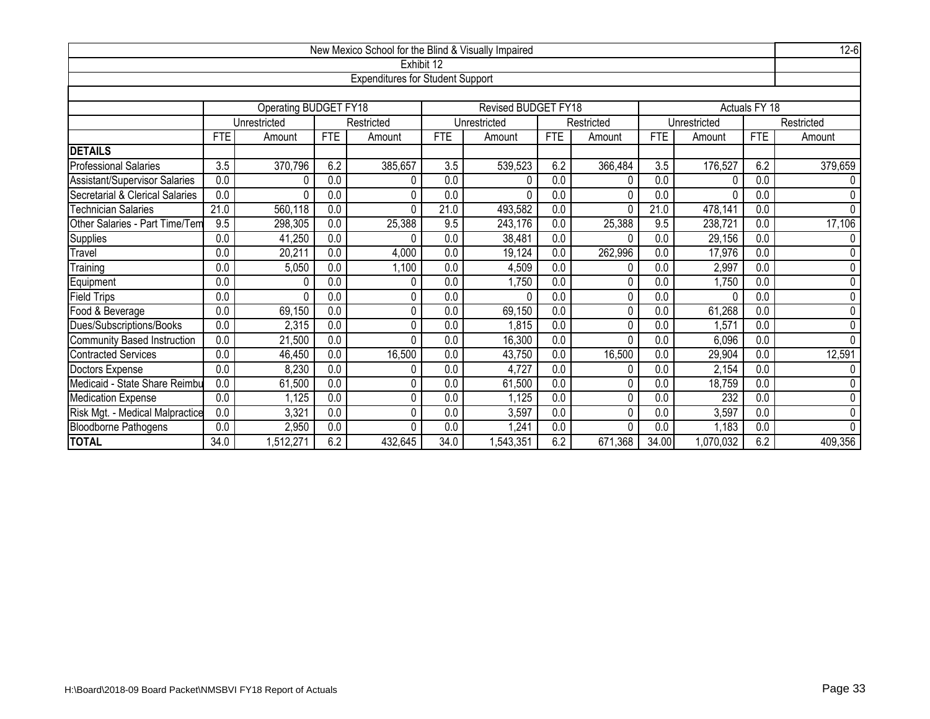| $12 - 6$<br>New Mexico School for the Blind & Visually Impaired |                                         |                       |                  |            |                  |                            |                  |            |                  |              |                  |             |  |  |  |
|-----------------------------------------------------------------|-----------------------------------------|-----------------------|------------------|------------|------------------|----------------------------|------------------|------------|------------------|--------------|------------------|-------------|--|--|--|
|                                                                 | Exhibit 12                              |                       |                  |            |                  |                            |                  |            |                  |              |                  |             |  |  |  |
|                                                                 | <b>Expenditures for Student Support</b> |                       |                  |            |                  |                            |                  |            |                  |              |                  |             |  |  |  |
|                                                                 |                                         |                       |                  |            |                  |                            |                  |            |                  |              |                  |             |  |  |  |
|                                                                 |                                         | Operating BUDGET FY18 |                  |            |                  | <b>Revised BUDGET FY18</b> |                  |            |                  |              | Actuals FY 18    |             |  |  |  |
|                                                                 |                                         | Unrestricted          |                  | Restricted |                  | Unrestricted               |                  | Restricted |                  | Unrestricted |                  | Restricted  |  |  |  |
|                                                                 | <b>FTE</b>                              | Amount                | <b>FTE</b>       | Amount     | <b>FTE</b>       | Amount                     | <b>FTE</b>       | Amount     | <b>FTE</b>       | Amount       | <b>FTE</b>       | Amount      |  |  |  |
| <b>DETAILS</b>                                                  |                                         |                       |                  |            |                  |                            |                  |            |                  |              |                  |             |  |  |  |
| <b>Professional Salaries</b>                                    | $\overline{3.5}$                        | 370,796               | 6.2              | 385,657    | $\overline{3.5}$ | 539,523                    | 6.2              | 366,484    | $\overline{3.5}$ | 176,527      | 6.2              | 379,659     |  |  |  |
| Assistant/Supervisor Salaries                                   | 0.0                                     | 0                     | 0.0              | 0          | 0.0              | 0                          | 0.0              |            | 0.0              |              | 0.0              | 0           |  |  |  |
| Secretarial & Clerical Salaries                                 | 0.0                                     | $\Omega$              | 0.0              | 0          | 0.0              | $\Omega$                   | 0.0              | 0          | 0.0              |              | 0.0              | 0           |  |  |  |
| <b>Technician Salaries</b>                                      | 21.0                                    | 560,118               | 0.0              | $\Omega$   | 21.0             | 493,582                    | 0.0              | 0          | 21.0             | 478,141      | 0.0              | $\mathbf 0$ |  |  |  |
| Other Salaries - Part Time/Tem                                  | 9.5                                     | 298,305               | 0.0              | 25,388     | 9.5              | 243,176                    | 0.0              | 25,388     | 9.5              | 238,721      | 0.0              | 17,106      |  |  |  |
| Supplies                                                        | 0.0                                     | 41,250                | 0.0              | 0          | 0.0              | 38,481                     | $\overline{0.0}$ |            | 0.0              | 29,156       | $\overline{0.0}$ | 0           |  |  |  |
| Travel                                                          | 0.0                                     | 20,211                | 0.0              | 4,000      | 0.0              | 19,124                     | 0.0              | 262,996    | 0.0              | 17,976       | 0.0              | $\pmb{0}$   |  |  |  |
| Training                                                        | 0.0                                     | 5,050                 | 0.0              | 1,100      | 0.0              | 4,509                      | 0.0              |            | 0.0              | 2,997        | 0.0              | 0           |  |  |  |
| Equipment                                                       | 0.0                                     | 0                     | 0.0              | 0          | 0.0              | 1,750                      | 0.0              | 0          | 0.0              | 1,750        | 0.0              | $\pmb{0}$   |  |  |  |
| <b>Field Trips</b>                                              | 0.0                                     | $\Omega$              | 0.0              | 0          | 0.0              | $\Omega$                   | 0.0              | 0          | 0.0              |              | 0.0              | 0           |  |  |  |
| Food & Beverage                                                 | $\overline{0.0}$                        | 69,150                | 0.0              | 0          | 0.0              | 69,150                     | 0.0              |            | 0.0              | 61,268       | $\overline{0.0}$ | 0           |  |  |  |
| Dues/Subscriptions/Books                                        | $\overline{0.0}$                        | 2,315                 | $\overline{0.0}$ | 0          | $\overline{0.0}$ | .815                       | 0.0              | 0          | 0.0              | 1,571        | $\overline{0.0}$ | $\pmb{0}$   |  |  |  |
| Community Based Instruction                                     | 0.0                                     | 21,500                | 0.0              | 0          | 0.0              | 16,300                     | 0.0              | 0          | 0.0              | 6,096        | 0.0              | $\mathbf 0$ |  |  |  |
| Contracted Services                                             | $\overline{0.0}$                        | 46,450                | 0.0              | 16,500     | 0.0              | 43,750                     | 0.0              | 16,500     | 0.0              | 29,904       | 0.0              | 12,591      |  |  |  |
| Doctors Expense                                                 | 0.0                                     | 8,230                 | 0.0              | 0          | 0.0              | 4,727                      | 0.0              | 0          | 0.0              | 2,154        | 0.0              | 0           |  |  |  |
| Medicaid - State Share Reimbu                                   | 0.0                                     | 61,500                | 0.0              | 0          | 0.0              | 61,500                     | 0.0              | 0          | 0.0              | 18,759       | $\overline{0.0}$ | 0           |  |  |  |
| Medication Expense                                              | $\overline{0.0}$                        | ,125                  | $\overline{0.0}$ | 0          | 0.0              | ,125                       | $\overline{0.0}$ |            | 0.0              | 232          | $\overline{0.0}$ | $\pmb{0}$   |  |  |  |
| Risk Mgt. - Medical Malpractice                                 | 0.0                                     | 3,321                 | 0.0              | 0          | 0.0              | 3,597                      | 0.0              | 0          | 0.0              | 3,597        | 0.0              | $\mathbf 0$ |  |  |  |
| <b>Bloodborne Pathogens</b>                                     | 0.0                                     | 2,950                 | 0.0              | 0          | 0.0              | ,241                       | 0.0              |            | 0.0              | 1,183        | $\overline{0.0}$ | $\mathbf 0$ |  |  |  |
| <b>TOTAL</b>                                                    | 34.0                                    | ,512,271              | 6.2              | 432,645    | 34.0             | ,543,351                   | 6.2              | 671,368    | 34.00            | 1,070,032    | 6.2              | 409,356     |  |  |  |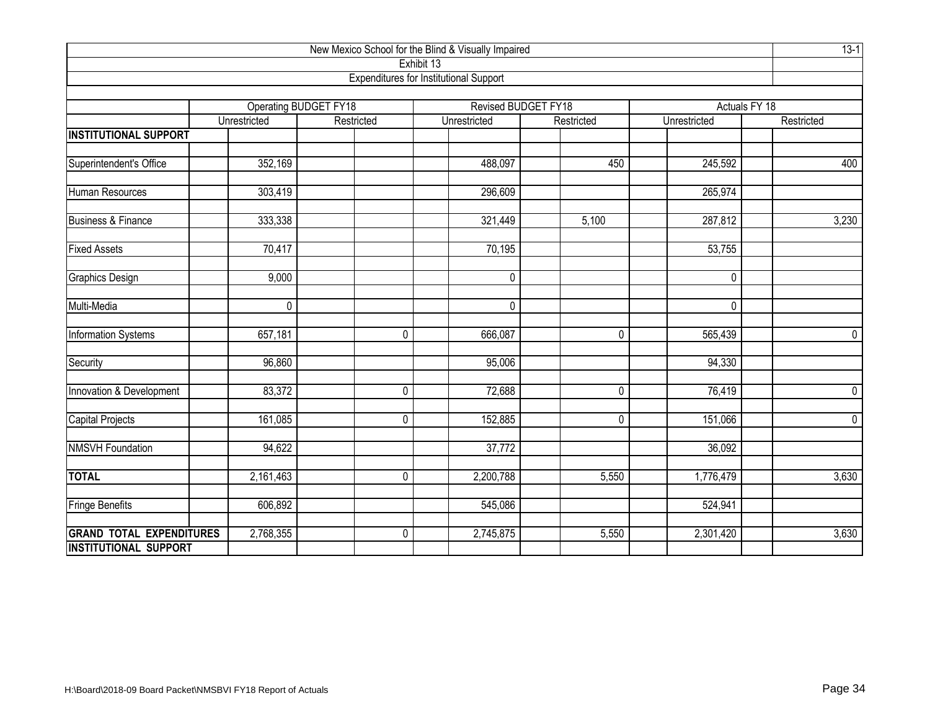| New Mexico School for the Blind & Visually Impaired |              |                       |                                               |                     |                      |               |  |  |  |  |  |  |
|-----------------------------------------------------|--------------|-----------------------|-----------------------------------------------|---------------------|----------------------|---------------|--|--|--|--|--|--|
|                                                     |              |                       | Exhibit 13                                    |                     |                      |               |  |  |  |  |  |  |
|                                                     |              |                       | <b>Expenditures for Institutional Support</b> |                     |                      |               |  |  |  |  |  |  |
|                                                     |              | Operating BUDGET FY18 |                                               | Revised BUDGET FY18 |                      | Actuals FY 18 |  |  |  |  |  |  |
|                                                     | Unrestricted | Restricted            | Unrestricted                                  | Restricted          | Unrestricted         | Restricted    |  |  |  |  |  |  |
| <b>INSTITUTIONAL SUPPORT</b>                        |              |                       |                                               |                     |                      |               |  |  |  |  |  |  |
| Superintendent's Office                             | 352,169      |                       | 488,097                                       | 450                 | 245,592              | 400           |  |  |  |  |  |  |
| Human Resources                                     | 303,419      |                       | 296,609                                       |                     | 265,974              |               |  |  |  |  |  |  |
|                                                     |              |                       |                                               |                     |                      |               |  |  |  |  |  |  |
| <b>Business &amp; Finance</b>                       | 333,338      |                       | 321,449                                       | 5,100               | 287,812              | 3,230         |  |  |  |  |  |  |
| <b>Fixed Assets</b>                                 | 70,417       |                       | 70,195                                        |                     | 53,755               |               |  |  |  |  |  |  |
| <b>Graphics Design</b>                              | 9,000        |                       | 0                                             |                     | $\pmb{0}$            |               |  |  |  |  |  |  |
| Multi-Media                                         | 0            |                       | 0                                             |                     | $\pmb{0}$            |               |  |  |  |  |  |  |
| Information Systems                                 | 657,181      | $\mathbf 0$           | 666,087                                       | $\mathbf 0$         | 565,439              | $\mathbf 0$   |  |  |  |  |  |  |
| <b>Security</b>                                     | 96,860       |                       | 95,006                                        |                     | 94,330               |               |  |  |  |  |  |  |
| Innovation & Development                            | 83,372       | $\overline{0}$        | 72,688                                        | $\overline{0}$      | 76,419               | $\mathbf 0$   |  |  |  |  |  |  |
| Capital Projects                                    | 161,085      | $\mathbf 0$           | 152,885                                       | $\mathbf 0$         | 151,066              | $\mathbf 0$   |  |  |  |  |  |  |
| <b>NMSVH Foundation</b>                             | 94,622       |                       | 37,772                                        |                     | 36,092               |               |  |  |  |  |  |  |
| <b>TOTAL</b>                                        | 2,161,463    | $\mathbf 0$           | 2,200,788                                     | 5,550               | 1,776,479            | 3,630         |  |  |  |  |  |  |
| <b>Fringe Benefits</b>                              | 606,892      |                       | 545,086                                       |                     | $\overline{524,941}$ |               |  |  |  |  |  |  |
| <b>GRAND TOTAL EXPENDITURES</b>                     | 2,768,355    | $\mathbf 0$           | 2,745,875                                     | 5,550               | 2,301,420            | 3,630         |  |  |  |  |  |  |
| INSTITUTIONAL SUPPORT                               |              |                       |                                               |                     |                      |               |  |  |  |  |  |  |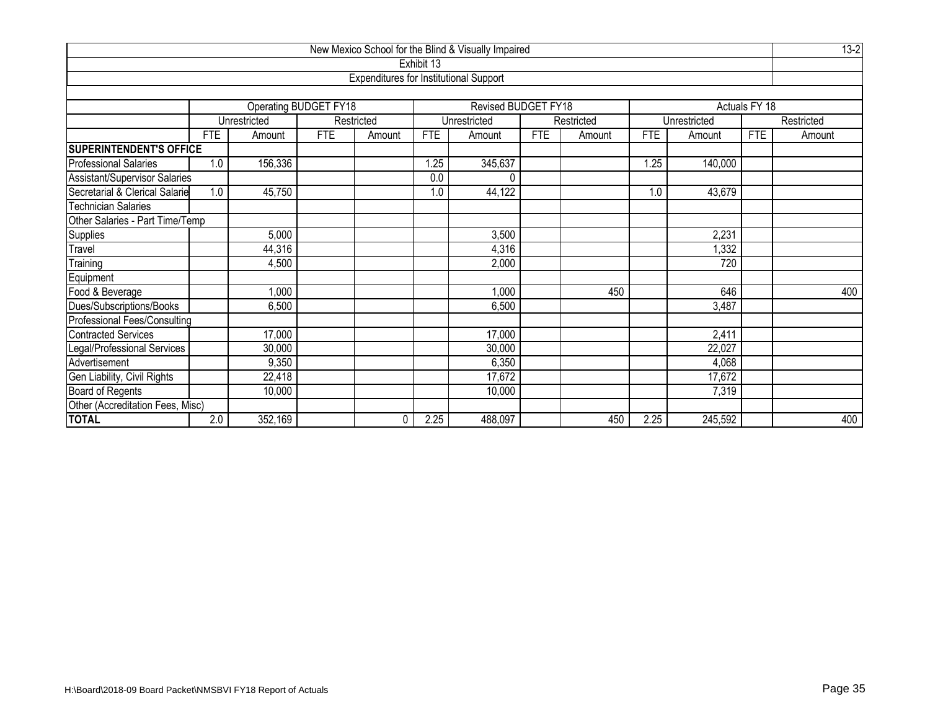| New Mexico School for the Blind & Visually Impaired |            |                       |            |                                               |            |                     |            |            |            |              |               |            |  |
|-----------------------------------------------------|------------|-----------------------|------------|-----------------------------------------------|------------|---------------------|------------|------------|------------|--------------|---------------|------------|--|
|                                                     |            |                       |            |                                               | Exhibit 13 |                     |            |            |            |              |               |            |  |
|                                                     |            |                       |            | <b>Expenditures for Institutional Support</b> |            |                     |            |            |            |              |               |            |  |
|                                                     |            |                       |            |                                               |            |                     |            |            |            |              |               |            |  |
|                                                     |            | Operating BUDGET FY18 |            |                                               |            | Revised BUDGET FY18 |            |            |            |              | Actuals FY 18 |            |  |
|                                                     |            | Unrestricted          |            | Restricted                                    |            | Unrestricted        |            | Restricted |            | Unrestricted |               | Restricted |  |
|                                                     | <b>FTE</b> | Amount                | <b>FTE</b> | Amount                                        | <b>FTE</b> | Amount              | <b>FTE</b> | Amount     | <b>FTE</b> | Amount       | <b>FTE</b>    | Amount     |  |
| <b>SUPERINTENDENT'S OFFICE</b>                      |            |                       |            |                                               |            |                     |            |            |            |              |               |            |  |
| <b>Professional Salaries</b>                        | 1.0        | 156,336               |            |                                               | 1.25       | 345,637             |            |            | 1.25       | 140,000      |               |            |  |
| <b>Assistant/Supervisor Salaries</b>                |            |                       |            |                                               | 0.0        | 0                   |            |            |            |              |               |            |  |
| Secretarial & Clerical Salarie                      | 1.0        | 45,750                |            |                                               | 1.0        | 44,122              |            |            | 1.0        | 43,679       |               |            |  |
| <b>Technician Salaries</b>                          |            |                       |            |                                               |            |                     |            |            |            |              |               |            |  |
| Other Salaries - Part Time/Temp                     |            |                       |            |                                               |            |                     |            |            |            |              |               |            |  |
| Supplies                                            |            | 5,000                 |            |                                               |            | 3,500               |            |            |            | 2,231        |               |            |  |
| Travel                                              |            | 44,316                |            |                                               |            | 4,316               |            |            |            | 1,332        |               |            |  |
| Training                                            |            | 4,500                 |            |                                               |            | 2,000               |            |            |            | 720          |               |            |  |
| Equipment                                           |            |                       |            |                                               |            |                     |            |            |            |              |               |            |  |
| Food & Beverage                                     |            | 1,000                 |            |                                               |            | 1,000               |            | 450        |            | 646          |               | 400        |  |
| Dues/Subscriptions/Books                            |            | 6,500                 |            |                                               |            | 6,500               |            |            |            | 3,487        |               |            |  |
| <b>Professional Fees/Consulting</b>                 |            |                       |            |                                               |            |                     |            |            |            |              |               |            |  |
| <b>Contracted Services</b>                          |            | 17,000                |            |                                               |            | 17,000              |            |            |            | 2,411        |               |            |  |
| Legal/Professional Services                         |            | 30,000                |            |                                               |            | 30,000              |            |            |            | 22,027       |               |            |  |
| Advertisement                                       |            | 9,350                 |            |                                               |            | 6,350               |            |            |            | 4,068        |               |            |  |
| Gen Liability, Civil Rights                         |            | 22,418                |            |                                               |            | 17,672              |            |            |            | 17,672       |               |            |  |
| <b>Board of Regents</b>                             |            | 10,000                |            |                                               |            | 10,000              |            |            |            | 7,319        |               |            |  |
| Other (Accreditation Fees, Misc)                    |            |                       |            |                                               |            |                     |            |            |            |              |               |            |  |
| <b>TOTAL</b>                                        | 2.0        | 352,169               |            |                                               | 2.25       | 488,097             |            | 450        | 2.25       | 245,592      |               | 400        |  |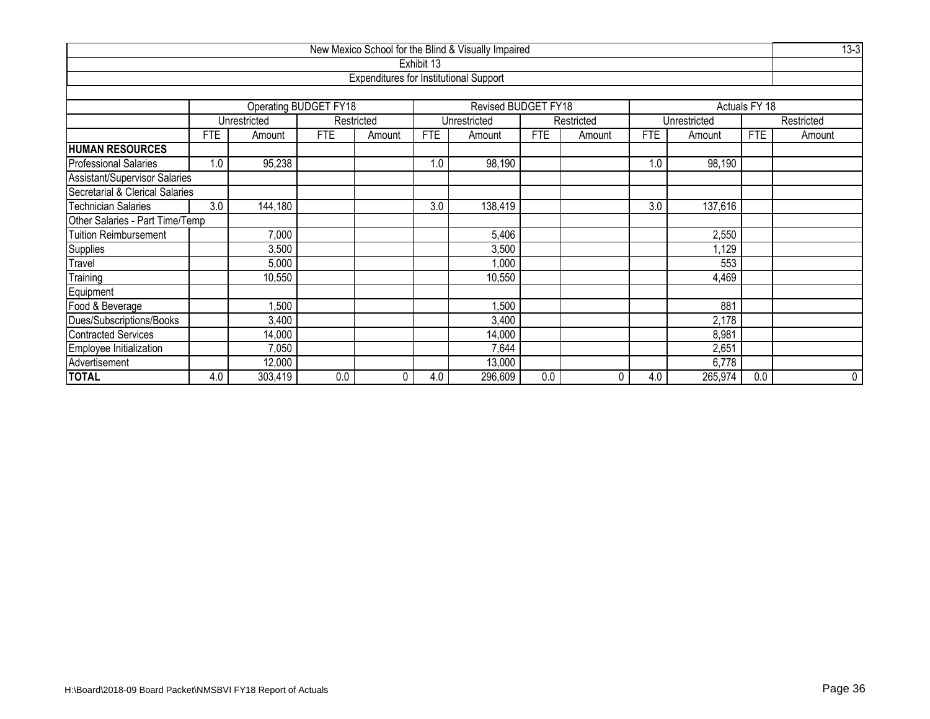| New Mexico School for the Blind & Visually Impaired |            |                                             |                       |             |            |                                               |            |            |            |              |               |            |  |
|-----------------------------------------------------|------------|---------------------------------------------|-----------------------|-------------|------------|-----------------------------------------------|------------|------------|------------|--------------|---------------|------------|--|
|                                                     |            |                                             |                       |             | Exhibit 13 |                                               |            |            |            |              |               |            |  |
|                                                     |            |                                             |                       |             |            | <b>Expenditures for Institutional Support</b> |            |            |            |              |               |            |  |
|                                                     |            |                                             |                       |             |            |                                               |            |            |            |              |               |            |  |
|                                                     |            |                                             | Operating BUDGET FY18 |             |            | Revised BUDGET FY18                           |            |            |            |              | Actuals FY 18 |            |  |
|                                                     |            | Unrestricted                                |                       | Restricted  |            | Unrestricted                                  |            | Restricted |            | Unrestricted |               | Restricted |  |
|                                                     | <b>FTE</b> | Amount                                      | <b>FTE</b>            | Amount      | <b>FTE</b> | Amount                                        | <b>FTE</b> | Amount     | <b>FTE</b> | Amount       | <b>FTE</b>    | Amount     |  |
| <b>HUMAN RESOURCES</b>                              |            |                                             |                       |             |            |                                               |            |            |            |              |               |            |  |
| <b>Professional Salaries</b>                        | 1.0        | 95,238                                      |                       |             | 1.0        | 98,190                                        |            |            | 1.0        | 98,190       |               |            |  |
| <b>Assistant/Supervisor Salaries</b>                |            |                                             |                       |             |            |                                               |            |            |            |              |               |            |  |
| Secretarial & Clerical Salaries                     |            |                                             |                       |             |            |                                               |            |            |            |              |               |            |  |
| <b>Technician Salaries</b>                          | 3.0        | 138,419<br>144,180<br>3.0<br>3.0<br>137,616 |                       |             |            |                                               |            |            |            |              |               |            |  |
| Other Salaries - Part Time/Temp                     |            |                                             |                       |             |            |                                               |            |            |            |              |               |            |  |
| <b>Tuition Reimbursement</b>                        |            | 7,000                                       |                       |             |            | 5,406                                         |            |            |            | 2,550        |               |            |  |
| Supplies                                            |            | 3,500                                       |                       |             |            | 3,500                                         |            |            |            | 1,129        |               |            |  |
| Travel                                              |            | 5,000                                       |                       |             |            | 1,000                                         |            |            |            | 553          |               |            |  |
| Training                                            |            | 10,550                                      |                       |             |            | 10,550                                        |            |            |            | 4,469        |               |            |  |
| Equipment                                           |            |                                             |                       |             |            |                                               |            |            |            |              |               |            |  |
| Food & Beverage                                     |            | 1,500                                       |                       |             |            | 1,500                                         |            |            |            | 881          |               |            |  |
| Dues/Subscriptions/Books                            |            | 2,178<br>3,400<br>3,400                     |                       |             |            |                                               |            |            |            |              |               |            |  |
| <b>Contracted Services</b>                          |            | 14,000                                      |                       |             |            | 14,000                                        |            |            |            | 8,981        |               |            |  |
| Employee Initialization                             |            | 7,050                                       |                       |             |            | 7,644                                         |            |            |            | 2,651        |               |            |  |
| Advertisement                                       |            | 12,000                                      |                       |             |            | 13,000                                        |            |            |            | 6,778        |               |            |  |
| <b>TOTAL</b>                                        | 4.0        | 303,419                                     | 0.0                   | $\mathbf 0$ | 4.0        | 296,609                                       | 0.0        | 0          | 4.0        | 265,974      | 0.0           | 0          |  |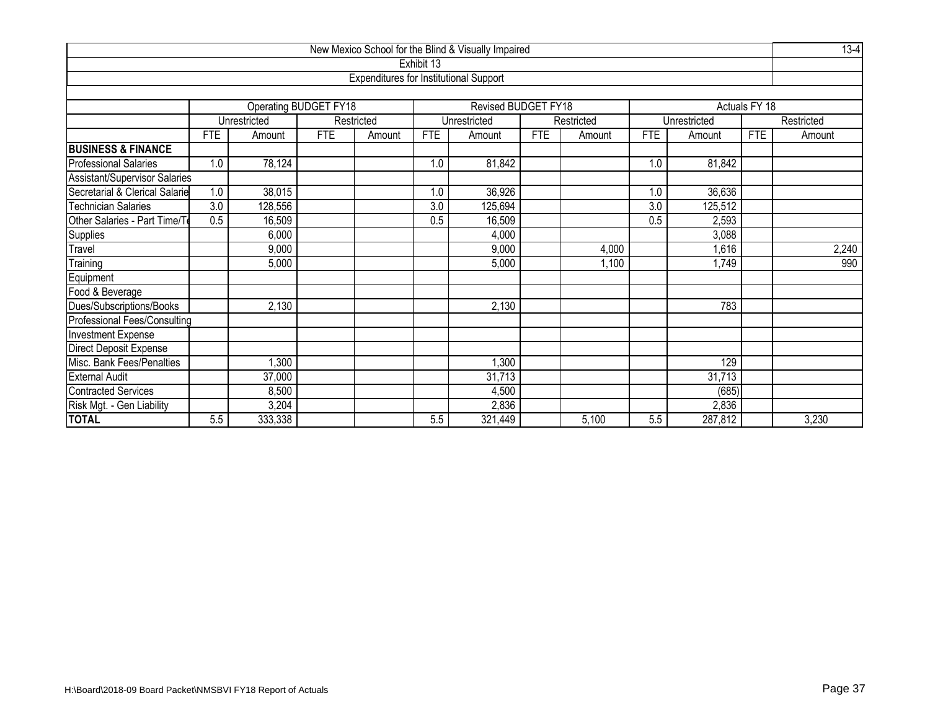|                                      |                                                    |              |                       |                                        |            | New Mexico School for the Blind & Visually Impaired |            |            |            |              |               | $13-4$     |  |  |
|--------------------------------------|----------------------------------------------------|--------------|-----------------------|----------------------------------------|------------|-----------------------------------------------------|------------|------------|------------|--------------|---------------|------------|--|--|
|                                      |                                                    |              |                       |                                        | Exhibit 13 |                                                     |            |            |            |              |               |            |  |  |
|                                      |                                                    |              |                       | Expenditures for Institutional Support |            |                                                     |            |            |            |              |               |            |  |  |
|                                      |                                                    |              |                       |                                        |            |                                                     |            |            |            |              |               |            |  |  |
|                                      |                                                    |              | Operating BUDGET FY18 |                                        |            | Revised BUDGET FY18                                 |            |            |            |              | Actuals FY 18 |            |  |  |
|                                      |                                                    | Unrestricted |                       | Restricted                             |            | Unrestricted                                        |            | Restricted |            | Unrestricted |               | Restricted |  |  |
|                                      | <b>FTE</b>                                         | Amount       | <b>FTE</b>            | Amount                                 | <b>FTE</b> | Amount                                              | <b>FTE</b> | Amount     | <b>FTE</b> | Amount       | <b>FTE</b>    | Amount     |  |  |
| <b>BUSINESS &amp; FINANCE</b>        |                                                    |              |                       |                                        |            |                                                     |            |            |            |              |               |            |  |  |
| <b>Professional Salaries</b>         | 1.0                                                | 78,124       |                       |                                        | 1.0        | 81,842                                              |            |            | 1.0        | 81,842       |               |            |  |  |
| <b>Assistant/Supervisor Salaries</b> |                                                    |              |                       |                                        |            |                                                     |            |            |            |              |               |            |  |  |
| Secretarial & Clerical Salarie       | 38,015<br>1.0<br>36,926<br>36,636<br>1.0<br>1.0    |              |                       |                                        |            |                                                     |            |            |            |              |               |            |  |  |
| <b>Technician Salaries</b>           | 3.0<br>128,556<br>3.0<br>125,694<br>3.0<br>125,512 |              |                       |                                        |            |                                                     |            |            |            |              |               |            |  |  |
| Other Salaries - Part Time/To        | 0.5<br>16,509<br>0.5<br>16,509<br>0.5<br>2,593     |              |                       |                                        |            |                                                     |            |            |            |              |               |            |  |  |
| Supplies                             | 6,000<br>4,000<br>3,088                            |              |                       |                                        |            |                                                     |            |            |            |              |               |            |  |  |
| Travel                               |                                                    | 9,000        |                       |                                        |            | 9,000                                               |            | 4,000      |            | 1,616        |               | 2,240      |  |  |
| Training                             |                                                    | 5,000        |                       |                                        |            | 5,000                                               |            | 1,100      |            | 1,749        |               | 990        |  |  |
| Equipment                            |                                                    |              |                       |                                        |            |                                                     |            |            |            |              |               |            |  |  |
| Food & Beverage                      |                                                    |              |                       |                                        |            |                                                     |            |            |            |              |               |            |  |  |
| Dues/Subscriptions/Books             |                                                    | 2,130        |                       |                                        |            | 2,130                                               |            |            |            | 783          |               |            |  |  |
| Professional Fees/Consulting         |                                                    |              |                       |                                        |            |                                                     |            |            |            |              |               |            |  |  |
| Investment Expense                   |                                                    |              |                       |                                        |            |                                                     |            |            |            |              |               |            |  |  |
| <b>Direct Deposit Expense</b>        |                                                    |              |                       |                                        |            |                                                     |            |            |            |              |               |            |  |  |
| Misc. Bank Fees/Penalties            | ,300<br>1,300<br>129                               |              |                       |                                        |            |                                                     |            |            |            |              |               |            |  |  |
| <b>External Audit</b>                |                                                    | 37,000       |                       |                                        |            | 31,713                                              |            |            |            | 31,713       |               |            |  |  |
| <b>Contracted Services</b>           |                                                    | 8,500        |                       |                                        |            | 4,500                                               |            |            |            | (685)        |               |            |  |  |
| Risk Mgt. - Gen Liability            |                                                    | 3,204        |                       |                                        |            | 2,836                                               |            |            |            | 2,836        |               |            |  |  |
| <b>TOTAL</b>                         | 5.5                                                | 333,338      |                       |                                        | 5.5        | 321,449                                             |            | 5,100      | 5.5        | 287,812      |               | 3,230      |  |  |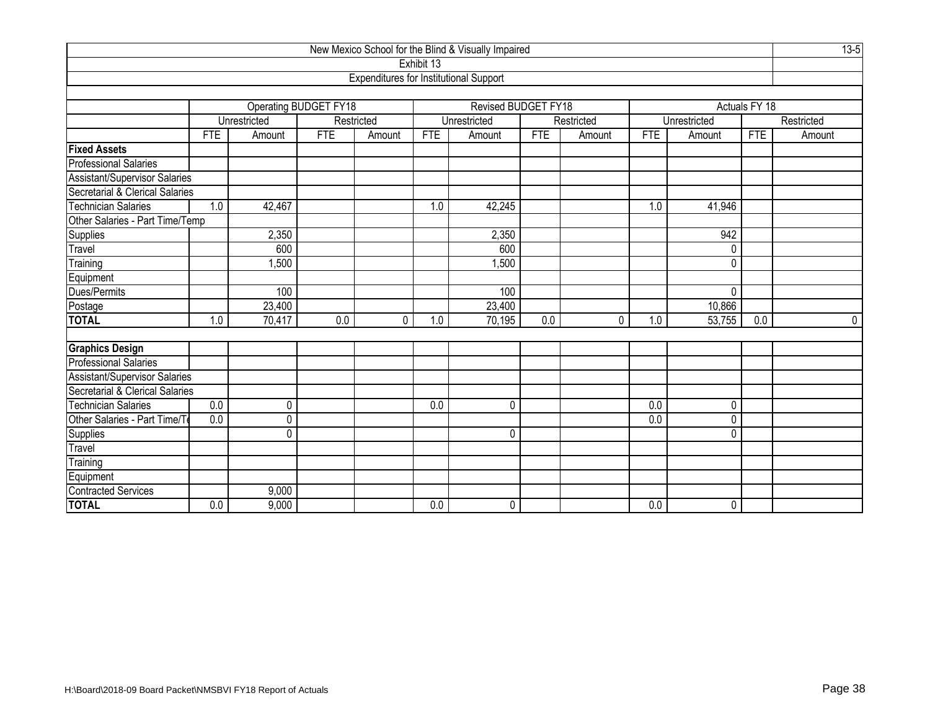|                                                  |                                                 |              |                       |                                               |                  | New Mexico School for the Blind & Visually Impaired |            |            |            |              |               | $13-5$     |  |  |
|--------------------------------------------------|-------------------------------------------------|--------------|-----------------------|-----------------------------------------------|------------------|-----------------------------------------------------|------------|------------|------------|--------------|---------------|------------|--|--|
|                                                  |                                                 |              |                       |                                               | Exhibit 13       |                                                     |            |            |            |              |               |            |  |  |
|                                                  |                                                 |              |                       | <b>Expenditures for Institutional Support</b> |                  |                                                     |            |            |            |              |               |            |  |  |
|                                                  |                                                 |              |                       |                                               |                  |                                                     |            |            |            |              |               |            |  |  |
|                                                  |                                                 |              | Operating BUDGET FY18 |                                               |                  | Revised BUDGET FY18                                 |            |            |            |              | Actuals FY 18 |            |  |  |
|                                                  |                                                 | Unrestricted |                       | Restricted                                    |                  | Unrestricted                                        |            | Restricted |            | Unrestricted |               | Restricted |  |  |
|                                                  | <b>FTE</b>                                      | Amount       | <b>FTE</b>            | Amount                                        | <b>FTE</b>       | Amount                                              | <b>FTE</b> | Amount     | <b>FTE</b> | Amount       | <b>FTE</b>    | Amount     |  |  |
| <b>Fixed Assets</b>                              |                                                 |              |                       |                                               |                  |                                                     |            |            |            |              |               |            |  |  |
| <b>Professional Salaries</b>                     |                                                 |              |                       |                                               |                  |                                                     |            |            |            |              |               |            |  |  |
| Assistant/Supervisor Salaries                    |                                                 |              |                       |                                               |                  |                                                     |            |            |            |              |               |            |  |  |
| Secretarial & Clerical Salaries                  |                                                 |              |                       |                                               |                  |                                                     |            |            |            |              |               |            |  |  |
| Technician Salaries                              | 42,467<br>42,245<br>1.0<br>1.0<br>1.0<br>41,946 |              |                       |                                               |                  |                                                     |            |            |            |              |               |            |  |  |
| Other Salaries - Part Time/Temp                  |                                                 |              |                       |                                               |                  |                                                     |            |            |            |              |               |            |  |  |
| Supplies                                         | 2,350<br>2,350<br>942<br>600<br>$\mathbf{0}$    |              |                       |                                               |                  |                                                     |            |            |            |              |               |            |  |  |
| Travel                                           |                                                 | 600          |                       |                                               |                  |                                                     |            |            |            |              |               |            |  |  |
| Training                                         |                                                 | 1,500        |                       |                                               |                  | 1,500                                               |            |            |            | $\mathbf{0}$ |               |            |  |  |
| Equipment                                        |                                                 |              |                       |                                               |                  |                                                     |            |            |            |              |               |            |  |  |
| Dues/Permits                                     |                                                 | 100          |                       |                                               |                  | 100                                                 |            |            |            | $\mathbf{0}$ |               |            |  |  |
| Postage                                          |                                                 | 23,400       |                       |                                               |                  | 23,400                                              |            |            |            | 10,866       |               |            |  |  |
| <b>TOTAL</b>                                     | 1.0                                             | 70,417       | 0.0                   | 0                                             | 1.0              | 70,195                                              | 0.0        | 0          | 1.0        | 53,755       | 0.0           | 0          |  |  |
|                                                  |                                                 |              |                       |                                               |                  |                                                     |            |            |            |              |               |            |  |  |
| <b>Graphics Design<br/>Professional Salaries</b> |                                                 |              |                       |                                               |                  |                                                     |            |            |            |              |               |            |  |  |
|                                                  |                                                 |              |                       |                                               |                  |                                                     |            |            |            |              |               |            |  |  |
| <b>Assistant/Supervisor Salaries</b>             |                                                 |              |                       |                                               |                  |                                                     |            |            |            |              |               |            |  |  |
| Secretarial & Clerical Salaries                  |                                                 |              |                       |                                               |                  |                                                     |            |            |            |              |               |            |  |  |
| <b>Technician Salaries</b>                       | 0.0                                             | $\mathbf 0$  |                       |                                               | $\overline{0.0}$ | 0                                                   |            |            | 0.0        | $\mathbf 0$  |               |            |  |  |
| Other Salaries - Part Time/Te                    | 0.0                                             | 0            |                       |                                               |                  |                                                     |            |            | 0.0        | $\mathbf 0$  |               |            |  |  |
| <b>Supplies</b>                                  |                                                 | 0            |                       |                                               |                  | 0                                                   |            |            |            | $\Omega$     |               |            |  |  |
| Travel                                           |                                                 |              |                       |                                               |                  |                                                     |            |            |            |              |               |            |  |  |
| Training                                         |                                                 |              |                       |                                               |                  |                                                     |            |            |            |              |               |            |  |  |
| Equipment                                        |                                                 |              |                       |                                               |                  |                                                     |            |            |            |              |               |            |  |  |
| <b>Contracted Services</b>                       |                                                 | 9,000        |                       |                                               |                  |                                                     |            |            |            |              |               |            |  |  |
| <b>TOTAL</b>                                     | 0.0                                             | 9,000        |                       |                                               | $\overline{0.0}$ | 0                                                   |            |            | 0.0        | 0            |               |            |  |  |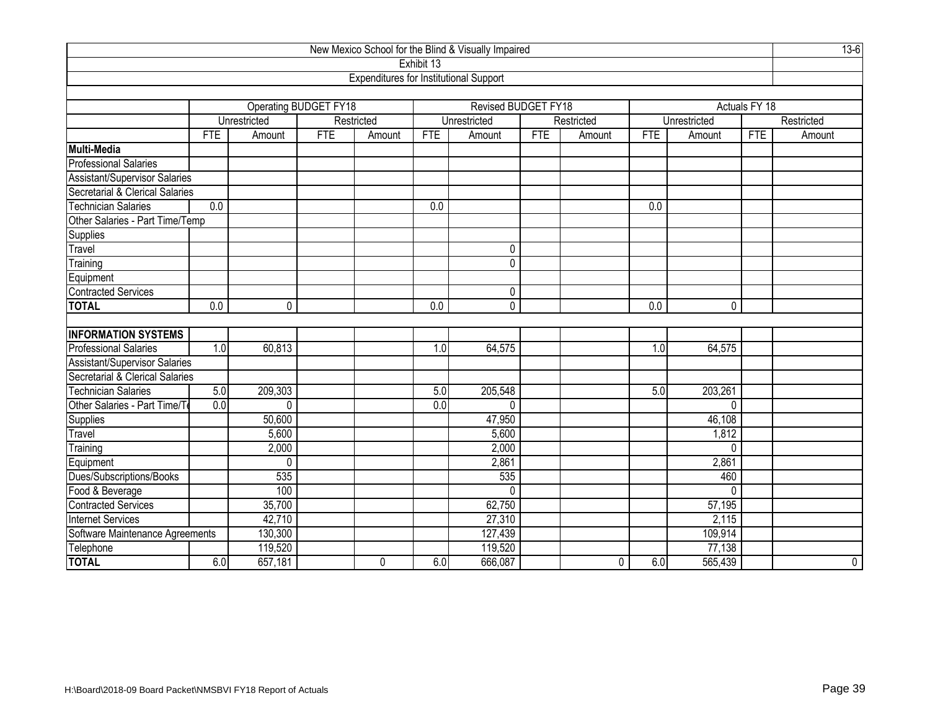| New Mexico School for the Blind & Visually Impaired |            |                       |            |                                               |                  |                     |            |            |            |              |               |            |  |
|-----------------------------------------------------|------------|-----------------------|------------|-----------------------------------------------|------------------|---------------------|------------|------------|------------|--------------|---------------|------------|--|
|                                                     |            |                       |            |                                               | Exhibit 13       |                     |            |            |            |              |               |            |  |
|                                                     |            |                       |            | <b>Expenditures for Institutional Support</b> |                  |                     |            |            |            |              |               |            |  |
|                                                     |            |                       |            |                                               |                  |                     |            |            |            |              |               |            |  |
|                                                     |            | Operating BUDGET FY18 |            |                                               |                  | Revised BUDGET FY18 |            |            |            |              | Actuals FY 18 |            |  |
|                                                     |            | Unrestricted          |            | Restricted                                    |                  | Unrestricted        |            | Restricted |            | Unrestricted |               | Restricted |  |
|                                                     | <b>FTE</b> | Amount                | <b>FTE</b> | Amount                                        | <b>FTE</b>       | Amount              | <b>FTE</b> | Amount     | <b>FTE</b> | Amount       | <b>FTE</b>    | Amount     |  |
| <b>Multi-Media</b>                                  |            |                       |            |                                               |                  |                     |            |            |            |              |               |            |  |
| <b>Professional Salaries</b>                        |            |                       |            |                                               |                  |                     |            |            |            |              |               |            |  |
| Assistant/Supervisor Salaries                       |            |                       |            |                                               |                  |                     |            |            |            |              |               |            |  |
| Secretarial & Clerical Salaries                     |            |                       |            |                                               |                  |                     |            |            |            |              |               |            |  |
| <b>Technician Salaries</b><br>0.0<br>0.0<br>0.0     |            |                       |            |                                               |                  |                     |            |            |            |              |               |            |  |
| Other Salaries - Part Time/Temp                     |            |                       |            |                                               |                  |                     |            |            |            |              |               |            |  |
| Supplies                                            |            |                       |            |                                               |                  |                     |            |            |            |              |               |            |  |
| Travel                                              | 0          |                       |            |                                               |                  |                     |            |            |            |              |               |            |  |
| Training                                            | 0          |                       |            |                                               |                  |                     |            |            |            |              |               |            |  |
| Equipment                                           |            |                       |            |                                               |                  |                     |            |            |            |              |               |            |  |
| <b>Contracted Services</b>                          |            |                       |            |                                               |                  | 0                   |            |            |            |              |               |            |  |
| <b>TOTAL</b>                                        | 0.0        | 0                     |            |                                               | $\overline{0.0}$ | 0                   |            |            | 0.0        | 0            |               |            |  |
|                                                     |            |                       |            |                                               |                  |                     |            |            |            |              |               |            |  |
| <b>INFORMATION SYSTEMS</b>                          |            |                       |            |                                               |                  |                     |            |            |            |              |               |            |  |
| <b>Professional Salaries</b>                        | 1.0        | 60,813                |            |                                               | 1.0              | 64,575              |            |            | 1.0        | 64,575       |               |            |  |
| <b>Assistant/Supervisor Salaries</b>                |            |                       |            |                                               |                  |                     |            |            |            |              |               |            |  |
| Secretarial & Clerical Salaries                     |            |                       |            |                                               |                  |                     |            |            |            |              |               |            |  |
| <b>Technician Salaries</b>                          | 5.0        | 209,303               |            |                                               | 5.0              | 205,548             |            |            | 5.0        | 203,261      |               |            |  |
| Other Salaries - Part Time/T                        | 0.0        | $\Omega$              |            |                                               | $\overline{0.0}$ | $\Omega$            |            |            |            | $\mathbf{0}$ |               |            |  |
| Supplies                                            |            | 50,600                |            |                                               |                  | 47,950              |            |            |            | 46,108       |               |            |  |
| Travel                                              |            | 5,600                 |            |                                               |                  | 5,600               |            |            |            | 1,812        |               |            |  |
| Training                                            |            | 2,000                 |            |                                               |                  | 2,000               |            |            |            | $\Omega$     |               |            |  |
| Equipment                                           |            | 0                     |            |                                               |                  | 2,861               |            |            |            | 2,861        |               |            |  |
| Dues/Subscriptions/Books                            |            | 535                   |            |                                               |                  | 535                 |            |            |            | 460          |               |            |  |
| Food & Beverage                                     |            | 100                   |            |                                               |                  | $\Omega$            |            |            |            | $\Omega$     |               |            |  |
| Contracted Services                                 |            | 35,700                |            |                                               |                  | 62,750              |            |            |            | 57,195       |               |            |  |
| <b>Internet Services</b>                            |            | 42,710                |            |                                               |                  | 27,310              |            |            |            | 2,115        |               |            |  |
| Software Maintenance Agreements                     |            | 130,300               |            |                                               |                  | 127,439             |            |            |            | 109,914      |               |            |  |
| Telephone                                           |            | 119,520               |            |                                               |                  | 119,520             |            |            |            | 77,138       |               |            |  |
| <b>TOTAL</b>                                        | 6.0        | 657,181               |            | 0                                             | 6.0              | 666,087             |            | 0          | 6.0        | 565,439      |               | 0          |  |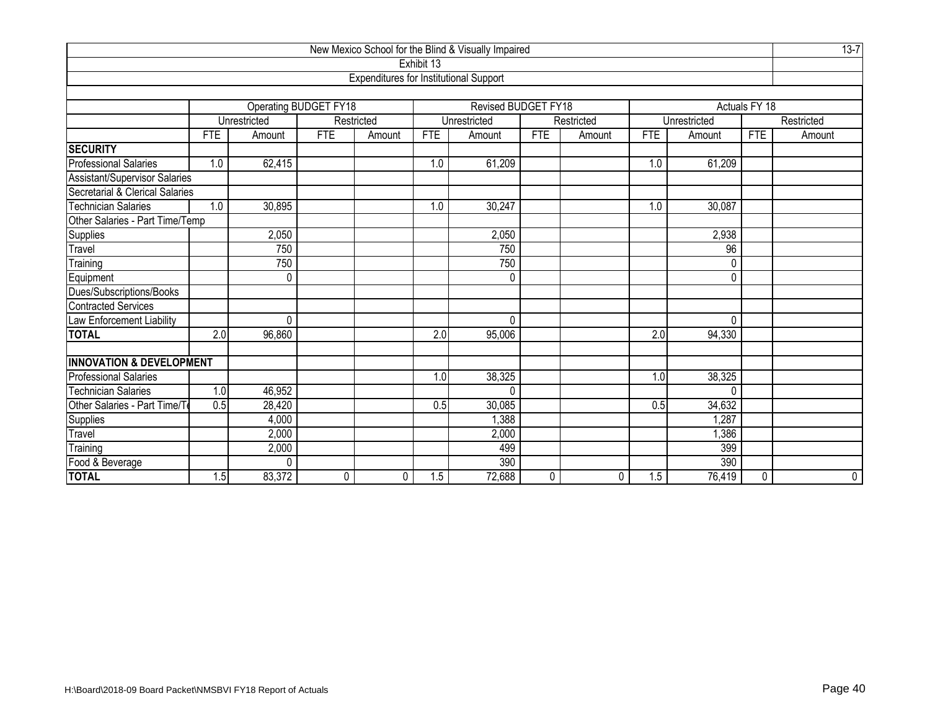|                                      |                                                 |                         |                       |                                        |            | New Mexico School for the Blind & Visually Impaired |            |            |            |              |               | $13 - 7$    |  |  |  |
|--------------------------------------|-------------------------------------------------|-------------------------|-----------------------|----------------------------------------|------------|-----------------------------------------------------|------------|------------|------------|--------------|---------------|-------------|--|--|--|
|                                      |                                                 |                         |                       |                                        | Exhibit 13 |                                                     |            |            |            |              |               |             |  |  |  |
|                                      |                                                 |                         |                       | Expenditures for Institutional Support |            |                                                     |            |            |            |              |               |             |  |  |  |
|                                      |                                                 |                         |                       |                                        |            |                                                     |            |            |            |              |               |             |  |  |  |
|                                      |                                                 |                         | Operating BUDGET FY18 |                                        |            | Revised BUDGET FY18                                 |            |            |            |              | Actuals FY 18 |             |  |  |  |
|                                      |                                                 | Unrestricted            |                       | Restricted                             |            | Unrestricted                                        |            | Restricted |            | Unrestricted |               | Restricted  |  |  |  |
|                                      | <b>FTE</b>                                      | Amount                  | <b>FTE</b>            | Amount                                 | <b>FTE</b> | Amount                                              | <b>FTE</b> | Amount     | <b>FTE</b> | Amount       | <b>FTE</b>    | Amount      |  |  |  |
| <b>SECURITY</b>                      |                                                 |                         |                       |                                        |            |                                                     |            |            |            |              |               |             |  |  |  |
| <b>Professional Salaries</b>         | 1.0                                             | 62,415                  |                       |                                        | 1.0        | 61,209                                              |            |            | 1.0        | 61,209       |               |             |  |  |  |
| <b>Assistant/Supervisor Salaries</b> |                                                 |                         |                       |                                        |            |                                                     |            |            |            |              |               |             |  |  |  |
| Secretarial & Clerical Salaries      |                                                 |                         |                       |                                        |            |                                                     |            |            |            |              |               |             |  |  |  |
| <b>Technician Salaries</b>           | 30,895<br>1.0<br>30,247<br>30,087<br>1.0<br>1.0 |                         |                       |                                        |            |                                                     |            |            |            |              |               |             |  |  |  |
| Other Salaries - Part Time/Temp      |                                                 |                         |                       |                                        |            |                                                     |            |            |            |              |               |             |  |  |  |
| Supplies<br>Travel                   |                                                 | 2,938<br>2,050<br>2,050 |                       |                                        |            |                                                     |            |            |            |              |               |             |  |  |  |
|                                      |                                                 | 750                     |                       |                                        |            | 750                                                 |            |            |            | 96           |               |             |  |  |  |
| Training                             |                                                 | 750                     |                       |                                        |            | 750                                                 |            |            |            | 0            |               |             |  |  |  |
| Equipment                            |                                                 | $\mathbf 0$             |                       |                                        |            | $\mathbf 0$                                         |            |            |            | 0            |               |             |  |  |  |
| Dues/Subscriptions/Books             |                                                 |                         |                       |                                        |            |                                                     |            |            |            |              |               |             |  |  |  |
| <b>Contracted Services</b>           |                                                 |                         |                       |                                        |            |                                                     |            |            |            |              |               |             |  |  |  |
| Law Enforcement Liability            |                                                 | $\Omega$                |                       |                                        |            | $\Omega$                                            |            |            |            | $\mathbf{0}$ |               |             |  |  |  |
| <b>TOTAL</b>                         | 2.0                                             | 96,860                  |                       |                                        | 2.0        | 95,006                                              |            |            | 2.0        | 94,330       |               |             |  |  |  |
|                                      |                                                 |                         |                       |                                        |            |                                                     |            |            |            |              |               |             |  |  |  |
| <b>INNOVATION &amp; DEVELOPMENT</b>  |                                                 |                         |                       |                                        |            |                                                     |            |            |            |              |               |             |  |  |  |
| <b>Professional Salaries</b>         |                                                 |                         |                       |                                        | 1.0        | 38,325                                              |            |            | 1.0        | 38,325       |               |             |  |  |  |
| <b>Technician Salaries</b>           | 1.0                                             | 46,952                  |                       |                                        |            | $\Omega$                                            |            |            |            | $\Omega$     |               |             |  |  |  |
| Other Salaries - Part Time/To        | 0.5                                             | 28,420                  |                       |                                        | 0.5        | 30,085                                              |            |            | 0.5        | 34,632       |               |             |  |  |  |
| Supplies                             |                                                 | 4,000                   |                       |                                        |            | 1,388                                               |            |            |            | 1,287        |               |             |  |  |  |
| Travel                               |                                                 | 2,000                   |                       |                                        |            | 2,000                                               |            |            |            | 1,386        |               |             |  |  |  |
| Training                             |                                                 | 2,000                   |                       |                                        |            | 499                                                 |            |            |            | 399          |               |             |  |  |  |
| Food & Beverage                      |                                                 | O                       |                       |                                        |            | 390                                                 |            |            |            | 390          |               |             |  |  |  |
| <b>TOTAL</b>                         | 1.5                                             | 83,372                  | 0                     | 0                                      | 1.5        | 72,688                                              | 0          | 0          | 1.5        | 76,419       | $\mathbf 0$   | $\mathbf 0$ |  |  |  |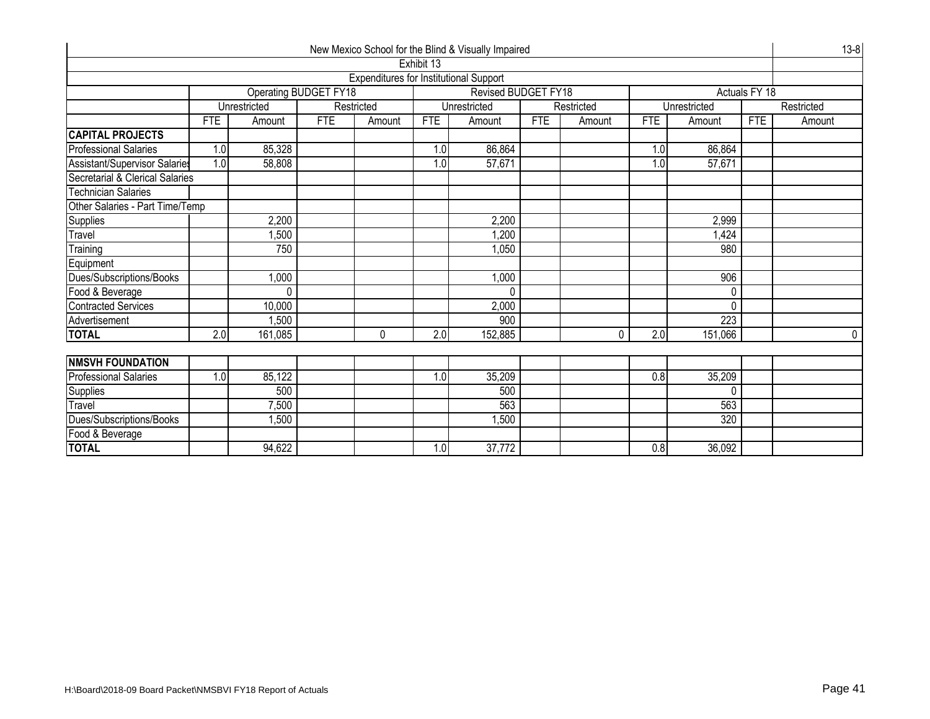|                                 |                         |                       |            |                                        |            | New Mexico School for the Blind & Visually Impaired |            |            |                  |              |               | $13 - 8$   |  |
|---------------------------------|-------------------------|-----------------------|------------|----------------------------------------|------------|-----------------------------------------------------|------------|------------|------------------|--------------|---------------|------------|--|
|                                 |                         |                       |            |                                        | Exhibit 13 |                                                     |            |            |                  |              |               |            |  |
|                                 |                         |                       |            | Expenditures for Institutional Support |            |                                                     |            |            |                  |              |               |            |  |
|                                 |                         | Operating BUDGET FY18 |            |                                        |            | <b>Revised BUDGET FY18</b>                          |            |            |                  |              | Actuals FY 18 |            |  |
|                                 |                         | Unrestricted          |            | Restricted                             |            | Unrestricted                                        |            | Restricted |                  | Unrestricted |               | Restricted |  |
|                                 | <b>FTE</b>              | Amount                | <b>FTE</b> | Amount                                 | <b>FTE</b> | Amount                                              | <b>FTE</b> | Amount     | <b>FTE</b>       | Amount       | <b>FTE</b>    | Amount     |  |
| <b>CAPITAL PROJECTS</b>         |                         |                       |            |                                        |            |                                                     |            |            |                  |              |               |            |  |
| <b>Professional Salaries</b>    | 1.0                     | 85,328                |            |                                        | 1.0        | 86,864                                              |            |            | 1.0              | 86,864       |               |            |  |
| Assistant/Supervisor Salaries   | 1.0                     | 58,808                |            |                                        | 1.0        | 57,671                                              |            |            | 1.0              | 57,671       |               |            |  |
| Secretarial & Clerical Salaries |                         |                       |            |                                        |            |                                                     |            |            |                  |              |               |            |  |
| <b>Technician Salaries</b>      |                         |                       |            |                                        |            |                                                     |            |            |                  |              |               |            |  |
| Other Salaries - Part Time/Temp |                         |                       |            |                                        |            |                                                     |            |            |                  |              |               |            |  |
| <b>Supplies</b>                 | 2,200<br>2,200<br>2,999 |                       |            |                                        |            |                                                     |            |            |                  |              |               |            |  |
| Travel                          |                         | ,500                  |            |                                        |            | 1,200                                               |            |            |                  | 1,424        |               |            |  |
| Training                        |                         | 750                   |            |                                        |            | 1,050                                               |            |            |                  | 980          |               |            |  |
| Equipment                       |                         |                       |            |                                        |            |                                                     |            |            |                  |              |               |            |  |
| Dues/Subscriptions/Books        |                         | 1,000                 |            |                                        |            | 1,000                                               |            |            |                  | 906          |               |            |  |
| Food & Beverage                 |                         | 0                     |            |                                        |            |                                                     |            |            |                  | 0            |               |            |  |
| <b>Contracted Services</b>      |                         | 10,000                |            |                                        |            | 2,000                                               |            |            |                  | $\Omega$     |               |            |  |
| Advertisement                   |                         | 1,500                 |            |                                        |            | 900                                                 |            |            |                  | 223          |               |            |  |
| <b>TOTAL</b>                    | 2.0                     | 161,085               |            | $\theta$                               | 2.0        | 152,885                                             |            | $\Omega$   | 2.0              | 151,066      |               | 0          |  |
|                                 |                         |                       |            |                                        |            |                                                     |            |            |                  |              |               |            |  |
| <b>NMSVH FOUNDATION</b>         |                         |                       |            |                                        |            |                                                     |            |            |                  |              |               |            |  |
| <b>Professional Salaries</b>    | 1.0                     | 85,122                |            |                                        | 1.0        | 35,209                                              |            |            | 0.8              | 35,209       |               |            |  |
| <b>Supplies</b>                 |                         | 500                   |            |                                        |            | 500                                                 |            |            |                  | $\Omega$     |               |            |  |
| Travel                          |                         | 7,500                 |            |                                        |            | 563                                                 |            |            |                  | 563          |               |            |  |
| Dues/Subscriptions/Books        |                         | 1,500                 |            |                                        |            | 1,500                                               |            |            |                  | 320          |               |            |  |
| Food & Beverage                 |                         |                       |            |                                        |            |                                                     |            |            |                  |              |               |            |  |
| <b>TOTAL</b>                    |                         | 94,622                |            |                                        | 1.0        | 37,772                                              |            |            | $\overline{0.8}$ | 36,092       |               |            |  |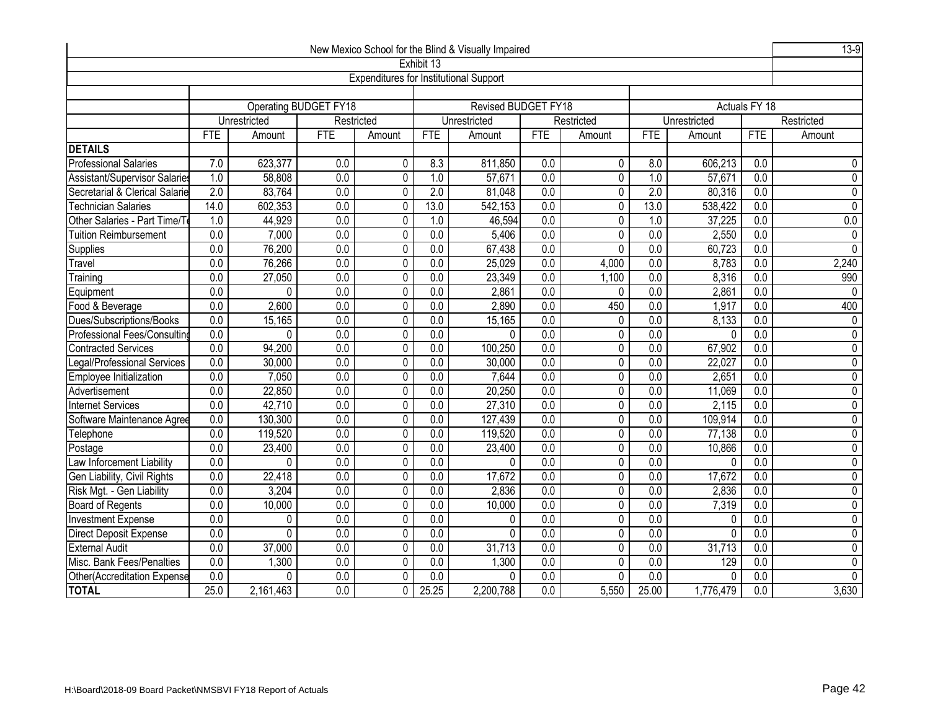|                                |                                                    |              |                       |                                               |                  | New Mexico School for the Blind & Visually Impaired |                  |                |                  |              |                  | $13-9$           |
|--------------------------------|----------------------------------------------------|--------------|-----------------------|-----------------------------------------------|------------------|-----------------------------------------------------|------------------|----------------|------------------|--------------|------------------|------------------|
|                                |                                                    |              |                       |                                               | Exhibit 13       |                                                     |                  |                |                  |              |                  |                  |
|                                |                                                    |              |                       | <b>Expenditures for Institutional Support</b> |                  |                                                     |                  |                |                  |              |                  |                  |
|                                |                                                    |              |                       |                                               |                  |                                                     |                  |                |                  |              |                  |                  |
|                                |                                                    |              | Operating BUDGET FY18 |                                               |                  | Revised BUDGET FY18                                 |                  |                |                  |              | Actuals FY 18    |                  |
|                                |                                                    | Unrestricted |                       | Restricted                                    |                  | Unrestricted                                        |                  | Restricted     |                  | Unrestricted |                  | Restricted       |
|                                | <b>FTE</b>                                         | Amount       | <b>FTE</b>            | Amount                                        | <b>FTE</b>       | Amount                                              | <b>FTE</b>       | Amount         | <b>FTE</b>       | Amount       | <b>FTE</b>       | Amount           |
| <b>DETAILS</b>                 |                                                    |              |                       |                                               |                  |                                                     |                  |                |                  |              |                  |                  |
| <b>Professional Salaries</b>   | 7.0                                                | 623,377      | 0.0                   | $\Omega$                                      | 8.3              | 811,850                                             | 0.0              | $\mathbf{0}$   | 8.0              | 606,213      | 0.0              | $\mathbf{0}$     |
| Assistant/Supervisor Salaries  | 1.0                                                | 58,808       | $\overline{0.0}$      | $\mathbf{0}$                                  | 1.0              | 57,671                                              | 0.0              | 0              | 1.0              | 57,671       | $\overline{0.0}$ | $\mathbf 0$      |
| Secretarial & Clerical Salarie | 2.0                                                | 83,764       | 0.0                   | 0                                             | 2.0              | 81,048                                              | 0.0              | 0              | $\overline{2.0}$ | 80,316       | 0.0              | 0                |
| <b>Technician Salaries</b>     | 14.0                                               | 602,353      | $\overline{0.0}$      | $\mathbf 0$                                   | 13.0             | 542,153                                             | 0.0              | 0              | 13.0             | 538,422      | 0.0              | $\mathbf{0}$     |
| Other Salaries - Part Time/T   | 1.0                                                | 44,929       | 0.0                   | 0                                             | 1.0              | 46,594                                              | $\overline{0.0}$ | $\overline{0}$ | 1.0              | 37,225       | $\overline{0.0}$ | $\overline{0.0}$ |
| <b>Tuition Reimbursement</b>   | 0.0                                                | 7,000        | 0.0                   | 0                                             | 0.0              | 5,406                                               | $\overline{0.0}$ | 0              | $\overline{0.0}$ | 2,550        | 0.0              | $\mathbf{0}$     |
| Supplies                       | $\overline{0.0}$                                   | 76,200       | $\overline{0.0}$      | $\mathbf 0$                                   | 0.0              | 67,438                                              | $\overline{0.0}$ | 0              | $\overline{0.0}$ | 60,723       | $\overline{0.0}$ | $\Omega$         |
| Travel                         | 0.0                                                | 76,266       | 0.0                   | $\Omega$                                      | 0.0              | 25,029                                              | 0.0              | 4,000          | $\overline{0.0}$ | 8,783        | 0.0              | 2,240            |
| Training                       | $\overline{0.0}$                                   | 27,050       | $\overline{0.0}$      | 0                                             | $\overline{0.0}$ | 23,349                                              | 0.0              | 1,100          | $\overline{0.0}$ | 8,316        | 0.0              | 990              |
| Equipment                      | $\overline{0.0}$                                   | $\Omega$     | $\overline{0.0}$      | 0                                             | $\overline{0.0}$ | 2,861                                               | $\overline{0.0}$ | 0              | $\overline{0.0}$ | 2,861        | $\overline{0.0}$ | $\Omega$         |
| Food & Beverage                | 2,600<br>$\overline{0.0}$<br>$\overline{0.0}$<br>0 |              |                       |                                               | $\overline{0.0}$ | 2,890                                               | $\overline{0.0}$ | 450            | $\overline{0.0}$ | 1,917        | $\overline{0.0}$ | 400              |
| Dues/Subscriptions/Books       | 0.0<br>15,165<br>$\overline{0.0}$                  |              |                       | 0                                             | $\overline{0.0}$ | 15,165                                              | $\overline{0.0}$ | $\mathbf{0}$   | $\overline{0.0}$ | 8,133        | 0.0              | $\mathbf 0$      |
| Professional Fees/Consultin    | $\overline{0.0}$                                   | $\Omega$     | $\overline{0.0}$      | 0                                             | 0.0              | $\Omega$                                            | $\overline{0.0}$ | 0              | $\overline{0.0}$ | $\Omega$     | $\overline{0.0}$ | $\overline{0}$   |
| <b>Contracted Services</b>     | 0.0                                                | 94,200       | 0.0                   | 0                                             | 0.0              | 100,250                                             | 0.0              | 0              | 0.0              | 67,902       | 0.0              | $\overline{0}$   |
| egal/Professional Services     | $\overline{0.0}$                                   | 30,000       | 0.0                   | 0                                             | $\overline{0.0}$ | 30,000                                              | 0.0              | 0              | 0.0              | 22,027       | $\overline{0.0}$ | $\overline{0}$   |
| Employee Initialization        | 0.0                                                | 7,050        | 0.0                   | 0                                             | 0.0              | 7,644                                               | 0.0              | 0              | 0.0              | 2,651        | 0.0              | $\pmb{0}$        |
| Advertisement                  | 0.0                                                | 22,850       | 0.0                   | $\overline{0}$                                | 0.0              | 20,250                                              | 0.0              | $\overline{0}$ | 0.0              | 11,069       | 0.0              | $\overline{0}$   |
| <b>Internet Services</b>       | 0.0                                                | 42,710       | 0.0                   | $\Omega$                                      | 0.0              | 27,310                                              | 0.0              | $\overline{0}$ | 0.0              | 2,115        | 0.0              | $\overline{0}$   |
| Software Maintenance Agree     | 0.0                                                | 130,300      | 0.0                   | 0                                             | $\overline{0.0}$ | 127,439                                             | 0.0              | 0              | 0.0              | 109,914      | 0.0              | $\pmb{0}$        |
| Telephone                      | 0.0                                                | 119,520      | 0.0                   | $\mathbf 0$                                   | 0.0              | 119,520                                             | 0.0              | $\overline{0}$ | 0.0              | 77,138       | 0.0              | $\overline{0}$   |
| Postage                        | $\overline{0.0}$                                   | 23,400       | 0.0                   | $\overline{0}$                                | $\overline{0.0}$ | 23,400                                              | 0.0              | $\overline{0}$ | $\overline{0.0}$ | 10,866       | $\overline{0.0}$ | $\overline{0}$   |
| Law Inforcement Liability      | 0.0                                                | $\Omega$     | 0.0                   | 0                                             | 0.0              | $\Omega$                                            | 0.0              | 0              | 0.0              | $\Omega$     | 0.0              | $\pmb{0}$        |
| Gen Liability, Civil Rights    | 0.0                                                | 22,418       | 0.0                   | 0                                             | 0.0              | 17,672                                              | 0.0              | $\overline{0}$ | 0.0              | 17,672       | 0.0              | $\overline{0}$   |
| Risk Mgt. - Gen Liability      | 0.0                                                | 3,204        | 0.0                   | 0                                             | 0.0              | 2,836                                               | 0.0              | 0              | 0.0              | 2,836        | $\overline{0.0}$ | $\overline{0}$   |
| <b>Board of Regents</b>        | $\overline{0.0}$                                   | 10,000       | 0.0                   | 0                                             | $\overline{0.0}$ | 10,000                                              | 0.0              | 0              | 0.0              | 7,319        | 0.0              | $\mathbf 0$      |
| <b>Investment Expense</b>      | 0.0                                                | 0            | 0.0                   | 0                                             | 0.0              | $\Omega$                                            | 0.0              | $\overline{0}$ | 0.0              | 0            | 0.0              | $\overline{0}$   |
| <b>Direct Deposit Expense</b>  | 0.0                                                | $\Omega$     | 0.0                   | $\overline{0}$                                | 0.0              | $\Omega$                                            | 0.0              | $\overline{0}$ | $\overline{0.0}$ | $\mathbf{0}$ | $\overline{0.0}$ | $\overline{0}$   |
| <b>External Audit</b>          | 0.0                                                | 37,000       | 0.0                   | 0                                             | 0.0              | 31,713                                              | 0.0              | 0              | 0.0              | 31,713       | 0.0              | $\pmb{0}$        |
| Misc. Bank Fees/Penalties      | 0.0                                                | 1,300        | 0.0                   | $\overline{0}$                                | 0.0              | 1,300                                               | 0.0              | $\overline{0}$ | 0.0              | 129          | 0.0              | $\overline{0}$   |
| Other(Accreditation Expense    | 0.0<br>0.0<br>$\Omega$<br>$\Omega$                 |              |                       |                                               |                  | $\Omega$                                            | 0.0              | 0              | 0.0              | $\Omega$     | 0.0              | $\Omega$         |
| <b>TOTAL</b>                   | 25.0                                               | 2,161,463    | 0.0                   | $\Omega$                                      | 25.25            | 2,200,788                                           | $\overline{0.0}$ | 5,550          | 25.00            | 1,776,479    | 0.0              | 3,630            |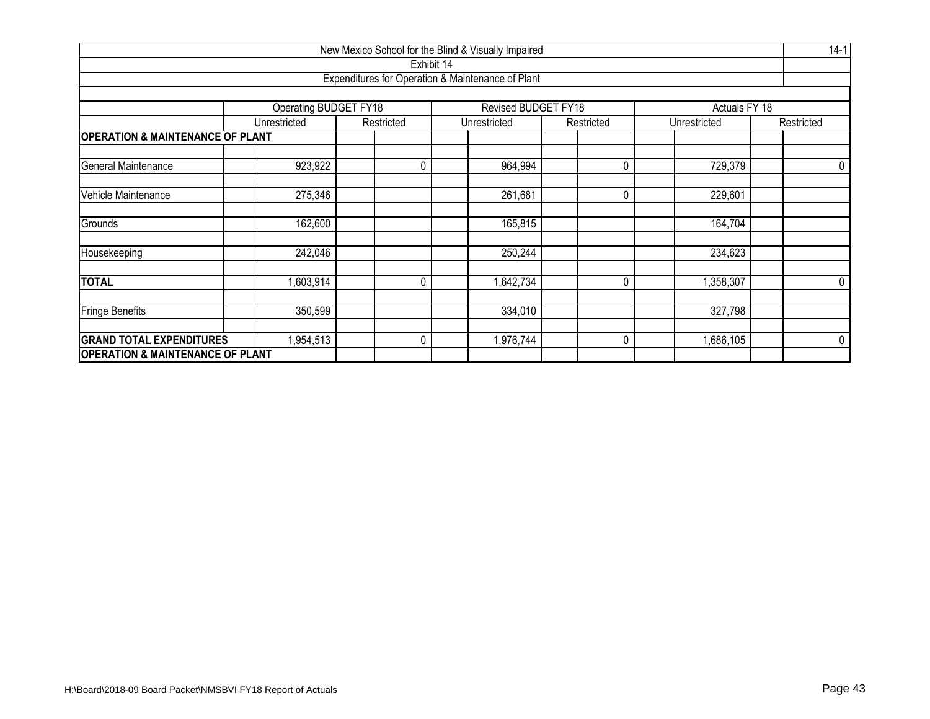|                                             |                              |            | New Mexico School for the Blind & Visually Impaired |             |               | $14-1$      |
|---------------------------------------------|------------------------------|------------|-----------------------------------------------------|-------------|---------------|-------------|
|                                             |                              | Exhibit 14 |                                                     |             |               |             |
|                                             |                              |            | Expenditures for Operation & Maintenance of Plant   |             |               |             |
|                                             |                              |            |                                                     |             |               |             |
|                                             | <b>Operating BUDGET FY18</b> |            | Revised BUDGET FY18                                 |             | Actuals FY 18 |             |
|                                             | Unrestricted                 | Restricted | Unrestricted                                        | Restricted  | Unrestricted  | Restricted  |
| <b>OPERATION &amp; MAINTENANCE OF PLANT</b> |                              |            |                                                     |             |               |             |
| General Maintenance                         | 923,922                      | 0          | 964,994                                             | 0           | 729,379       | 0           |
| Vehicle Maintenance                         | 275,346                      |            | 261,681                                             | 0           | 229,601       |             |
|                                             |                              |            |                                                     |             |               |             |
| Grounds                                     | 162,600                      |            | 165,815                                             |             | 164,704       |             |
| Housekeeping                                | 242,046                      |            | 250,244                                             |             | 234,623       |             |
| <b>TOTAL</b>                                | 1,603,914                    | 0          | 1,642,734                                           | 0           | 1,358,307     | 0           |
| <b>Fringe Benefits</b>                      | 350,599                      |            | 334,010                                             |             | 327,798       |             |
| <b>GRAND TOTAL EXPENDITURES</b>             | 1,954,513                    | 0          | 1,976,744                                           | $\mathbf 0$ | 1,686,105     | $\mathbf 0$ |
| <b>OPERATION &amp; MAINTENANCE OF PLANT</b> |                              |            |                                                     |             |               |             |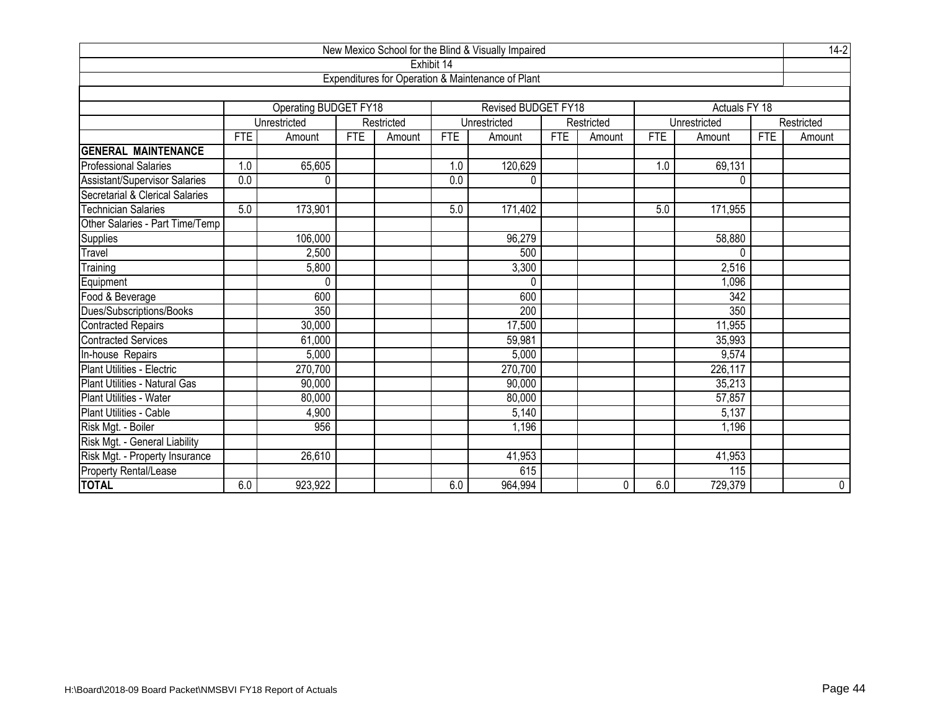|                                 |            |                       |            |            |            | New Mexico School for the Blind & Visually Impaired |            |            |            |               |            | $14-2$      |
|---------------------------------|------------|-----------------------|------------|------------|------------|-----------------------------------------------------|------------|------------|------------|---------------|------------|-------------|
|                                 |            |                       |            |            | Exhibit 14 |                                                     |            |            |            |               |            |             |
|                                 |            |                       |            |            |            | Expenditures for Operation & Maintenance of Plant   |            |            |            |               |            |             |
|                                 |            |                       |            |            |            |                                                     |            |            |            |               |            |             |
|                                 |            | Operating BUDGET FY18 |            |            |            | <b>Revised BUDGET FY18</b>                          |            |            |            | Actuals FY 18 |            |             |
|                                 |            | Unrestricted          |            | Restricted |            | Unrestricted                                        |            | Restricted |            | Unrestricted  |            | Restricted  |
|                                 | <b>FTE</b> | Amount                | <b>FTE</b> | Amount     | <b>FTE</b> | Amount                                              | <b>FTE</b> | Amount     | <b>FTE</b> | Amount        | <b>FTE</b> | Amount      |
| <b>GENERAL MAINTENANCE</b>      |            |                       |            |            |            |                                                     |            |            |            |               |            |             |
| <b>Professional Salaries</b>    | 1.0        | 65,605                |            |            | 1.0        | 120,629                                             |            |            | 1.0        | 69,131        |            |             |
| Assistant/Supervisor Salaries   | 0.0        | 0                     |            |            | 0.0        | $\mathbf{0}$                                        |            |            |            | $\Omega$      |            |             |
| Secretarial & Clerical Salaries |            |                       |            |            |            |                                                     |            |            |            |               |            |             |
| <b>Technician Salaries</b>      | 5.0        | 173,901               |            |            | 5.0        | 171,402                                             |            |            | 5.0        | 171,955       |            |             |
| Other Salaries - Part Time/Temp |            |                       |            |            |            |                                                     |            |            |            |               |            |             |
| Supplies                        |            | 106,000               |            |            |            | 96,279                                              |            |            |            | 58,880        |            |             |
| Travel                          |            | 2,500                 |            |            |            | 500                                                 |            |            |            | $\mathbf{0}$  |            |             |
| Training                        |            | 5,800                 |            |            |            | 3,300                                               |            |            |            | 2,516         |            |             |
| Equipment                       |            | 0                     |            |            |            | 0                                                   |            |            |            | 1,096         |            |             |
| Food & Beverage                 |            | 600                   |            |            |            | 600                                                 |            |            |            | 342           |            |             |
| Dues/Subscriptions/Books        |            | 350                   |            |            |            | 200                                                 |            |            |            | 350           |            |             |
| <b>Contracted Repairs</b>       |            | 30,000                |            |            |            | 17,500                                              |            |            |            | 11,955        |            |             |
| <b>Contracted Services</b>      |            | 61,000                |            |            |            | 59,981                                              |            |            |            | 35,993        |            |             |
| In-house Repairs                |            | 5,000                 |            |            |            | 5,000                                               |            |            |            | 9,574         |            |             |
| Plant Utilities - Electric      |            | 270,700               |            |            |            | 270,700                                             |            |            |            | 226,117       |            |             |
| Plant Utilities - Natural Gas   |            | 90,000                |            |            |            | 90,000                                              |            |            |            | 35,213        |            |             |
| Plant Utilities - Water         |            | 80,000                |            |            |            | 80,000                                              |            |            |            | 57,857        |            |             |
| Plant Utilities - Cable         |            | 4,900                 |            |            |            | 5,140                                               |            |            |            | 5,137         |            |             |
| Risk Mgt. - Boiler              |            | 956                   |            |            |            | 1,196                                               |            |            |            | 1,196         |            |             |
| Risk Mgt. - General Liability   |            |                       |            |            |            |                                                     |            |            |            |               |            |             |
| Risk Mgt. - Property Insurance  |            | 26,610                |            |            |            | 41,953                                              |            |            |            | 41,953        |            |             |
| Property Rental/Lease           |            |                       |            |            |            | 615                                                 |            |            |            | 115           |            |             |
| <b>TOTAL</b>                    | 6.0        | 923,922               |            |            | 6.0        | 964,994                                             |            | 0          | 6.0        | 729,379       |            | $\mathbf 0$ |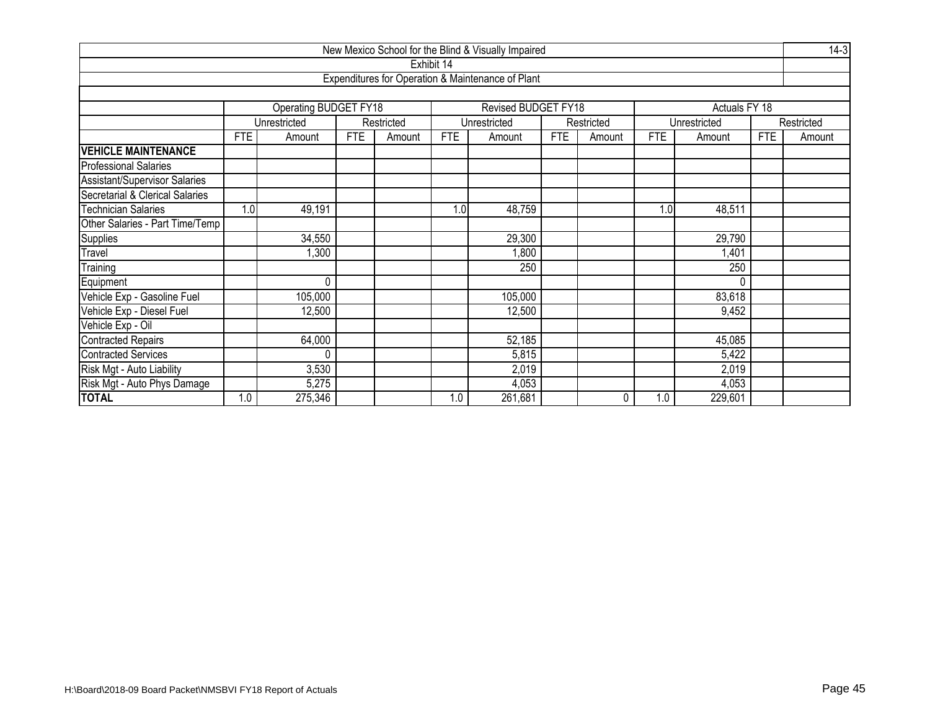|                                 |            |                       |            |            |            | New Mexico School for the Blind & Visually Impaired |            |            |            |               |            | $14-3$     |
|---------------------------------|------------|-----------------------|------------|------------|------------|-----------------------------------------------------|------------|------------|------------|---------------|------------|------------|
|                                 |            |                       |            |            | Exhibit 14 |                                                     |            |            |            |               |            |            |
|                                 |            |                       |            |            |            | Expenditures for Operation & Maintenance of Plant   |            |            |            |               |            |            |
|                                 |            |                       |            |            |            |                                                     |            |            |            |               |            |            |
|                                 |            | Operating BUDGET FY18 |            |            |            | Revised BUDGET FY18                                 |            |            |            | Actuals FY 18 |            |            |
|                                 |            | Unrestricted          |            | Restricted |            | Unrestricted                                        |            | Restricted |            | Unrestricted  |            | Restricted |
|                                 | <b>FTE</b> | Amount                | <b>FTE</b> | Amount     | <b>FTE</b> | Amount                                              | <b>FTE</b> | Amount     | <b>FTE</b> | Amount        | <b>FTE</b> | Amount     |
| <b>VEHICLE MAINTENANCE</b>      |            |                       |            |            |            |                                                     |            |            |            |               |            |            |
| <b>Professional Salaries</b>    |            |                       |            |            |            |                                                     |            |            |            |               |            |            |
| Assistant/Supervisor Salaries   |            |                       |            |            |            |                                                     |            |            |            |               |            |            |
| Secretarial & Clerical Salaries |            |                       |            |            |            |                                                     |            |            |            |               |            |            |
| <b>Technician Salaries</b>      | 1.0        | 49,191                |            |            | 1.0        | 48,759                                              |            |            | 1.0        | 48,511        |            |            |
| Other Salaries - Part Time/Temp |            |                       |            |            |            |                                                     |            |            |            |               |            |            |
| <b>Supplies</b>                 |            | 34,550                |            |            |            | 29,300                                              |            |            |            | 29,790        |            |            |
| Travel                          |            | 1,300                 |            |            |            | 1,800                                               |            |            |            | 1,401         |            |            |
| Training                        |            |                       |            |            |            | 250                                                 |            |            |            | 250           |            |            |
| Equipment                       |            | 0                     |            |            |            |                                                     |            |            |            | $\Omega$      |            |            |
| Vehicle Exp - Gasoline Fuel     |            | 105,000               |            |            |            | 105,000                                             |            |            |            | 83,618        |            |            |
| Vehicle Exp - Diesel Fuel       |            | 12,500                |            |            |            | 12,500                                              |            |            |            | 9,452         |            |            |
| Vehicle Exp - Oil               |            |                       |            |            |            |                                                     |            |            |            |               |            |            |
| <b>Contracted Repairs</b>       |            | 64,000                |            |            |            | 52,185                                              |            |            |            | 45,085        |            |            |
| <b>Contracted Services</b>      |            | 0                     |            |            |            | 5,815                                               |            |            |            | 5,422         |            |            |
| Risk Mgt - Auto Liability       |            | 3,530                 |            |            |            | 2,019                                               |            |            |            | 2,019         |            |            |
| Risk Mgt - Auto Phys Damage     |            | 5,275                 |            |            |            | 4,053                                               |            |            |            | 4,053         |            |            |
| <b>TOTAL</b>                    | 1.0        | 275,346               |            |            | 1.0        | 261,681                                             |            | 0          | 1.0        | 229,601       |            |            |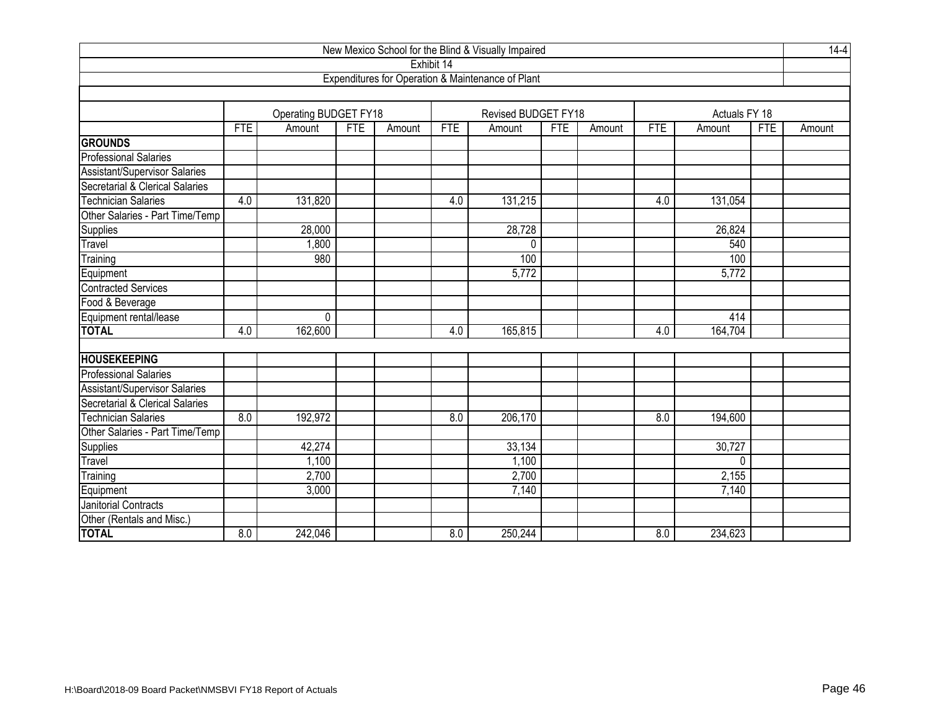|                                      |                  |                       |            |        |                  | New Mexico School for the Blind & Visually Impaired |            |        |            |               |            | $14 - 4$ |
|--------------------------------------|------------------|-----------------------|------------|--------|------------------|-----------------------------------------------------|------------|--------|------------|---------------|------------|----------|
|                                      |                  |                       |            |        | Exhibit 14       |                                                     |            |        |            |               |            |          |
|                                      |                  |                       |            |        |                  | Expenditures for Operation & Maintenance of Plant   |            |        |            |               |            |          |
|                                      |                  |                       |            |        |                  |                                                     |            |        |            |               |            |          |
|                                      |                  | Operating BUDGET FY18 |            |        |                  | Revised BUDGET FY18                                 |            |        |            | Actuals FY 18 |            |          |
|                                      | <b>FTE</b>       | Amount                | <b>FTE</b> | Amount | <b>FTE</b>       | Amount                                              | <b>FTE</b> | Amount | <b>FTE</b> | Amount        | <b>FTE</b> | Amount   |
| <b>GROUNDS</b>                       |                  |                       |            |        |                  |                                                     |            |        |            |               |            |          |
| <b>Professional Salaries</b>         |                  |                       |            |        |                  |                                                     |            |        |            |               |            |          |
| <b>Assistant/Supervisor Salaries</b> |                  |                       |            |        |                  |                                                     |            |        |            |               |            |          |
| Secretarial & Clerical Salaries      |                  |                       |            |        |                  |                                                     |            |        |            |               |            |          |
| <b>Technician Salaries</b>           | 4.0              | 131,820               |            |        | 4.0              | 131,215                                             |            |        | 4.0        | 131,054       |            |          |
| Other Salaries - Part Time/Temp      |                  |                       |            |        |                  |                                                     |            |        |            |               |            |          |
| Supplies                             |                  | 28,000                |            |        |                  | 28,728                                              |            |        |            | 26,824        |            |          |
| <b>Travel</b>                        |                  | 1,800                 |            |        |                  | $\mathbf{0}$                                        |            |        |            | 540           |            |          |
| Training                             |                  | 980                   |            |        |                  | 100                                                 |            |        |            | 100           |            |          |
| Equipment                            |                  |                       |            |        |                  | 5,772                                               |            |        |            | 5,772         |            |          |
| <b>Contracted Services</b>           |                  |                       |            |        |                  |                                                     |            |        |            |               |            |          |
| Food & Beverage                      |                  |                       |            |        |                  |                                                     |            |        |            |               |            |          |
| Equipment rental/lease               |                  | $\mathbf{0}$          |            |        |                  |                                                     |            |        |            | 414           |            |          |
| <b>TOTAL</b>                         | 4.0              | 162,600               |            |        | 4.0              | 165,815                                             |            |        | 4.0        | 164,704       |            |          |
|                                      |                  |                       |            |        |                  |                                                     |            |        |            |               |            |          |
| <b>HOUSEKEEPING</b>                  |                  |                       |            |        |                  |                                                     |            |        |            |               |            |          |
| <b>Professional Salaries</b>         |                  |                       |            |        |                  |                                                     |            |        |            |               |            |          |
| <b>Assistant/Supervisor Salaries</b> |                  |                       |            |        |                  |                                                     |            |        |            |               |            |          |
| Secretarial & Clerical Salaries      |                  |                       |            |        |                  |                                                     |            |        |            |               |            |          |
| Technician Salaries                  | 8.0              | 192,972               |            |        | 8.0              | 206,170                                             |            |        | 8.0        | 194,600       |            |          |
| Other Salaries - Part Time/Temp      |                  |                       |            |        |                  |                                                     |            |        |            |               |            |          |
| Supplies                             |                  | 42,274                |            |        |                  | 33,134                                              |            |        |            | 30,727        |            |          |
| Travel                               |                  | 1,100                 |            |        |                  | 1,100                                               |            |        |            | $\Omega$      |            |          |
| Training                             |                  | 2,700                 |            |        |                  | 2,700                                               |            |        |            | 2,155         |            |          |
| Equipment                            |                  | 3,000                 |            |        |                  | 7,140                                               |            |        |            | 7,140         |            |          |
| Janitorial Contracts                 |                  |                       |            |        |                  |                                                     |            |        |            |               |            |          |
| Other (Rentals and Misc.)            |                  |                       |            |        |                  |                                                     |            |        |            |               |            |          |
| <b>TOTAL</b>                         | $\overline{8.0}$ | 242,046               |            |        | $\overline{8.0}$ | 250,244                                             |            |        | 8.0        | 234,623       |            |          |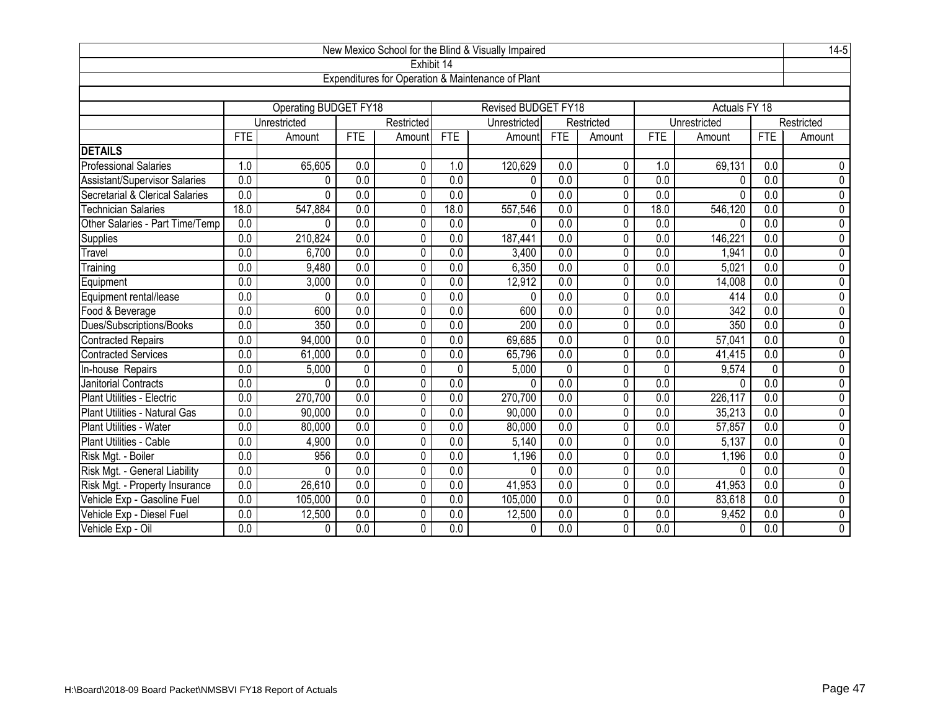|                                 |                  |                              |                  |                |                  | New Mexico School for the Blind & Visually Impaired |                  |                |                  |                  |                  | $14-5$         |
|---------------------------------|------------------|------------------------------|------------------|----------------|------------------|-----------------------------------------------------|------------------|----------------|------------------|------------------|------------------|----------------|
|                                 |                  |                              |                  | Exhibit 14     |                  |                                                     |                  |                |                  |                  |                  |                |
|                                 |                  |                              |                  |                |                  | Expenditures for Operation & Maintenance of Plant   |                  |                |                  |                  |                  |                |
|                                 |                  |                              |                  |                |                  |                                                     |                  |                |                  |                  |                  |                |
|                                 |                  | <b>Operating BUDGET FY18</b> |                  |                |                  | <b>Revised BUDGET FY18</b>                          |                  |                |                  | Actuals FY 18    |                  |                |
|                                 |                  | Unrestricted                 |                  | Restricted     |                  | Unrestricted                                        |                  | Restricted     |                  | Unrestricted     |                  | Restricted     |
| <b>DETAILS</b>                  | <b>FTE</b>       | Amount                       | <b>FTE</b>       | Amount         | FTE              | Amount                                              | FTE              | Amount         | <b>FTE</b>       | Amount           | <b>FTE</b>       | Amount         |
| <b>Professional Salaries</b>    | 1.0              | 65,605                       | 0.0              | $\mathbf 0$    | 1.0              | 120,629                                             | 0.0              | 0              | 1.0              | 69,131           | 0.0              | 0              |
| Assistant/Supervisor Salaries   | $\overline{0.0}$ | 0                            | $\overline{0.0}$ | $\mathbf 0$    | $\overline{0.0}$ | $\mathbf{0}$                                        | $\overline{0.0}$ | 0              | $\overline{0.0}$ | $\mathbf{0}$     | $\overline{0.0}$ | 0              |
| Secretarial & Clerical Salaries | 0.0              | 0                            | $\overline{0.0}$ | 0              | $\overline{0.0}$ | $\Omega$                                            | 0.0              | 0              | 0.0              | $\mathbf{0}$     | 0.0              | 0              |
| Technician Salaries             | 18.0             | 547,884                      | $\overline{0.0}$ | 0              | 18.0             | 557,546                                             | $\overline{0.0}$ | 0              | 18.0             | 546,120          | $\overline{0.0}$ | $\overline{0}$ |
| Other Salaries - Part Time/Temp | 0.0              | 0                            | 0.0              | 0              | 0.0              | $\Omega$                                            | $\overline{0.0}$ | 0              | 0.0              | $\Omega$         | 0.0              | 0              |
| Supplies                        | 0.0              | 210,824                      | 0.0              | 0              | $\overline{0.0}$ | 187,441                                             | $\overline{0.0}$ | $\mathbf 0$    | $\overline{0.0}$ | 146,221          | $\overline{0.0}$ | $\overline{0}$ |
| Travel                          | 0.0              | 6,700                        | 0.0              | $\mathbf 0$    | 0.0              | 3,400                                               | $\overline{0.0}$ | $\mathbf 0$    | 0.0              | 1,941            | $\overline{0.0}$ | 0              |
| $\overline{T}$ raining          | $\overline{0.0}$ | 9,480                        | 0.0              | $\overline{0}$ | $\overline{0.0}$ | 6,350                                               | 0.0              | $\overline{0}$ | $\overline{0.0}$ | 5,021            | $\overline{0.0}$ | $\overline{0}$ |
| Equipment                       | 0.0              | 3,000                        | 0.0              | 0              | 0.0              | 12,912                                              | $\overline{0.0}$ | 0              | $\overline{0.0}$ | 14,008           | 0.0              | 0              |
| Equipment rental/lease          | 0.0              | 0                            | $\overline{0.0}$ | 0              | $\overline{0.0}$ | $\Omega$                                            | $\overline{0.0}$ | 0              | $\overline{0.0}$ | 414              | $\overline{0.0}$ | $\overline{0}$ |
| Food & Beverage                 | 0.0              | 600                          | 0.0              | 0              | $\overline{0.0}$ | 600                                                 | $\overline{0.0}$ | $\mathbf 0$    | 0.0              | $\overline{342}$ | $\overline{0.0}$ | $\overline{0}$ |
| Dues/Subscriptions/Books        | $\overline{0.0}$ | 350                          | $\overline{0.0}$ | $\mathbf 0$    | 0.0              | 200                                                 | 0.0              | $\pmb{0}$      | 0.0              | 350              | 0.0              | $\overline{0}$ |
| <b>Contracted Repairs</b>       | 0.0              | 94,000                       | 0.0              | 0              | $\overline{0.0}$ | 69,685                                              | $\overline{0.0}$ | 0              | $\overline{0.0}$ | 57,041           | $\overline{0.0}$ | $\overline{0}$ |
| <b>Contracted Services</b>      | 0.0              | 61,000                       | $\overline{0.0}$ | $\mathbf 0$    | $\overline{0.0}$ | 65,796                                              | $\overline{0.0}$ | 0              | $\overline{0.0}$ | 41,415           | $\overline{0.0}$ | $\overline{0}$ |
| In-house Repairs                | 0.0              | 5,000                        | $\Omega$         | $\mathbf 0$    | $\mathbf 0$      | 5,000                                               | $\Omega$         | 0              | $\Omega$         | 9,574            | $\Omega$         | $\overline{0}$ |
| Janitorial Contracts            | $\overline{0.0}$ | 0                            | 0.0              | 0              | 0.0              | $\Omega$                                            | 0.0              | $\overline{0}$ | 0.0              | $\Omega$         | 0.0              | $\overline{0}$ |
| Plant Utilities - Electric      | 0.0              | 270,700                      | 0.0              | 0              | $\overline{0.0}$ | 270,700                                             | $\overline{0.0}$ | 0              | 0.0              | 226,117          | $\overline{0.0}$ | 0              |
| Plant Utilities - Natural Gas   | $\overline{0.0}$ | 90,000                       | $\overline{0.0}$ | $\mathbf 0$    | $\overline{0.0}$ | 90,000                                              | $\overline{0.0}$ | $\overline{0}$ | $\overline{0.0}$ | 35,213           | $\overline{0.0}$ | $\overline{0}$ |
| <b>Plant Utilities - Water</b>  | 0.0              | 80,000                       | $\overline{0.0}$ | $\mathbf 0$    | $\overline{0.0}$ | 80,000                                              | $\overline{0.0}$ | 0              | $\overline{0.0}$ | 57,857           | $\overline{0.0}$ | $\overline{0}$ |
| Plant Utilities - Cable         | $\overline{0.0}$ | 4,900                        | $\overline{0.0}$ | $\mathbf 0$    | $\overline{0.0}$ | 5,140                                               | $\overline{0.0}$ | 0              | $\overline{0.0}$ | 5,137            | $\overline{0.0}$ | $\overline{0}$ |
| Risk Mgt. - Boiler              | 0.0              | 956                          | 0.0              | 0              | 0.0              | 1,196                                               | 0.0              | 0              | 0.0              | 1,196            | 0.0              | 0              |
| Risk Mgt. - General Liability   | 0.0              | 0                            | 0.0              | $\Omega$       | 0.0              | $\Omega$                                            | 0.0              | 0              | 0.0              | $\Omega$         | 0.0              | 0              |
| Risk Mgt. - Property Insurance  | 0.0              | 26,610                       | 0.0              | $\mathbf 0$    | 0.0              | 41,953                                              | 0.0              | 0              | 0.0              | 41,953           | 0.0              | $\overline{0}$ |
| Vehicle Exp - Gasoline Fuel     | 0.0              | 105,000                      | 0.0              | 0              | 0.0              | 105,000                                             | $\overline{0.0}$ | 0              | 0.0              | 83,618           | 0.0              | $\overline{0}$ |
| Vehicle Exp - Diesel Fuel       | 0.0              | 12,500                       | 0.0              | 0              | 0.0              | 12,500                                              | 0.0              | 0              | 0.0              | 9,452            | 0.0              | 0              |
| Vehicle Exp - Oil               | 0.0              | 0                            | 0.0              | $\Omega$       | 0.0              | $\Omega$                                            | 0.0              | $\Omega$       | 0.0              | 0                | 0.0              | 0              |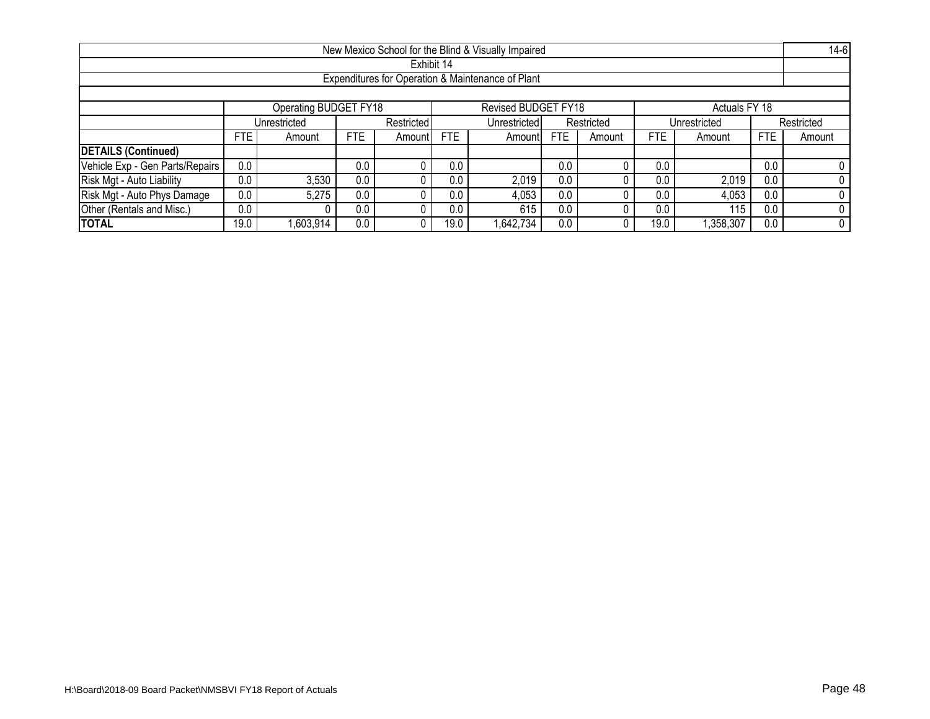|                                 |                                                                                                           |                                                                                        |     |  |            | New Mexico School for the Blind & Visually Impaired |     |  |        |           |     | $14-6$ |  |  |
|---------------------------------|-----------------------------------------------------------------------------------------------------------|----------------------------------------------------------------------------------------|-----|--|------------|-----------------------------------------------------|-----|--|--------|-----------|-----|--------|--|--|
|                                 |                                                                                                           |                                                                                        |     |  | Exhibit 14 |                                                     |     |  |        |           |     |        |  |  |
|                                 |                                                                                                           |                                                                                        |     |  |            | Expenditures for Operation & Maintenance of Plant   |     |  |        |           |     |        |  |  |
|                                 |                                                                                                           |                                                                                        |     |  |            |                                                     |     |  |        |           |     |        |  |  |
|                                 | Operating BUDGET FY18<br>Revised BUDGET FY18<br>Actuals FY 18                                             |                                                                                        |     |  |            |                                                     |     |  |        |           |     |        |  |  |
|                                 |                                                                                                           | Restricted<br>Restricted<br>Restricted<br>Unrestricted<br>Unrestricted<br>Unrestricted |     |  |            |                                                     |     |  |        |           |     |        |  |  |
|                                 | FTE<br><b>FTE</b><br>FTE<br><b>FTE</b><br>FTE.<br>FTE<br>Amountl<br>Amountl<br>Amount<br>Amount<br>Amount |                                                                                        |     |  |            |                                                     |     |  | Amount |           |     |        |  |  |
| <b>DETAILS (Continued)</b>      |                                                                                                           |                                                                                        |     |  |            |                                                     |     |  |        |           |     |        |  |  |
| Vehicle Exp - Gen Parts/Repairs | 0.0                                                                                                       |                                                                                        | 0.0 |  | 0.0        |                                                     | 0.0 |  | 0.0    |           | 0.0 |        |  |  |
| Risk Mgt - Auto Liability       | 0.0                                                                                                       | 3,530                                                                                  | 0.0 |  | 0.0        | 2,019                                               | 0.0 |  | 0.0    | 2,019     | 0.0 |        |  |  |
| Risk Mgt - Auto Phys Damage     | 0.0                                                                                                       | 5,275                                                                                  | 0.0 |  | 0.0        | 4,053                                               | 0.0 |  | 0.0    | 4,053     | 0.0 |        |  |  |
| Other (Rentals and Misc.)       | 0.0                                                                                                       |                                                                                        | 0.0 |  | 0.0        | 615                                                 | 0.0 |  | 0.0    | 115       | 0.0 |        |  |  |
| <b>TOTAL</b>                    | 19.0                                                                                                      | ,603,914                                                                               | 0.0 |  | 19.0       | 1,642,734                                           | 0.0 |  | 19.0   | 1,358,307 | 0.0 |        |  |  |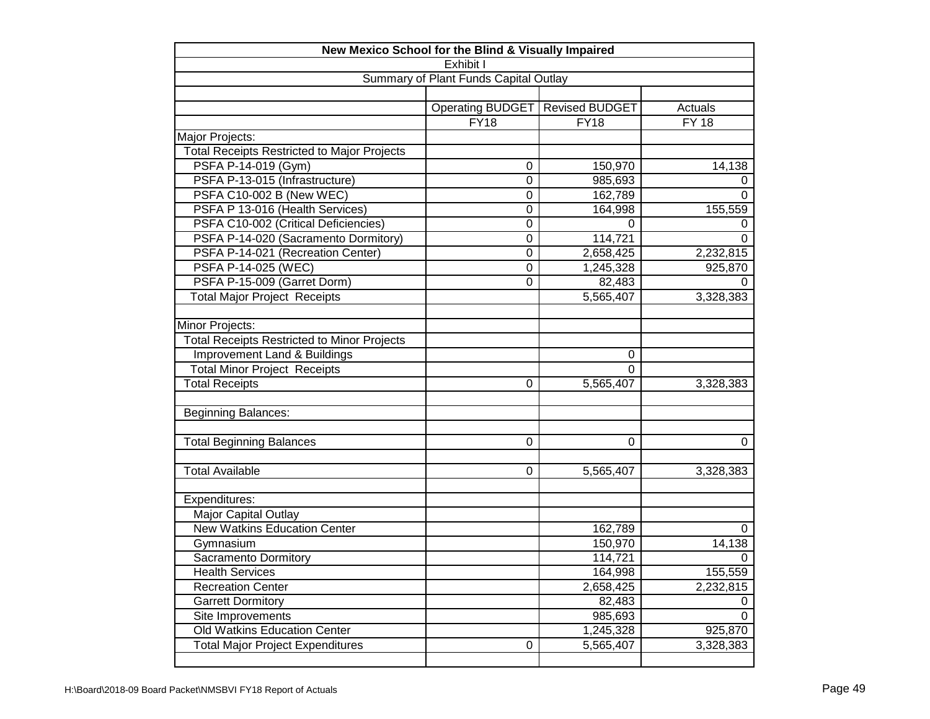|                                                    | New Mexico School for the Blind & Visually Impaired |                       |           |
|----------------------------------------------------|-----------------------------------------------------|-----------------------|-----------|
|                                                    | Exhibit I                                           |                       |           |
|                                                    | Summary of Plant Funds Capital Outlay               |                       |           |
|                                                    |                                                     |                       |           |
|                                                    | Operating BUDGET                                    | <b>Revised BUDGET</b> | Actuals   |
|                                                    | FY18                                                | FY18                  | $FY$ 18   |
| Major Projects:                                    |                                                     |                       |           |
| <b>Total Receipts Restricted to Major Projects</b> |                                                     |                       |           |
| PSFA P-14-019 (Gym)                                | 0                                                   | 150,970               | 14,138    |
| PSFA P-13-015 (Infrastructure)                     | 0                                                   | 985,693               | 0         |
| PSFA C10-002 B (New WEC)                           | 0                                                   | 162,789               | 0         |
| PSFA P 13-016 (Health Services)                    | 0                                                   | 164,998               | 155,559   |
| PSFA C10-002 (Critical Deficiencies)               | 0                                                   | 0                     | 0         |
| PSFA P-14-020 (Sacramento Dormitory)               | 0                                                   | 114,721               | $\Omega$  |
| PSFA P-14-021 (Recreation Center)                  | 0                                                   | 2,658,425             | 2,232,815 |
| PSFA P-14-025 (WEC)                                | 0                                                   | 1,245,328             | 925,870   |
| PSFA P-15-009 (Garret Dorm)                        | 0                                                   | 82,483                | 0         |
| <b>Total Major Project Receipts</b>                |                                                     | 5,565,407             | 3,328,383 |
|                                                    |                                                     |                       |           |
| Minor Projects:                                    |                                                     |                       |           |
| <b>Total Receipts Restricted to Minor Projects</b> |                                                     |                       |           |
| Improvement Land & Buildings                       |                                                     | 0                     |           |
| <b>Total Minor Project Receipts</b>                |                                                     | 0                     |           |
| <b>Total Receipts</b>                              | 0                                                   | 5,565,407             | 3,328,383 |
|                                                    |                                                     |                       |           |
| <b>Beginning Balances:</b>                         |                                                     |                       |           |
|                                                    |                                                     |                       |           |
| <b>Total Beginning Balances</b>                    | $\Omega$                                            | $\Omega$              | $\Omega$  |
|                                                    |                                                     |                       |           |
| <b>Total Available</b>                             | 0                                                   | 5,565,407             | 3,328,383 |
|                                                    |                                                     |                       |           |
| Expenditures:                                      |                                                     |                       |           |
| Major Capital Outlay                               |                                                     |                       |           |
| <b>New Watkins Education Center</b>                |                                                     | 162,789               | 0         |
| Gymnasium                                          |                                                     | 150,970               | 14,138    |
| Sacramento Dormitory                               |                                                     | 114,721               | 0         |
| <b>Health Services</b>                             |                                                     | 164,998               | 155,559   |
| <b>Recreation Center</b>                           |                                                     | 2,658,425             | 2,232,815 |
| <b>Garrett Dormitory</b>                           |                                                     | 82,483                | 0         |
| Site Improvements                                  |                                                     | 985,693               | $\Omega$  |
| Old Watkins Education Center                       |                                                     | 1,245,328             | 925,870   |
| <b>Total Major Project Expenditures</b>            | 0                                                   | 5,565,407             | 3,328,383 |
|                                                    |                                                     |                       |           |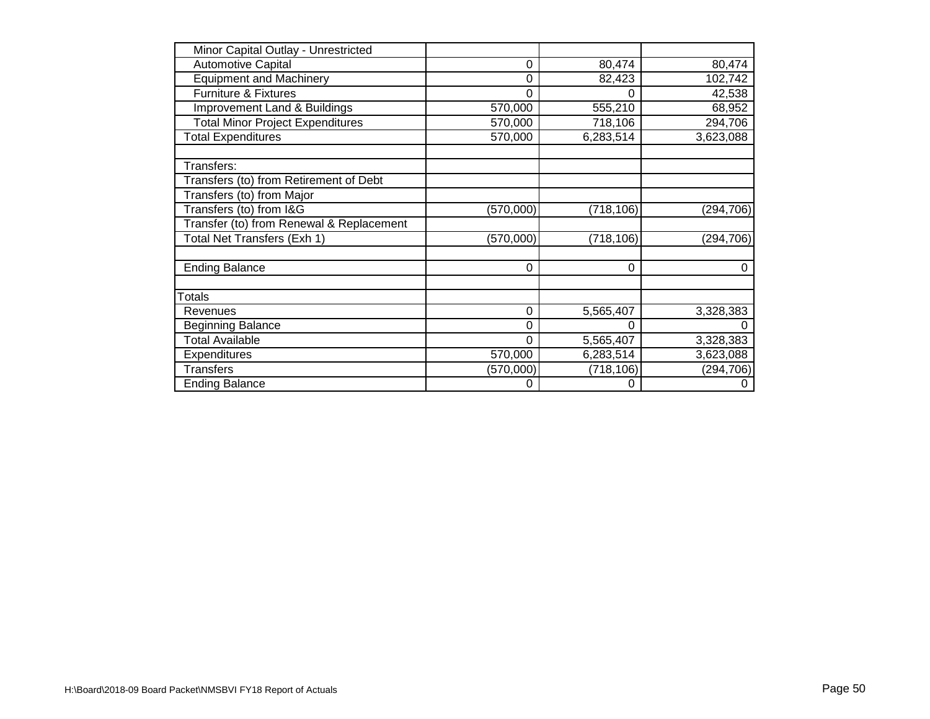| Minor Capital Outlay - Unrestricted      |           |            |            |
|------------------------------------------|-----------|------------|------------|
| <b>Automotive Capital</b>                | 0         | 80,474     | 80,474     |
| <b>Equipment and Machinery</b>           | 0         | 82,423     | 102,742    |
| <b>Furniture &amp; Fixtures</b>          | 0         | 0          | 42,538     |
| Improvement Land & Buildings             | 570,000   | 555,210    | 68,952     |
| <b>Total Minor Project Expenditures</b>  | 570,000   | 718,106    | 294,706    |
| <b>Total Expenditures</b>                | 570,000   | 6,283,514  | 3,623,088  |
| Transfers:                               |           |            |            |
| Transfers (to) from Retirement of Debt   |           |            |            |
| Transfers (to) from Major                |           |            |            |
| Transfers (to) from I&G                  | (570,000) | (718, 106) | (294, 706) |
| Transfer (to) from Renewal & Replacement |           |            |            |
| Total Net Transfers (Exh 1)              | (570,000) | (718, 106) | (294, 706) |
| <b>Ending Balance</b>                    | 0         | 0          | 0          |
| Totals                                   |           |            |            |
| Revenues                                 | 0         | 5,565,407  | 3,328,383  |
| <b>Beginning Balance</b>                 | 0         | 0          |            |
| <b>Total Available</b>                   | 0         | 5,565,407  | 3,328,383  |
| Expenditures                             | 570,000   | 6,283,514  | 3,623,088  |
| <b>Transfers</b>                         | (570,000) | (718, 106) | (294, 706) |
| <b>Ending Balance</b>                    | 0         | 0          | 0          |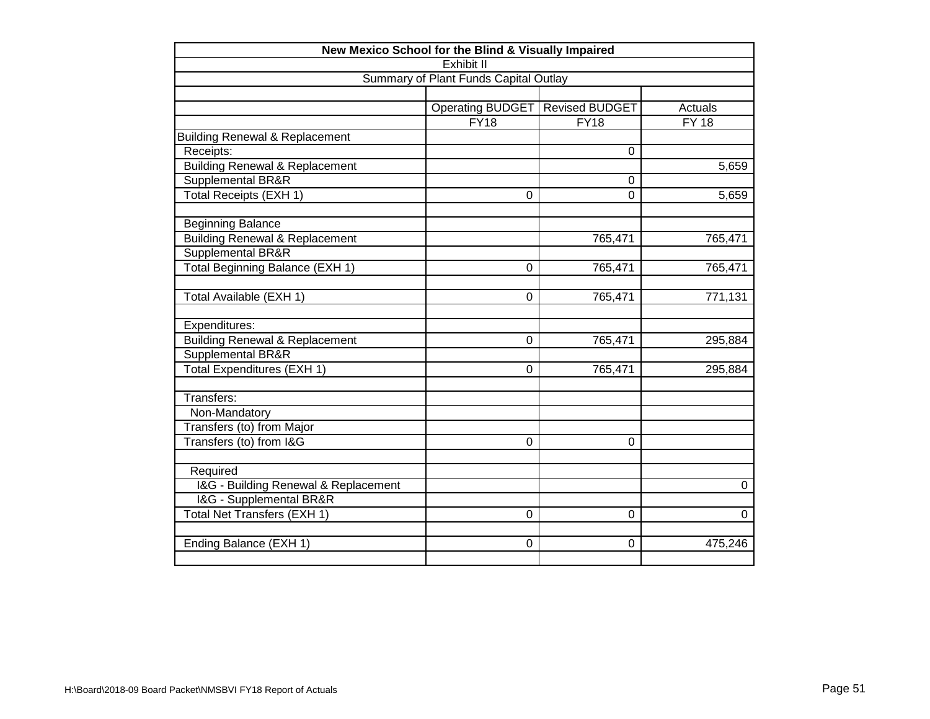| New Mexico School for the Blind & Visually Impaired |                                       |                       |              |  |  |  |
|-----------------------------------------------------|---------------------------------------|-----------------------|--------------|--|--|--|
|                                                     | Exhibit II                            |                       |              |  |  |  |
|                                                     | Summary of Plant Funds Capital Outlay |                       |              |  |  |  |
|                                                     |                                       |                       |              |  |  |  |
|                                                     | <b>Operating BUDGET</b>               | <b>Revised BUDGET</b> | Actuals      |  |  |  |
|                                                     | FY18                                  | FY18                  | <b>FY 18</b> |  |  |  |
| <b>Building Renewal &amp; Replacement</b>           |                                       |                       |              |  |  |  |
| Receipts:                                           |                                       | $\Omega$              |              |  |  |  |
| <b>Building Renewal &amp; Replacement</b>           |                                       |                       | 5,659        |  |  |  |
| Supplemental BR&R                                   |                                       | $\Omega$              |              |  |  |  |
| Total Receipts (EXH 1)                              | 0                                     | $\Omega$              | 5,659        |  |  |  |
| <b>Beginning Balance</b>                            |                                       |                       |              |  |  |  |
| <b>Building Renewal &amp; Replacement</b>           |                                       | 765,471               | 765,471      |  |  |  |
| Supplemental BR&R                                   |                                       |                       |              |  |  |  |
| Total Beginning Balance (EXH 1)                     | 0                                     | 765,471               | 765,471      |  |  |  |
| Total Available (EXH 1)                             | $\mathbf 0$                           | 765,471               | 771,131      |  |  |  |
| Expenditures:                                       |                                       |                       |              |  |  |  |
| <b>Building Renewal &amp; Replacement</b>           | $\Omega$                              | 765,471               | 295,884      |  |  |  |
| Supplemental BR&R                                   |                                       |                       |              |  |  |  |
| Total Expenditures (EXH 1)                          | $\Omega$                              | 765,471               | 295,884      |  |  |  |
| Transfers:                                          |                                       |                       |              |  |  |  |
| Non-Mandatory                                       |                                       |                       |              |  |  |  |
| Transfers (to) from Major                           |                                       |                       |              |  |  |  |
| Transfers (to) from I&G                             | $\Omega$                              | $\Omega$              |              |  |  |  |
| Required                                            |                                       |                       |              |  |  |  |
| I&G - Building Renewal & Replacement                |                                       |                       | 0            |  |  |  |
| I&G - Supplemental BR&R                             |                                       |                       |              |  |  |  |
| Total Net Transfers (EXH 1)                         | 0                                     | $\Omega$              | 0            |  |  |  |
| Ending Balance (EXH 1)                              | $\Omega$                              | $\Omega$              | 475,246      |  |  |  |
|                                                     |                                       |                       |              |  |  |  |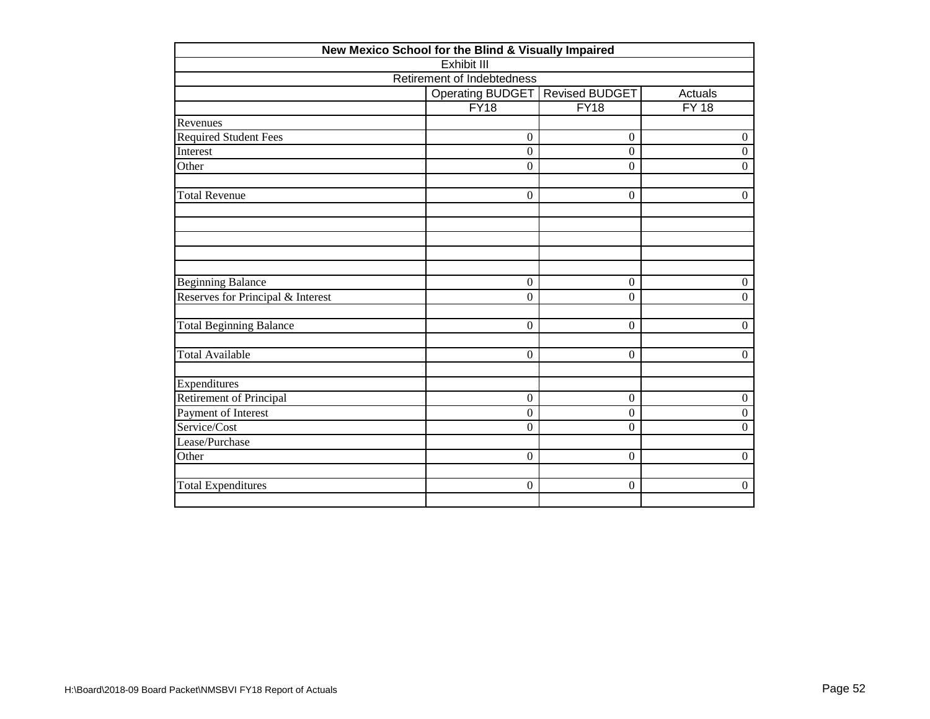|                                   | New Mexico School for the Blind & Visually Impaired |                       |              |
|-----------------------------------|-----------------------------------------------------|-----------------------|--------------|
|                                   | <b>Exhibit III</b>                                  |                       |              |
|                                   | Retirement of Indebtedness                          |                       |              |
|                                   | Operating BUDGET                                    | <b>Revised BUDGET</b> | Actuals      |
|                                   | FY18                                                | FY18                  | <b>FY 18</b> |
| Revenues                          |                                                     |                       |              |
| <b>Required Student Fees</b>      | $\Omega$                                            | $\boldsymbol{0}$      | 0            |
| <b>Interest</b>                   | $\boldsymbol{0}$                                    | $\mathbf{0}$          | $\Omega$     |
| Other                             | $\overline{0}$                                      | $\boldsymbol{0}$      | 0            |
| <b>Total Revenue</b>              | $\Omega$                                            | $\theta$              | 0            |
|                                   |                                                     |                       |              |
|                                   |                                                     |                       |              |
| <b>Beginning Balance</b>          | $\boldsymbol{0}$                                    | $\boldsymbol{0}$      | $\Omega$     |
| Reserves for Principal & Interest | $\mathbf{0}$                                        | $\boldsymbol{0}$      | $\Omega$     |
| <b>Total Beginning Balance</b>    | $\overline{0}$                                      | $\boldsymbol{0}$      | 0            |
| <b>Total Available</b>            | $\overline{0}$                                      | $\overline{0}$        | 0            |
| Expenditures                      |                                                     |                       |              |
| Retirement of Principal           | $\boldsymbol{0}$                                    | $\boldsymbol{0}$      | 0            |
| Payment of Interest               | $\overline{0}$                                      | $\mathbf{0}$          | $\theta$     |
| Service/Cost                      | $\Omega$                                            | $\mathbf{0}$          | 0            |
| Lease/Purchase                    |                                                     |                       |              |
| Other                             | $\boldsymbol{0}$                                    | $\boldsymbol{0}$      | $\theta$     |
| <b>Total Expenditures</b>         | $\overline{0}$                                      | $\boldsymbol{0}$      | 0            |
|                                   |                                                     |                       |              |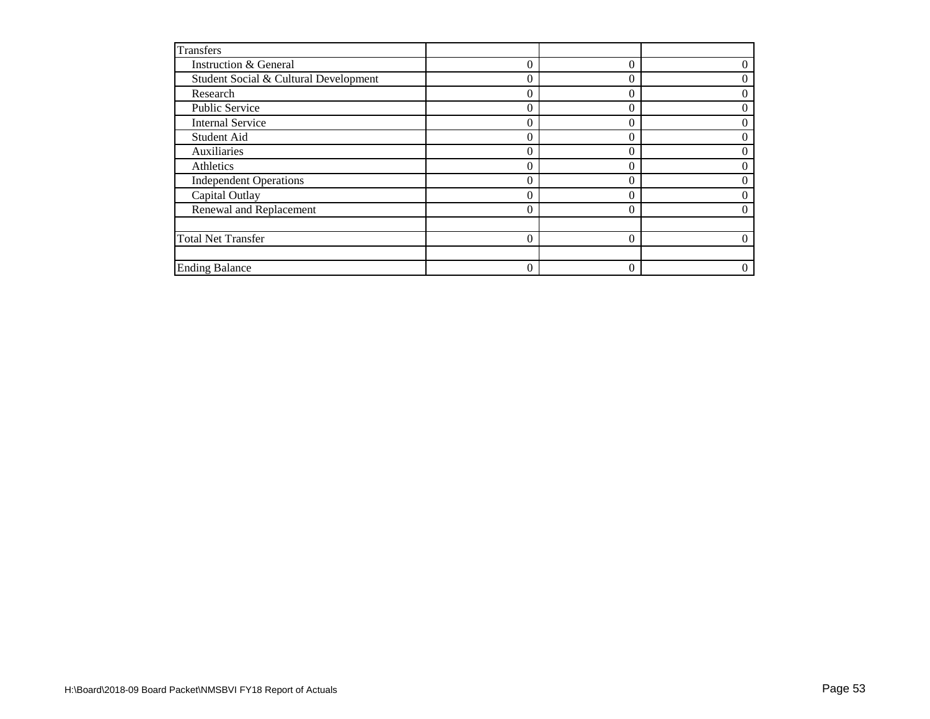| <b>Transfers</b>                      |          |                |          |
|---------------------------------------|----------|----------------|----------|
| Instruction & General                 | $\theta$ | 0              | 0        |
| Student Social & Cultural Development | $\Omega$ | 0              | $\Omega$ |
| Research                              | 0        | 0              | 0        |
| Public Service                        | 0        | 0              | 0        |
| <b>Internal Service</b>               | 0        | 0              | 0        |
| Student Aid                           | $\Omega$ | $\overline{0}$ | $\Omega$ |
| Auxiliaries                           | 0        | $\theta$       | 0        |
| Athletics                             | $\Omega$ | 0              | $\Omega$ |
| <b>Independent Operations</b>         | $\theta$ | $\overline{0}$ | 0        |
| Capital Outlay                        | $\Omega$ | $\overline{0}$ | $\Omega$ |
| Renewal and Replacement               | $\Omega$ | 0              | $\Omega$ |
| <b>Total Net Transfer</b>             | $\Omega$ | $\theta$       | $\Omega$ |
| <b>Ending Balance</b>                 | 0        | 0              |          |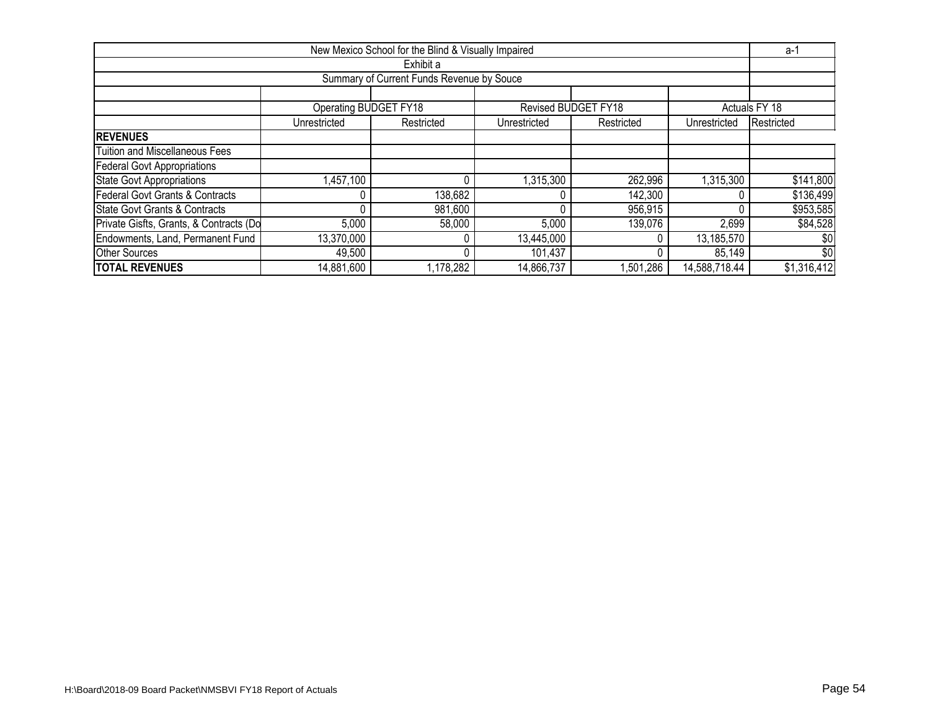| New Mexico School for the Blind & Visually Impaired |                                           |            |              |                     |               |               |  |  |  |
|-----------------------------------------------------|-------------------------------------------|------------|--------------|---------------------|---------------|---------------|--|--|--|
| Exhibit a                                           |                                           |            |              |                     |               |               |  |  |  |
|                                                     | Summary of Current Funds Revenue by Souce |            |              |                     |               |               |  |  |  |
|                                                     |                                           |            |              |                     |               |               |  |  |  |
|                                                     | Operating BUDGET FY18                     |            |              | Revised BUDGET FY18 |               | Actuals FY 18 |  |  |  |
|                                                     | Unrestricted                              | Restricted | Unrestricted | Restricted          | Unrestricted  | Restricted    |  |  |  |
| <b>REVENUES</b>                                     |                                           |            |              |                     |               |               |  |  |  |
| <b>Tuition and Miscellaneous Fees</b>               |                                           |            |              |                     |               |               |  |  |  |
| <b>Federal Govt Appropriations</b>                  |                                           |            |              |                     |               |               |  |  |  |
| <b>State Govt Appropriations</b>                    | 1,457,100                                 |            | 1,315,300    | 262,996             | 1,315,300     | \$141,800     |  |  |  |
| Federal Govt Grants & Contracts                     |                                           | 138,682    |              | 142,300             |               | \$136,499     |  |  |  |
| <b>State Govt Grants &amp; Contracts</b>            |                                           | 981,600    |              | 956,915             |               | \$953,585     |  |  |  |
| Private Gisfts, Grants, & Contracts (Do             | 5,000                                     | 58,000     | 5,000        | 139,076             | 2,699         | \$84,528      |  |  |  |
| Endowments, Land, Permanent Fund                    | 13,370,000                                |            | 13,445,000   |                     | 13,185,570    | \$0]          |  |  |  |
| <b>Other Sources</b>                                | 49,500                                    |            | 101,437      |                     | 85,149        | \$0           |  |  |  |
| <b>TOTAL REVENUES</b>                               | 14,881,600                                | 1,178,282  | 14,866,737   | 1,501,286           | 14,588,718.44 | \$1,316,412   |  |  |  |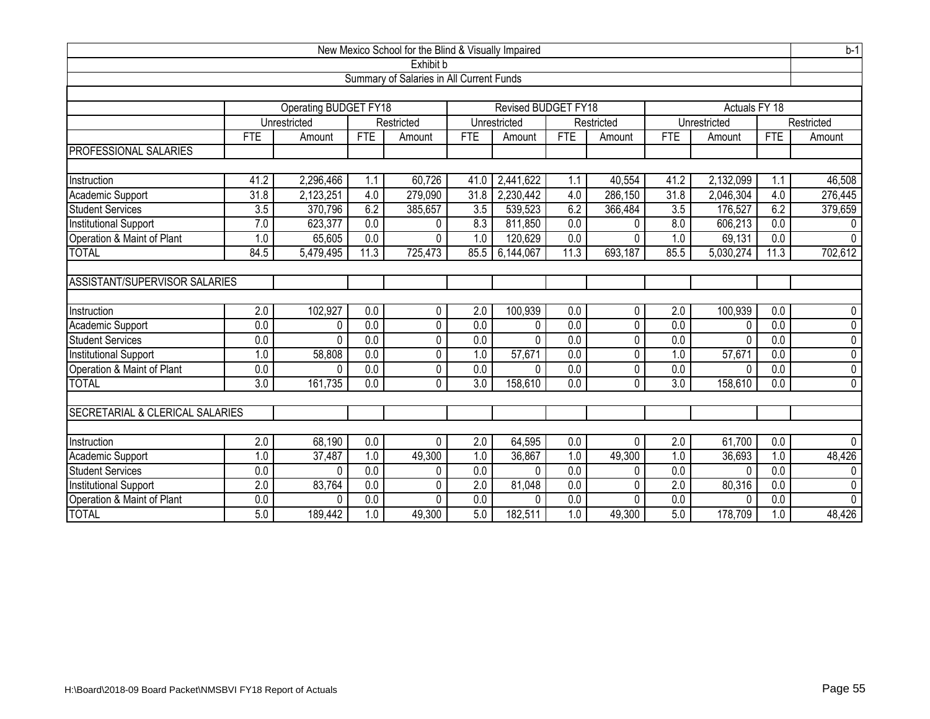| New Mexico School for the Blind & Visually Impaired |                  |                       |                  |                                          |                  |                            |                  |              | $b-1$            |               |                  |                |
|-----------------------------------------------------|------------------|-----------------------|------------------|------------------------------------------|------------------|----------------------------|------------------|--------------|------------------|---------------|------------------|----------------|
| Exhibit b                                           |                  |                       |                  |                                          |                  |                            |                  |              |                  |               |                  |                |
|                                                     |                  |                       |                  | Summary of Salaries in All Current Funds |                  |                            |                  |              |                  |               |                  |                |
|                                                     |                  |                       |                  |                                          |                  |                            |                  |              |                  |               |                  |                |
|                                                     |                  | Operating BUDGET FY18 |                  |                                          |                  | <b>Revised BUDGET FY18</b> |                  |              |                  | Actuals FY 18 |                  |                |
|                                                     |                  | Unrestricted          |                  | Restricted                               |                  | Unrestricted               |                  | Restricted   |                  | Unrestricted  |                  | Restricted     |
|                                                     | <b>FTE</b>       | Amount                | <b>FTE</b>       | Amount                                   | <b>FTE</b>       | Amount                     | <b>FTE</b>       | Amount       | <b>FTE</b>       | Amount        | <b>FTE</b>       | Amount         |
| <b>PROFESSIONAL SALARIES</b>                        |                  |                       |                  |                                          |                  |                            |                  |              |                  |               |                  |                |
|                                                     |                  |                       |                  |                                          |                  |                            |                  |              |                  |               |                  |                |
| Instruction                                         | 41.2             | 2,296,466             | 1.1              | 60,726                                   | 41.0             | 2,441,622                  | 1.1              | 40,554       | 41.2             | 2,132,099     | 1.1              | 46,508         |
| Academic Support                                    | 31.8             | 2,123,251             | 4.0              | 279,090                                  | 31.8             | 2,230,442                  | 4.0              | 286,150      | 31.8             | 2,046,304     | 4.0              | 276,445        |
| <b>Student Services</b>                             | 3.5              | 370,796               | 6.2              | 385,657                                  | $\overline{3.5}$ | 539,523                    | 6.2              | 366,484      | 3.5              | 176,527       | 6.2              | 379,659        |
| <b>Institutional Support</b>                        | 7.0              | 623,377               | 0.0              | 0                                        | 8.3              | 811,850                    | 0.0              | 0            | 8.0              | 606,213       | 0.0              | $\mathbf 0$    |
| Operation & Maint of Plant                          | 1.0              | 65,605                | 0.0              | 0                                        | 1.0              | 120,629                    | 0.0              | $\mathbf{0}$ | 1.0              | 69,131        | 0.0              | $\mathbf{0}$   |
| <b>TOTAL</b>                                        | 84.5             | 5,479,495             | 11.3             | 725,473                                  | 85.5             | 6,144,067                  | 11.3             | 693,187      | 85.5             | 5,030,274     | 11.3             | 702,612        |
|                                                     |                  |                       |                  |                                          |                  |                            |                  |              |                  |               |                  |                |
| ASSISTANT/SUPERVISOR SALARIES                       |                  |                       |                  |                                          |                  |                            |                  |              |                  |               |                  |                |
|                                                     |                  |                       |                  |                                          |                  |                            |                  |              |                  |               |                  |                |
| Instruction                                         | 2.0              | 102,927               | 0.0              | 0                                        | 2.0              | 100,939                    | 0.0              | 0            | 2.0              | 100,939       | 0.0              | 0              |
| Academic Support                                    | 0.0              | 0                     | $\overline{0.0}$ | 0                                        | $\overline{0.0}$ | 0                          | $\overline{0.0}$ | 0            | $\overline{0.0}$ | 0             | $\overline{0.0}$ | $\overline{0}$ |
| <b>Student Services</b>                             | $\overline{0.0}$ | $\Omega$              | 0.0              | 0                                        | $\overline{0.0}$ | $\mathbf{0}$               | 0.0              | 0            | $\overline{0.0}$ | $\Omega$      | 0.0              | $\overline{0}$ |
| <b>Institutional Support</b>                        | $\overline{1.0}$ | 58,808                | $\overline{0.0}$ | 0                                        | 1.0              | 57,671                     | 0.0              | $\mathbf{0}$ | 1.0              | 57,671        | $\overline{0.0}$ | $\overline{0}$ |
| Operation & Maint of Plant                          | $\overline{0.0}$ | 0                     | 0.0              | 0                                        | $\overline{0.0}$ | $\mathbf 0$                | 0.0              | 0            | 0.0              | 0             | $\overline{0.0}$ | $\overline{0}$ |
| <b>TOTAL</b>                                        | $\overline{3.0}$ | 161,735               | $\overline{0.0}$ | $\mathbf 0$                              | 3.0              | 158,610                    | $\overline{0.0}$ | 0            | 3.0              | 158,610       | 0.0              | $\overline{0}$ |
|                                                     |                  |                       |                  |                                          |                  |                            |                  |              |                  |               |                  |                |
| SECRETARIAL & CLERICAL SALARIES                     |                  |                       |                  |                                          |                  |                            |                  |              |                  |               |                  |                |
|                                                     |                  |                       |                  |                                          |                  |                            |                  |              |                  |               |                  |                |
| Instruction                                         | 2.0              | 68,190                | 0.0              | $\Omega$                                 | 2.0              | 64,595                     | 0.0              | 0            | 2.0              | 61,700        | 0.0              | $\Omega$       |
| Academic Support                                    | 1.0              | 37,487                | 1.0              | 49,300                                   | 1.0              | 36,867                     | 1.0              | 49,300       | 1.0              | 36,693        | 1.0              | 48,426         |
| <b>Student Services</b>                             | 0.0              | $\Omega$              | 0.0              | 0                                        | 0.0              | $\mathbf{0}$               | 0.0              | 0            | 0.0              | 0             | $\overline{0.0}$ | 0              |
| <b>Institutional Support</b>                        | 2.0              | 83,764                | 0.0              | 0                                        | 2.0              | 81,048                     | 0.0              | 0            | 2.0              | 80,316        | 0.0              | $\mathbf 0$    |
| Operation & Maint of Plant                          | 0.0              | $\Omega$              | 0.0              | 0                                        | 0.0              | 0                          | 0.0              | 0            | 0.0              | 0             | 0.0              | 0              |
| <b>TOTAL</b>                                        | 5.0              | 189,442               | 1.0              | 49,300                                   | 5.0              | 182,511                    | 1.0              | 49,300       | 5.0              | 178,709       | 1.0              | 48,426         |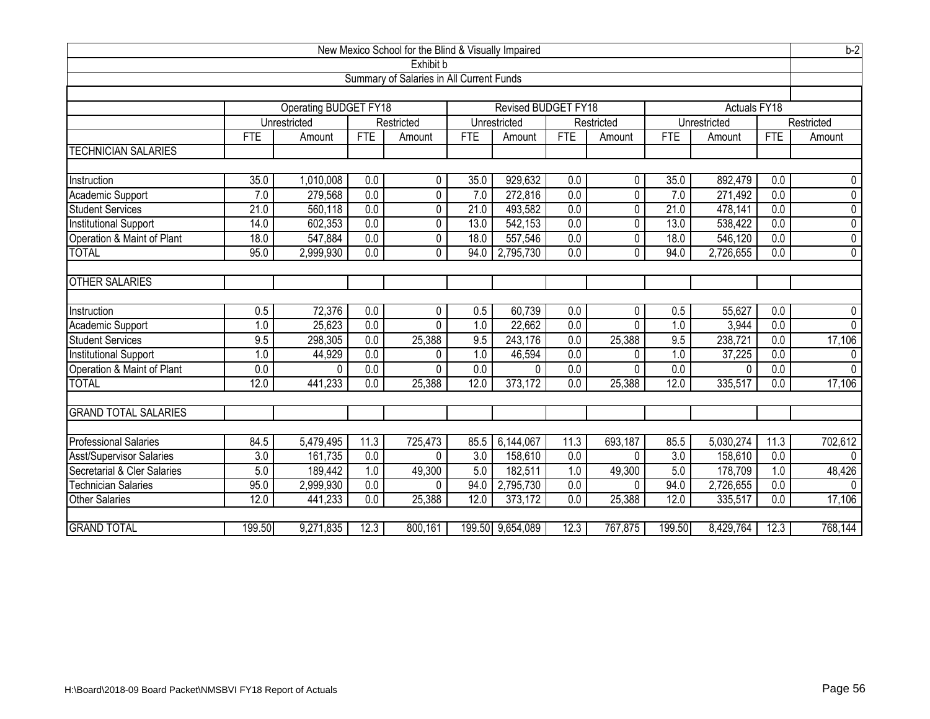| New Mexico School for the Blind & Visually Impaired |                                          |                              |                  |                |            |                            |                  | $b-2$          |            |                     |                  |                |
|-----------------------------------------------------|------------------------------------------|------------------------------|------------------|----------------|------------|----------------------------|------------------|----------------|------------|---------------------|------------------|----------------|
| Exhibit b                                           |                                          |                              |                  |                |            |                            |                  |                |            |                     |                  |                |
|                                                     | Summary of Salaries in All Current Funds |                              |                  |                |            |                            |                  |                |            |                     |                  |                |
|                                                     |                                          |                              |                  |                |            |                            |                  |                |            |                     |                  |                |
|                                                     |                                          | <b>Operating BUDGET FY18</b> |                  |                |            | <b>Revised BUDGET FY18</b> |                  |                |            | <b>Actuals FY18</b> |                  |                |
|                                                     |                                          | Unrestricted                 |                  | Restricted     |            | Unrestricted               |                  | Restricted     |            | Unrestricted        |                  | Restricted     |
|                                                     | <b>FTE</b>                               | Amount                       | <b>FTE</b>       | Amount         | <b>FTE</b> | Amount                     | <b>FTE</b>       | Amount         | <b>FTE</b> | Amount              | <b>FTE</b>       | Amount         |
| <b>TECHNICIAN SALARIES</b>                          |                                          |                              |                  |                |            |                            |                  |                |            |                     |                  |                |
| Instruction                                         | 35.0                                     | 1,010,008                    | 0.0              | $\mathbf{0}$   | 35.0       | 929,632                    | 0.0              | 0              | 35.0       | 892,479             | 0.0              | $\pmb{0}$      |
| Academic Support                                    | 7.0                                      | 279,568                      | 0.0              | 0              | 7.0        | 272,816                    | $\overline{0.0}$ | 0              | 7.0        | 271,492             | 0.0              | $\overline{0}$ |
| <b>Student Services</b>                             | 21.0                                     | 560,118                      | $\overline{0.0}$ | 0              | 21.0       | 493,582                    | $\overline{0.0}$ | 0              | 21.0       | 478,141             | $\overline{0.0}$ | $\overline{0}$ |
| <b>Institutional Support</b>                        | 14.0                                     | 602,353                      | 0.0              | 0              | 13.0       | 542,153                    | $\overline{0.0}$ | 0              | 13.0       | 538,422             | $\overline{0.0}$ | $\overline{0}$ |
| Operation & Maint of Plant                          | 18.0                                     | 547,884                      | $\overline{0.0}$ | $\mathbf 0$    | 18.0       | 557,546                    | 0.0              | 0              | 18.0       | 546,120             | $\overline{0.0}$ | $\overline{0}$ |
| <b>TOTAL</b>                                        | 95.0                                     | 2,999,930                    | 0.0              | $\overline{0}$ | 94.0       | 2,795,730                  | 0.0              | $\overline{0}$ | 94.0       | 2,726,655           | 0.0              | $\overline{0}$ |
| <b>OTHER SALARIES</b>                               |                                          |                              |                  |                |            |                            |                  |                |            |                     |                  |                |
| Instruction                                         | 0.5                                      | 72,376                       | 0.0              | $\mathbf 0$    | 0.5        | 60,739                     | 0.0              | 0              | 0.5        | 55,627              | 0.0              | $\pmb{0}$      |
| Academic Support                                    | 1.0                                      | 25,623                       | 0.0              | $\Omega$       | 1.0        | 22,662                     | $\overline{0.0}$ | $\overline{0}$ | 1.0        | 3,944               | 0.0              | $\overline{0}$ |
| <b>Student Services</b>                             | 9.5                                      | 298,305                      | $\overline{0.0}$ | 25,388         | 9.5        | 243,176                    | $\overline{0.0}$ | 25,388         | 9.5        | 238,721             | $\overline{0.0}$ | 17,106         |
| <b>Institutional Support</b>                        | 1.0                                      | 44,929                       | $\overline{0.0}$ | 0              | 1.0        | 46,594                     | $\overline{0.0}$ | 0              | 1.0        | 37,225              | $\overline{0.0}$ | $\mathbf 0$    |
| Operation & Maint of Plant                          | 0.0                                      | 0                            | 0.0              | 0              | 0.0        | $\mathbf{0}$               | 0.0              | 0              | 0.0        | $\Omega$            | 0.0              | $\mathbf{0}$   |
| <b>TOTAL</b>                                        | 12.0                                     | 441,233                      | 0.0              | 25,388         | 12.0       | 373,172                    | 0.0              | 25,388         | 12.0       | 335,517             | 0.0              | 17,106         |
| <b>GRAND TOTAL SALARIES</b>                         |                                          |                              |                  |                |            |                            |                  |                |            |                     |                  |                |
| <b>Professional Salaries</b>                        | 84.5                                     | 5,479,495                    | 11.3             | 725,473        | 85.5       | 6,144,067                  | 11.3             | 693,187        | 85.5       | 5,030,274           | 11.3             | 702,612        |
| <b>Asst/Supervisor Salaries</b>                     | 3.0                                      | 161,735                      | 0.0              | 0              | 3.0        | 158,610                    | 0.0              | 0              | 3.0        | 158,610             | 0.0              | $\Omega$       |
| Secretarial & Cler Salaries                         | 5.0                                      | 189,442                      | 1.0              | 49,300         | 5.0        | 182,511                    | 1.0              | 49,300         | 5.0        | 178,709             | 1.0              | 48,426         |
| <b>Technician Salaries</b>                          | 95.0                                     | 2,999,930                    | $\overline{0.0}$ | $\Omega$       | 94.0       | 2,795,730                  | 0.0              | $\Omega$       | 94.0       | 2,726,655           | 0.0              | $\Omega$       |
| <b>Other Salaries</b>                               | 12.0                                     | 441.233                      | 0.0              | 25,388         | 12.0       | 373,172                    | $\overline{0.0}$ | 25,388         | 12.0       | 335,517             | $\overline{0.0}$ | 17,106         |
| <b>GRAND TOTAL</b>                                  | 199.50                                   | 9,271,835                    | 12.3             | 800,161        |            | 199.50 9,654,089           | 12.3             | 767,875        | 199.50     | 8,429,764           | 12.3             | 768,144        |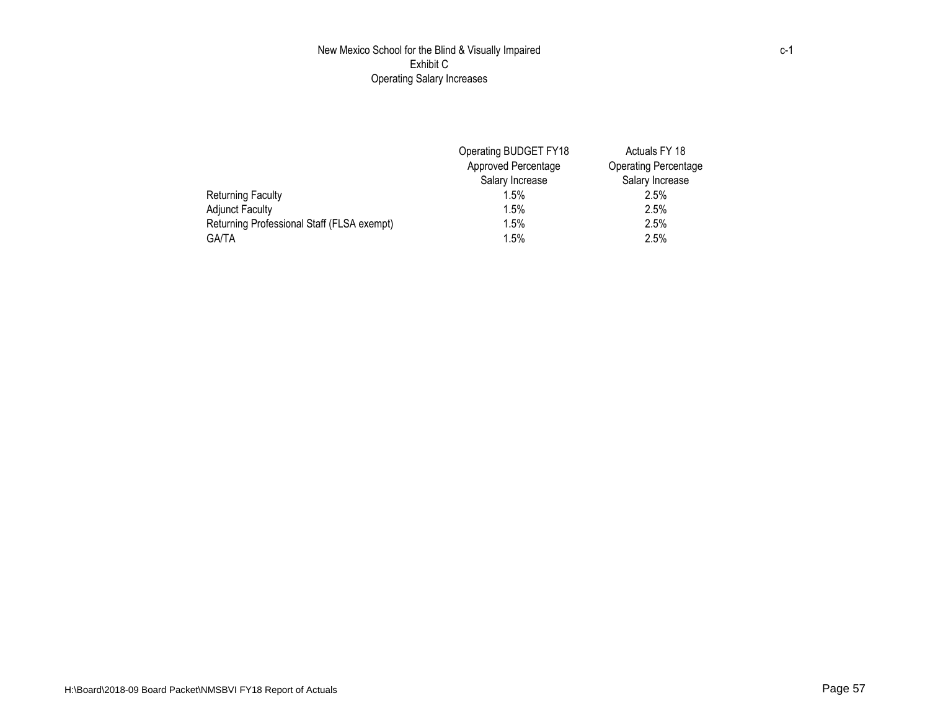## New Mexico School for the Blind & Visually Impaired Exhibit C Operating Salary Increases

|                                            | Operating BUDGET FY18 | Actuals FY 18               |
|--------------------------------------------|-----------------------|-----------------------------|
|                                            | Approved Percentage   | <b>Operating Percentage</b> |
|                                            | Salary Increase       | Salary Increase             |
| <b>Returning Faculty</b>                   | $1.5\%$               | 2.5%                        |
| <b>Adjunct Faculty</b>                     | 1.5%                  | 2.5%                        |
| Returning Professional Staff (FLSA exempt) | 1.5%                  | 2.5%                        |
| <b>GA/TA</b>                               | 1.5%                  | 2.5%                        |